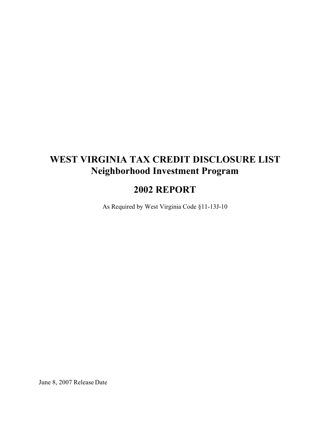# **WEST VIRGINIA TAX CREDIT DISCLOSURE LIST Neighborhood Investment Program**

# **2002 REPORT**

As Required by West Virginia Code §11-13J-10

June 8, 2007 Release Date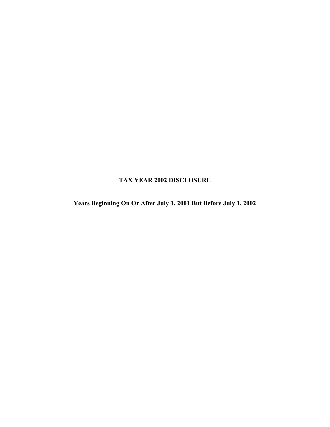# **TAX YEAR 2002 DISCLOSURE**

**Years Beginning On Or After July 1, 2001 But Before July 1, 2002**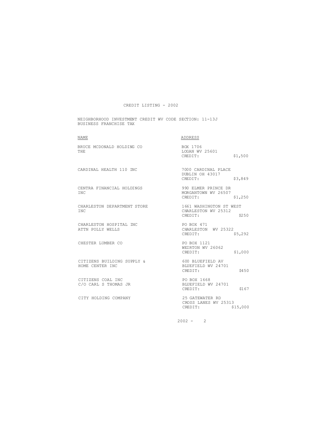NEIGHBORHOOD INVESTMENT CREDIT WV CODE SECTION: 11-13J BUSINESS FRANCHISE TAX

# NAME ADDRESS BRUCE MCDONALD HOLDING CO $$\tt BOX$$  1706 THE  $$\tt LOGAN$$  WV  $LOGAN$  WV  $25601$  CREDIT: \$1,500 CARDINAL HEALTH 110 INC 7000 CARDINAL PLACE DUBLIN OH 43017 CREDIT: \$3,849 CENTRA FINANCIAL HOLDINGS 990 ELMER PRINCE DR<br>TNC 990 ELMER PRINCE DR MORGANTOWN WV 26507<br>CREDIT: \$1,250 CREDIT: CHARLESTON DEPARTMENT STORE  $1661$  WASHINGTON ST WEST INC CHARLESTON WV 25312 CHARLESTON WV 25312 CREDIT: \$250 CHARLESTON HOSPITAL INC PO BOX 471 CHARLESTON WV 25322<br>CREDIT: \$5,292 CREDIT: CHESTER LUMBER CO PO BOX 1121 WEIRTON WV 26062 CREDIT: \$1,000 CITIZENS BUILDING SUPPLY & 600 BLUEFIELD AV HOME CENTER INC BLUEFIELD WV 24701 CREDIT: \$450 CITIZENS COAL INC<br>
C/O CARL S THOMAS JR
BIUEFIELD WV 24701 C/O CARL S THOMAS JR CREDIT: \$167 CITY HOLDING COMPANY 25 GATEWATER RD CROSS LANES WV 25313<br>CREDIT: \$15,000 CREDIT: \$15,000  $2002 - 2$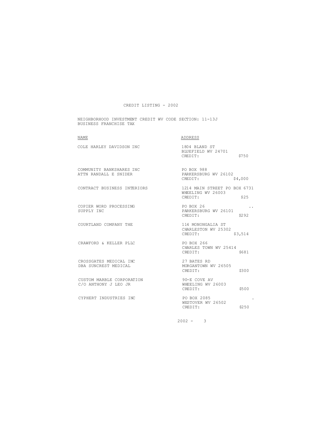NEIGHBORHOOD INVESTMENT CREDIT WV CODE SECTION: 11-13J BUSINESS FRANCHISE TAX

# NAME ADDRESS COLE HARLEY DAVIDSON INC 1804 BLAND ST BLUEFIELD WV 24701 contract the contract of  $\sim$  5750  $\sim$  5750 COMMUNITY BANKSHARES INC<br>
ATTN RANDALL E SNIDER
PARKERSBURG WV 26102 ATTN RANDALL E SNIDER<br>CREDIT: \$4,000 CREDIT: \$4,000 CREDIT: CONTRACT BUSINESS INTERIORS 1214 MAIN STREET PO BOX 6731 WHEELING WV 26003 CREDIT: \$25 COPIER WORD PROCESSING PO BOX 26 ... SUPPLY INC PARKERSBURG WV 26101 credit:  $\text{CEDIT}:$  \$292 COURTLAND COMPANY THE 114 MONONGALIA ST CHARLESTON WV 25302<br>CREDIT: \$3,514 CREDIT: CRAWFORD & KELLER PLIC PO BOX 266 CHARLES TOWN WV 25414<br>CREDIT: \$681 CREDIT: \$681 CROSSGATES MEDICAL INC 27 BATES RD DBA SUNCREST MEDICAL CREDIT: \$300 CUSTOM MARBLE CORPORATION 90-E COVE AV C/O ANTHONY J LEO JR SANTA SURFACTION WHEELING WV 26003 C/O ANTHONY J LEO JR CREDIT: \$500 CYPHERT INDUSTRIES INC **PO BOX 2085** . WESTOVER WV 26502 CREDIT: \$250  $2002 - 3$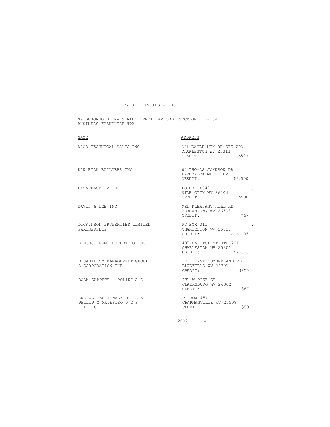NEIGHBORHOOD INVESTMENT CREDIT WV CODE SECTION: 11-13J BUSINESS FRANCHISE TAX

| NAME                                                              | ADDRESS                                                             |
|-------------------------------------------------------------------|---------------------------------------------------------------------|
| DACO TECHNICAL SALES INC                                          | 301 EAGLE MTN RD STE 203<br>CHARLESTON WV 25311<br>CREDIT:<br>\$503 |
| DAN RYAN BUILDERS INC                                             | 60 THOMAS JOHNSON DR<br>FREDERICK MD 21702<br>CREDIT:<br>\$9,500    |
| DATAPHASE IV INC                                                  | PO BOX 4649<br>STAR CITY WV 26504<br>CREDIT:<br>\$500               |
| DAVIS & LEE INC                                                   | 921 PLEASANT HILL RD<br>MORGANTOWN WV 26508<br>CREDIT:<br>\$67      |
| DICKINSON PROPERTIES LIMITED<br>PARTNERSHIP                       | PO BOX 311<br>CHARLESTON WV 25321<br>\$16,195<br>CREDIT:            |
| DINGESS-RUM PROPERTIES INC                                        | 405 CAPITOL ST STE 701<br>CHARLESTON WV 25301<br>\$2,500<br>CREDIT: |
| DISABILITY MANAGEMENT GROUP<br>A CORPORATION THE                  | 3008 EAST CUMBERLAND RD<br>BIUEFIELD WV 24701<br>\$250<br>CREDIT:   |
| DOAK CUPPETT & POLING A C                                         | 431-W PIKE ST<br>CLARKSBURG WV 26302<br>\$67<br>CREDIT:             |
| DRS WALTER A NAGY D D S &<br>PHILIP M MAJESTRO D D S<br>P T. T. C | PO BOX 4541<br>CHAPMANVILLE WV 25508<br>CREDIT:<br>\$50             |
|                                                                   | $2002 -$<br>4                                                       |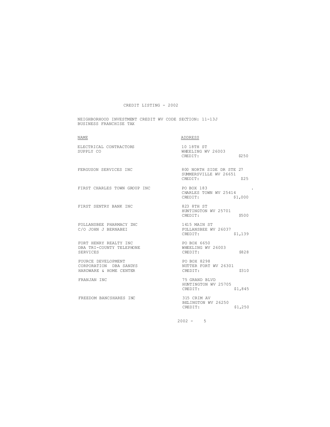NEIGHBORHOOD INVESTMENT CREDIT WV CODE SECTION: 11-13J BUSINESS FRANCHISE TAX

# NAME ADDRESS ELECTRICAL CONTRACTORS 10 18TH ST WHEELING WV 26003 credit to the CREDIT:  $\frac{1}{250}$ FERGUSON SERVICES INC<br>
800 NORTH SIDE DR STE 27 SUMMERSVILLE WV 26651 CREDIT: \$25 FIRST CHARLES TOWN GROUP INC PO BOX 183 . CHARLES TOWN WV 25414<br>CREDIT: \$1,000 CREDIT: FIRST SENTRY BANK INC 623 8TH ST HUNTINGTON WV 25701<br>CREDIT: CREDIT: \$500 FOLLANSBEE PHARMACY INC 1415 MAIN ST FOLLANSBEE WV 26037<br>CREDIT: \$1,139 CREDIT: FORT HENRY REALTY INC PO BOX 6650 DBA TRI-COUNTY TELEPHONE<br>SERVICES CREDIT: \$828 FOURCE DEVELOPMENT PO BOX 8298 CORPORATION DBA SANDYS NUTTER I NUTTER I ARDWARE & HOME CENTER HARDWARE & HOME CENTER CREDIT: \$310 FRANJAN INC 75 GRAND BLVD HUNTINGTON WV 25705<br>CREDIT: \$1,845 CREDIT: \$1,845 FREEDOM BANCSHARES INC 315 CRIM AV BELINGTON WV 26250<br>CREDIT: CREDIT: \$1,250  $2002 - 5$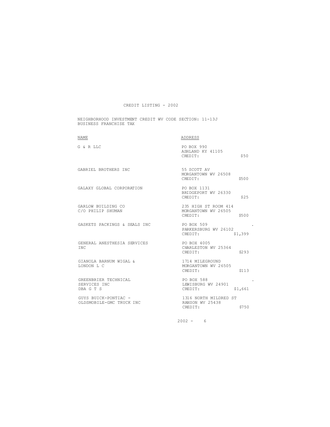NEIGHBORHOOD INVESTMENT CREDIT WV CODE SECTION: 11-13J BUSINESS FRANCHISE TAX

| NAME                                              | ADDRESS                                                         |
|---------------------------------------------------|-----------------------------------------------------------------|
| $G \& R$ LLC                                      | PO BOX 990<br>ASHLAND KY 41105<br>CREDIT:<br>\$50               |
| GABRIEL BROTHERS INC                              | 55 SCOTT AV<br>MORGANTOWN WV 26508<br>\$500<br>CREDIT:          |
| GALAXY GLOBAL CORPORATION                         | PO BOX 1131<br>BRIDGEPORT WV 26330<br>\$25<br>CREDIT:           |
| GARLOW BUILDING CO<br>C/O PHILIP SHUMAN           | 235 HIGH ST ROOM 414<br>MORGANTOWN WV 26505<br>CREDIT:<br>\$500 |
| GASKETS PACKINGS & SEALS INC                      | PO BOX 509<br>PARKERSBURG WV 26102<br>\$1,399<br>CREDIT:        |
| GENERAL ANESTHESIA SERVICES<br><b>TNC</b>         | PO BOX 4005<br>CHARLESTON WV 25364<br>CREDIT:<br>\$293          |
| GIANOLA BARNUM WIGAL &<br>LONDON L C              | 1714 MILEGROUND<br>MORGANTOWN WV 26505<br>\$113<br>CREDIT:      |
| GREENBRIER TECHNICAL<br>SERVICES INC<br>DBA G T S | PO BOX 588<br>LEWISBURG WV 24901<br>CREDIT:<br>\$1,661          |
| GUYS BUICK-PONTIAC -<br>OLDSMOBILE-GMC TRUCK INC  | 1316 NORTH MILDRED ST<br>RANSON WV 25438<br>CREDIT:<br>\$750    |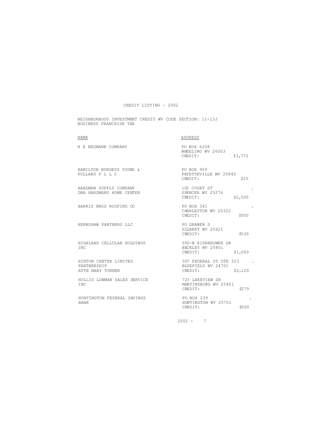NEIGHBORHOOD INVESTMENT CREDIT WV CODE SECTION: 11-13J BUSINESS FRANCHISE TAX

## NAME ADDRESS

# H E NEUMANN COMPANY PO BOX 6208 WHEELING WV 26003 CREDIT: \$3,772 HAMILTON BURGESS YOUNG & PO BOX 959 FAYETTEVILLE WV 25840<br>CREDIT: \$25 CREDIT: \$25 HARDMAN SUPPLY COMPANY 102 COURT ST . DBA HARDMANS HOME CENTER SPENCER SPENCER CREDIT: CREDIT: \$2,500 HARRIS BROS ROOFING CO PO BOX 341 . CHARLESTON WV 25322<br>CREDIT: CREDIT: \$500 HERNSHAW PARTNERS LLC **PO DRAWER D**  GILBERT WV 25621 CREDIT: \$530 HIGHLAND CELLULAR HOLDINGS 550-N EISENHOWER DR INC BECKLEY WV 25801 CREDIT: \$1,000 HINTON CENTER LIMITED 307 FEDERAL ST STE 323 . PARTNERSHIP BLUEFIELD WV 24701<br>CREDIT: ATTN MARY TURNER CREDIT: \$2,120 HOLLIS LOWMAN SALES SERVICE 723 LAKEVIEW DR<br>TNC MARTINSBURG WV 2 MARTINSBURG WV 25401 CREDIT: \$279 HUNTINGTON FEDERAL SAVINGS PO BOX 239 BANK HUNTINGTON WV 25701 CREDIT: \$500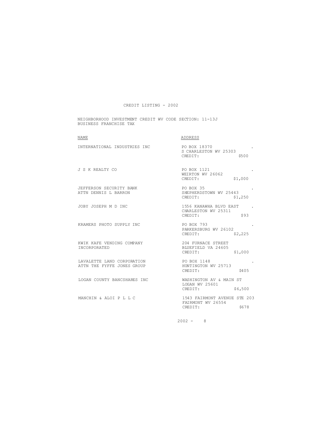NEIGHBORHOOD INVESTMENT CREDIT WV CODE SECTION: 11-13J BUSINESS FRANCHISE TAX

# NAME ADDRESS INTERNATIONAL INDUSTRIES INC PO BOX 18370 . S CHARLESTON WV 25303<br>CREDIT: \$500 CREDIT: J S K REALTY CO PO BOX 1121 . WEIRTON WV 26062 CREDIT: \$1,000 JEFFERSON SECURITY BANK PO BOX 35 ATTN DENNIS L BARRON SHEPHERDSTOWN WV 25443 CREDIT: \$1,250 JOBY JOSEPH M D INC **1556 KANAWHA BLVD EAST** . CHARLESTON WV 25311<br>CREDIT: credit:  $\sim$  593 KRAMERS PHOTO SUPPLY INC PO BOX 793 . PARKERSBURG WV 26102<br>CREDIT: \$2,225 CREDIT: KWIK KAFE VENDING COMPANY 204 FURNACE STREET BLUEFIELD VA 24605 CREDIT: \$1,000 LAVALETTE LAND CORPORATION PO BOX 1148 . ATTN THE FYFFE JONES GROUP CREDIT: \$405 LOGAN COUNTY BANCSHARES INC WASHINGTON AV & MAIN ST LOGAN WV 25601 CREDIT: \$6,500 MANCHIN & ALOI P L L C 1543 FAIRMONT AVENUE STE 203 FAIRMONT WV 26554 CREDIT: \$678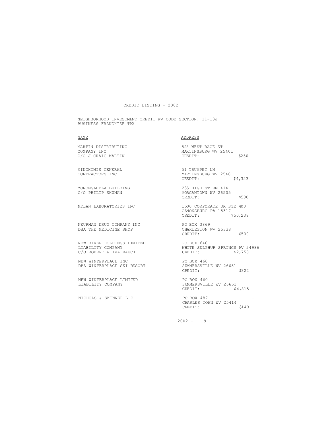NEIGHBORHOOD INVESTMENT CREDIT WV CODE SECTION: 11-13J BUSINESS FRANCHISE TAX

MARTIN DISTRIBUTING 528 WEST RACE ST COMPANY INC

MINGHINIS GENERAL 51 TRUMPET LN

MONONGAHELA BUILDING 235 HIGH ST RM 414 C/O PHILIP SHUMAN 2008

NEURMAN DRUG COMPANY INC<br>
DBA THE MEDICINE SHOP<br>
CHARLESTON WV 25338 DBA THE MEDICINE SHOP

NEW RIVER HOLDINGS LIMITED PO BOX 640 LIABILITY COMPANY **WHITE** SULPH C/O ROBERT & IVA RAUCH

NEW WINTERPLACE INC<br>
DBA WINTERPLACE SKI RESORT SUMMERSVILLE WV 26651

NEW WINTERPLACE LIMITED PO BOX 460

NICHOLS & SKINNER L C PO BOX 487

# NAME ADDRESS

MARTINSBURG WV 25401 C/O J CRAIG MARTIN CREDIT: \$250

> MARTINSBURG WV 25401 CREDIT: \$4,323

MORGANTOWN WV 26505<br>CREDIT: credit to the CREDIT:  $$500$ 

MYLAN LABORATORIES INC 1500 CORPORATE DR STE 400 CANONSBURG PA 15317<br>CREDIT: \$50.238 CREDIT:

CREDIT: \$500

WHITE SULPHUR SPRINGS WV 24986<br>CREDIT: \$2,750

DBA WINTERPLACE SKI RESORT SUMMERSVILLE WV 26651 (SUMERSVILLE WV 26651) CREDIT: \$322

> SUMMERSVILLE WV 26651 CREDIT: \$4,815

CHARLES TOWN WV 25414<br>CREDIT: \$143 CREDIT: \$143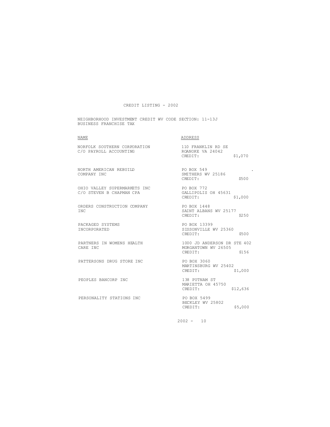NEIGHBORHOOD INVESTMENT CREDIT WV CODE SECTION: 11-13J BUSINESS FRANCHISE TAX

# NAME ADDRESS

NORFOLK SOUTHERN CORPORATION 110 FRANKLIN RD SE C/O PAYROLL ACCOUNTING 3 C/O PAYROLL ACCOUNTING NORTH AMERICAN REBUILD PO BOX 549 . OHIO VALLEY SUPERMARKETS INC PO BOX 772

PATTERSONS DRUG STORE INC PO BOX 3060

PERSONALITY STATIONS INC<br>
PO BOX 5499

 CREDIT: \$1,070 SMITHERS WV 25186 CREDIT: \$500 C/O STEVEN B CHAPMAN CPA GALLIPOLIS OH 45631  $C$ REDIT: \$1,000 CREDIT: ORDERS CONSTRUCTION COMPANY PO BOX 1448<br>INC SAINT ALBANS SAINT ALBANS WV 25177<br>CREDIT: \$250 credit:  $\text{CEDIT}:$  \$250 PACKAGED SYSTEMS PO BOX 13399 INCORPORATED PO BOX 13399 SISSONVILLE W SISSONVILLE WV 25360 CREDIT: \$500 PARTNERS IN WOMENS HEALTH 1000 JD ANDERSON DR STE 402 CARE INC MORGANTOWN WV 26505 CREDIT: \$156 MARTINSBURG WV 25402<br>CREDIT: \$1,000 CREDIT: PEOPLES BANCORP INC 138 PUTNAM ST

 MARIETTA OH 45750 CREDIT: \$12,636 BECKLEY WV 25802<br>CREDIT: CREDIT: \$5,000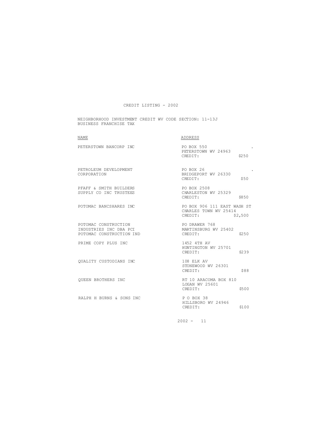NEIGHBORHOOD INVESTMENT CREDIT WV CODE SECTION: 11-13J BUSINESS FRANCHISE TAX

| NAMF.                                                                      | ADDRESS                                                                    |
|----------------------------------------------------------------------------|----------------------------------------------------------------------------|
| PETERSTOWN BANCORP INC                                                     | PO BOX 550<br>PETERSTOWN WV 24963<br>\$250<br>CREDIT:                      |
| PETROLEUM DEVELOPMENT<br>CORPORATION                                       | PO BOX 26<br>BRIDGEPORT WV 26330<br>\$50<br>CREDIT:                        |
| PFAFF & SMITH BUILDERS<br>SUPPLY CO INC TRUSTEES                           | PO BOX 2508<br>CHARLESTON WV 25329<br>\$850<br>CREDIT:                     |
| POTOMAC BANCSHARES INC                                                     | PO BOX 906 111 EAST WASH ST<br>CHARLES TOWN WV 25414<br>CREDIT:<br>\$2,500 |
| POTOMAC CONSTRUCTION<br>INDUSTRIES INC DBA PCI<br>POTOMAC CONSTRUCTION IND | PO DRAWER 768<br>MARTINSBURG WV 25402<br>\$250<br>CREDIT:                  |
| PRIME COPY PLUS INC                                                        | 1452 4TH AV<br>HUNTINGTON WV 25701<br>\$239<br>CREDIT:                     |
| OUALITY CUSTODIANS INC                                                     | 108 ELK AV<br>STONEWOOD WV 26301<br>CREDIT:<br>\$88                        |
| <b>OUEEN BROTHERS INC</b>                                                  | RT 10 ARACOMA BOX 810<br>LOGAN WV 25601<br>CREDIT:<br>\$500                |
| RALPH H BURNS & SONS INC                                                   | PO BOX 38<br>HILLSBORO WV 24946<br>CREDIT:<br>\$100                        |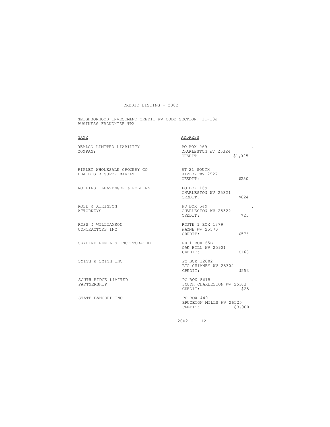NEIGHBORHOOD INVESTMENT CREDIT WV CODE SECTION: 11-13J BUSINESS FRANCHISE TAX

### NAME ADDRESS

# REALCO LIMITED LIABILITY PO BOX 969 . CHARLESTON WV 25324<br>CREDIT: \$1,025 CREDIT: RIPLEY WHOLESALE GROCERY CO<br>
DBA BIG R SUPER MARKET RIPLEY WV 25271 DBA BIG R SUPER MARKET CREDIT: \$250 ROLLINS CLEAVENGER & ROLLINS PO BOX 169 CHARLESTON WV 25321 CREDIT: \$624 ROSE & ATKINSON PO BOX 549 . CHARLESTON WV 25322<br>CREDIT: credit:  $\sim$  525 ROSS & WILLIAMSON ROUTE 1 BOX 1379 WAYNE WV 25570 CREDIT: \$576 SKYLINE RENTALS INCORPORATED RR 1 BOX 65B OAK HILL WV 25901 CREDIT: \$168 SMITH & SMITH INC **PO BOX 12002**  BIG CHIMNEY WV 25302 CREDIT: \$553 SOUTH RIDGE LIMITED **PO BOX 8615** . PARTNERSHIP SOUTH CHARLESTON WV 25303 credit:  $\text{CEDIT:}$  \$25 STATE BANCORP INC **EXECUTE:** PO BOX 449 BRUCETON MILLS WV 26525<br>CREDIT: \$3,000 CREDIT: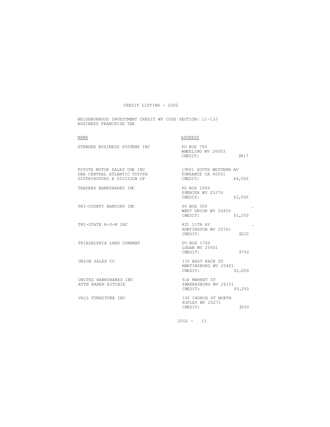NEIGHBORHOOD INVESTMENT CREDIT WV CODE SECTION: 11-13J BUSINESS FRANCHISE TAX

# NAME ADDRESS

| STENGER BUSINESS SYSTEMS INC                                                            | PO BOX 750<br>WHEELING WV 26003<br>\$817<br>CREDIT:               |
|-----------------------------------------------------------------------------------------|-------------------------------------------------------------------|
| TOYOTA MOTOR SALES USA INC<br>DBA CENTRAL ATLANTIC TOYOTA<br>DISTRIBUTORS A DIVISION OF | 19001 SOUTH WESTERN AV<br>TORRANCE CA 90501<br>\$4,500<br>CREDIT: |
| TRADERS BANKSHARES INC                                                                  | PO BOX 1009<br>SPENCER WV 25276<br>\$3,500<br>CREDIT:             |
| TRI-COUNTY BANCORP INC                                                                  | PO BOX 305<br>WEST UNION WV 26456<br>\$1,250<br>CREDIT:           |
| TRI-STATE R-O-M INC                                                                     | 821 11TH AV<br>HUNTINGTON WV 25701<br>\$220<br>CREDIT:            |
| TRIADELPHIA LAND COMPANY                                                                | PO BOX 1706<br>LOGAN WV 25601<br>\$750<br>CREDIT:                 |
| UNION SALES CO                                                                          | 119 EAST RACE ST<br>MARTINSBURG WV 25401<br>\$1,000<br>CREDIT:    |
| UNITED BANKSHARES INC<br>ATTN KAREN RITCHIE                                             | 514 MARKET ST<br>PARKERSBURG WV 26101<br>\$5,250<br>CREDIT:       |
| VAIL FURNITURE INC                                                                      | 103 CHURCH ST NORTH<br>RIPLEY WV 25271<br>\$250<br>CREDIT:        |
|                                                                                         |                                                                   |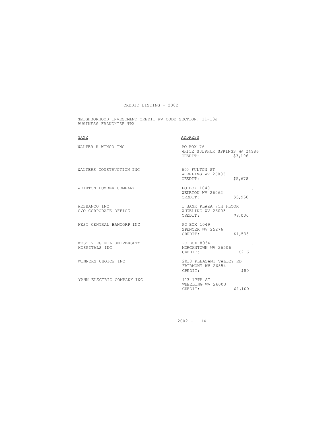NEIGHBORHOOD INVESTMENT CREDIT WV CODE SECTION: 11-13J BUSINESS FRANCHISE TAX

| NAME                                      | ADDRESS                                                 |         |
|-------------------------------------------|---------------------------------------------------------|---------|
| WALTER H WINGO INC                        | PO BOX 76<br>WHITE SULPHUR SPRINGS WV 24986<br>CREDIT:  | \$3,196 |
| WALTERS CONSTRUCTION INC                  | 600 FULTON ST<br>WHEELING WV 26003<br>CREDIT:           | \$5,678 |
| WEIRTON LUMBER COMPANY                    | PO BOX 1040<br>WEIRTON WV 26062<br>CREDIT:              | \$5,950 |
| WESBANCO INC<br>C/O CORPORATE OFFICE      | 1 BANK PLAZA 7TH FLOOR<br>WHEELING WV 26003             |         |
|                                           | CREDIT:                                                 | \$8,000 |
| WEST CENTRAL BANCORP INC                  | PO BOX 1049<br>SPENCER WV 25276<br>CREDIT:              | \$1,533 |
| WEST VIRGINIA UNIVERSITY<br>HOSPITALS INC | PO BOX 8034<br>MORGANTOWN WV 26506<br>CREDIT:           | \$2.16  |
| WINNERS CHOICE INC                        | 2018 PLEASANT VALLEY RD<br>FAIRMONT WV 26554<br>CREDIT: | \$80    |
| YAHN ELECTRIC COMPANY INC                 | 113 17TH ST<br>WHEELING WV 26003<br>CREDIT:             | \$1,100 |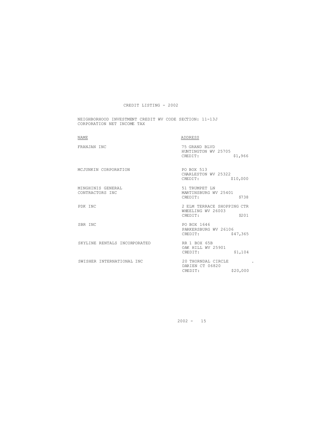NEIGHBORHOOD INVESTMENT CREDIT WV CODE SECTION: 11-13J CORPORATION NET INCOME TAX

| <b>NAME</b>                          | ADDRESS                                                             |
|--------------------------------------|---------------------------------------------------------------------|
| FRANJAN INC                          | 75 GRAND BLVD<br>HUNTINGTON WV 25705<br>\$1,966<br>CREDIT:          |
| MCJUNKIN CORPORATION                 | PO BOX 513<br>CHARLESTON WV 25322<br>\$10,000<br>CREDIT:            |
| MINGHINIS GENERAL<br>CONTRACTORS INC | 51 TRUMPET LN<br>MARTINSBURG WV 25401<br>\$738<br>CREDIT:           |
| PDK INC                              | 2 ELM TERRACE SHOPPING CTR<br>WHEELING WV 26003<br>\$201<br>CREDIT: |
| SBR INC                              | PO BOX 1646<br>PARKERSBURG WV 26106<br>\$47,365<br>CREDIT:          |
| SKYLINE RENTALS INCORPORATED         | RR 1 BOX 65B<br>OAK HILL WV 25901<br>\$1,104<br>CREDIT:             |
| SWISHER INTERNATIONAL INC            | 20 THORNDAL CIRCLE<br>DARIEN CT 06820<br>\$20,000<br>CREDIT:        |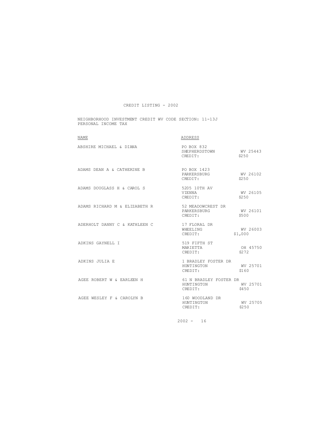NEIGHBORHOOD INVESTMENT CREDIT WV CODE SECTION: 11-13J PERSONAL INCOME TAX

| NAME                          | ADDRESS                                         |                     |
|-------------------------------|-------------------------------------------------|---------------------|
| ABSHIRE MICHAEL & DIANA       | PO BOX 832<br>SHEPHERDSTOWN WV 25443<br>CREDIT: | \$250               |
| ADAMS DEAN A & CATHERINE B    | PO BOX 1423<br>PARKERSBURG<br>CREDIT:           | WV 26102<br>\$2.50  |
| ADAMS DOUGLASS H & CAROL S    | 5205 10TH AV<br>VIENNA<br>CREDIT:               | WV 26105<br>\$250   |
| ADAMS RICHARD M & ELIZABETH R | 52 MEADOWCREST DR<br>PARKERSBURG<br>CREDIT:     | WV 26101<br>\$500   |
| ADERHOLT DANNY C & KATHLEEN C | 17 FLORAL DR<br>WHEEL TNG<br>CREDIT:            | WV 26003<br>\$1,000 |
| ADKINS GAYNELL I              | 519 FIFTH ST<br>MARIETTA<br>CREDIT:             | OH 45750<br>\$272   |
| ADKINS JULIA E                | 1 BRADLEY FOSTER DR<br>HUNTINGTON<br>CREDIT:    | WV 25701<br>\$160   |
| AGEE ROBERT W & EARLEEN H     | 61 N BRADLEY FOSTER DR<br>HUNTINGTON<br>CREDIT: | WV 25701<br>\$450   |
| AGEE WESLEY F & CAROLYN B     | 160 WOODLAND DR<br>HUNTINGTON<br>CREDIT:        | WV 25705<br>\$250   |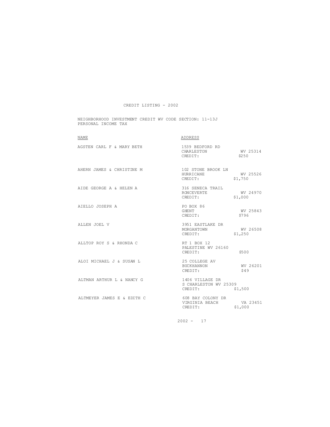NEIGHBORHOOD INVESTMENT CREDIT WV CODE SECTION: 11-13J PERSONAL INCOME TAX

| NAME                       | ADDRESS                                                 |                     |
|----------------------------|---------------------------------------------------------|---------------------|
| AGSTEN CARL F & MARY BETH  | 1539 BEDFORD RD<br>CHARLESTON<br>CREDIT:                | WV 25314<br>\$250   |
| AHERN JAMES & CHRISTINE M  | 102 STONE BROOK LN<br>HURRICANE<br>CREDIT:              | WV 25526<br>\$1,750 |
| AIDE GEORGE A & HELEN A    | 316 SENECA TRAIL<br>RONCEVERTE<br>CREDIT:               | WV 24970<br>\$1,000 |
| AIELLO JOSEPH A            | PO BOX 86<br>GHENT<br>CREDIT:                           | WV 25843<br>\$796   |
| ALLEN JOEL V               | 3951 EASTLAKE DR<br>MORGANTOWN<br>CREDIT:               | WV 26508<br>\$1,250 |
| ALLTOP ROY S & RHONDA C    | RT 1 BOX 12<br>PALESTINE WV 26160<br>CREDIT:            | \$500               |
| ALOI MICHAEL J & SUSAN L   | 25 COLLEGE AV<br>BUCKHANNON WV 26201<br>CREDIT:         | \$49                |
| ALTMAN ARTHUR L & NANCY G  | 1406 VILLAGE DR<br>S CHARLESTON WV 25309<br>CREDIT:     | \$1,500             |
| ALTMEYER JAMES E & EDITH C | 608 BAY COLONY DR<br>VIRGINIA BEACH VA 23451<br>CREDIT: | \$1,000             |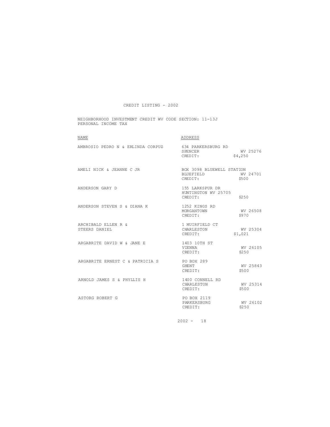NEIGHBORHOOD INVESTMENT CREDIT WV CODE SECTION: 11-13J PERSONAL INCOME TAX

| NAME                                                 | ADDRESS                                                  |                     |
|------------------------------------------------------|----------------------------------------------------------|---------------------|
| AMBROSIO PEDRO N & ERLINDA CORPUZ 634 PARKERSBURG RD | SPENCER<br>CREDIT: \$4,250                               | WV 25276            |
| AMELI NICK & JEANNE C JR                             | BOX 3098 BLUEWELL STATION<br><b>BIUEFTELD</b><br>CREDIT: | WV 24701<br>\$500   |
| ANDERSON GARY D                                      | 155 LARKSPUR DR<br>HUNTINGTON WV 25705<br>CREDIT:        | \$250               |
| ANDERSON STEVEN S & DIANA K                          | 1252 KINGS RD<br>MORGANTOWN<br>CREDIT:                   | WV 26508<br>\$970   |
| ARCHIBALD ELLEN R &<br>STEERS DANIEL                 | 1 MUIRFIELD CT<br>CHARLESTON<br>CREDIT:                  | WV 25304<br>\$1,021 |
| ARGABRITE DAVID W & JANE E                           | 1403 10TH ST<br><b>VTENNA</b><br>CREDIT:                 | WV 26105<br>\$250   |
| ARGABRITE ERNEST C & PATRICIA S                      | PO BOX 289<br>GHENT<br>CREDIT:                           | WV 25843<br>\$500   |
| ARNOLD JAMES S & PHYLLIS H                           | 1400 CONNELL RD<br>CHARLESTON<br>CREDIT:                 | WV 25314<br>\$500   |
| ASTORG ROBERT G                                      | PO BOX 2119<br>PARKERSBURG<br>CREDIT:                    | WV 26102<br>\$250   |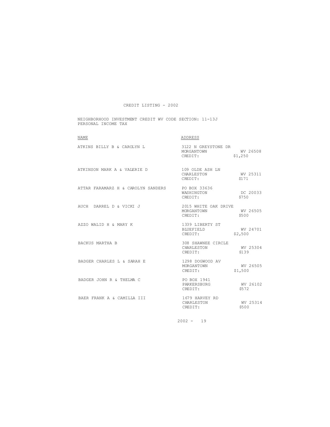NEIGHBORHOOD INVESTMENT CREDIT WV CODE SECTION: 11-13J PERSONAL INCOME TAX

| NAME                                            | ADDRESS                                                       |                     |
|-------------------------------------------------|---------------------------------------------------------------|---------------------|
| ATKINS BILLY B & CAROLYN L                      | 3122 N GREYSTONE DR<br>MORGANTOWN WV 26508<br>CREDIT: \$1,250 |                     |
| ATKINSON MARK A & VALERIE D 109 OLDE ASH LN     | CHARLESTON<br>CREDIT:                                         | WV 25311<br>\$171   |
| ATTAR FARAMARZ H & CAROLYN SANDERS PO BOX 33636 | WASHINGTON<br>CREDIT:                                         | DC 20033<br>\$750   |
| AUCH DARREL D & VICKI J                         | 2015 WHITE OAK DRIVE<br>MORGANTOWN WV 26505<br>CREDIT:        | \$500               |
| AZZO WALID H & MARY K                           | 1339 LIBERTY ST<br><b>BLUEFIELD</b><br>CREDIT:                | WV 24701<br>\$2,500 |
| BACKUS MARTHA B                                 | 308 SHAWNEE CIRCLE<br>CHARLESTON<br>CREDIT:                   | WV 25304<br>\$139   |
| BADGER CHARLES L & SARAH E                      | 1298 DOGWOOD AV<br>MORGANTOWN<br>CREDIT:                      | WV 26505<br>\$1,500 |
| BADGER JOHN R & THELMA C                        | PO BOX 1941<br>PARKERSBURG WV 26102<br>CREDIT:                | \$572               |
| BAER FRANK A & CAMILLA III                      | 1679 HARVEY RD<br>CHARLESTON<br>CREDIT:                       | WV 25314<br>\$500   |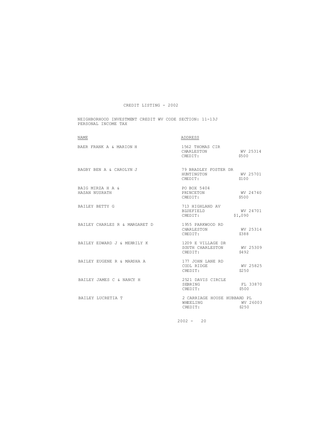NEIGHBORHOOD INVESTMENT CREDIT WV CODE SECTION: 11-13J PERSONAL INCOME TAX

| <b>NAME</b>                       | ADDRESS                                                   |                    |
|-----------------------------------|-----------------------------------------------------------|--------------------|
| BAER FRANK A & MARION H           | 1562 THOMAS CIR<br>CHARLESTON<br>CREDIT:                  | WV 25314<br>\$500  |
| BAGBY BEN A & CAROLYN J           | 79 BRADLEY FOSTER DR<br>HUNTINGTON<br>CREDIT:             | WV 25701<br>\$100  |
| BAIG MIRZA H A &<br>HASAN NUSRATH | PO BOX 5404<br>PRINCETON<br>CREDIT:                       | WV 24740<br>\$500  |
| BAILEY BETTY G                    | 713 HIGHLAND AV<br>BLUEFIELD WV 24701<br>CREDIT:          | \$1,090            |
| BATLEY CHARLES R & MARGARET D     | 1955 PARKWOOD RD<br>CHARLESTON WV 25314<br>CREDIT:        | \$388              |
| BATLEY EDWARD J & MERRILY K       | 1209 E VILLAGE DR<br>SOUTH CHARLESTON WV 25309<br>CREDIT: | \$492              |
| BAILEY EUGENE R & MARSHA A        | 177 JOHN LANE RD<br>COOL RIDGE<br>CREDIT:                 | WV 25825<br>\$250  |
| BAILEY JAMES C & NANCY H          | 2521 DAVIS CIRCLE<br>SEBRING<br>CREDIT:                   | FL 33870<br>\$500  |
| BAILEY LUCRETIA T                 | 2 CARRIAGE HOUSE HUBBARD PL<br>WHEELING<br>CREDIT:        | WV 26003<br>\$2.50 |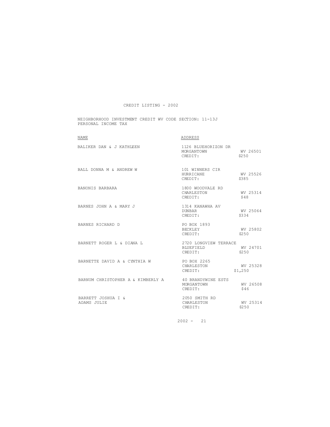NEIGHBORHOOD INVESTMENT CREDIT WV CODE SECTION: 11-13J PERSONAL INCOME TAX

| NAME                              | ADDRESS                                       |                     |
|-----------------------------------|-----------------------------------------------|---------------------|
| BALIKER DAN & J KATHLEEN          | 1126 BLUEHORIZON DR<br>MORGANTOWN<br>CREDIT:  | WV 26501<br>\$2.50  |
| BALL DONNA M & ANDREW W           | 101 WINNERS CIR<br>HURRICANE<br>CREDIT:       | WV 25526<br>\$385   |
| BANONIS BARBARA                   | 1800 WOODVALE RD<br>CHARLESTON<br>CREDIT:     | WV 25314<br>\$48    |
| BARNES JOHN A & MARY J            | 1314 KANAWHA AV<br>DINBAR<br>CREDIT:          | WV 25064<br>\$334   |
| BARNES RICHARD D                  | PO BOX 1893<br>BECKLEY<br>CREDIT:             | WV 25802<br>\$250   |
| BARNETT ROGER L & DIANA L         | 2720 LONGVIEW TERRACE<br>BLUEFIELD<br>CREDIT: | WV 24701<br>\$250   |
| BARNETTE DAVID A & CYNTHIA W      | PO BOX 2265<br>CHARLESTON<br>CREDIT:          | WV 25328<br>\$1,250 |
| BARNUM CHRISTOPHER A & KIMBERLY A | 40 BRANDYWINE ESTS<br>MORGANTOWN<br>CREDIT:   | WV 26508<br>\$46    |
| BARRETT JOSHUA I &<br>ADAMS JULIE | 2050 SMITH RD<br>CHARLESTON<br>CREDIT:        | WV 25314<br>\$250   |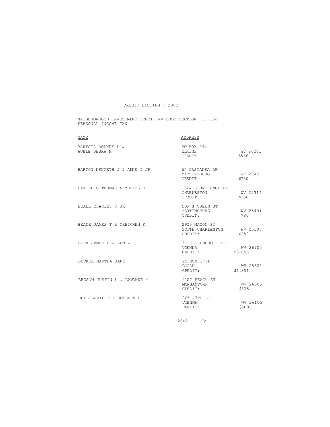NEIGHBORHOOD INVESTMENT CREDIT WV CODE SECTION: 11-13J PERSONAL INCOME TAX

| NAME                                | ADDRESS                                               |                     |
|-------------------------------------|-------------------------------------------------------|---------------------|
| BARTGIS RODNEY L &<br>AUBLE DEBRA M | PO BOX 894<br>ELKINS<br>CREDIT:                       | WV 26241<br>\$566   |
| BARTON KENNETH J & ANNE C JR        | 64 CASTANEA DR<br>MARTINSBURG<br>CREDIT:              | WV 25401<br>\$750   |
| BATTLE G THOMAS & MURIEL S          | 1524 STONEHENGE RD<br>CHARLESTON<br>CREDIT:           | WV 25314<br>\$250   |
| BEALL CHARLES R JR                  | 505 S QUEEN ST<br>MARTINSBURG<br>CREDIT:              | WV 25401<br>\$80    |
| BEANE JAMES T & GRETCHEN K          | 2929 MACON ST<br>SOUTH CHARLESTON WV 25303<br>CREDIT: | \$250               |
| BECK JAMES F & ANN W                | 5116 GLENBROOK DR<br>V TENNA<br>CREDIT:               | WV 26105<br>\$3,055 |
| BECKER MARTHA JANE                  | PO BOX 1776<br>L <sub>0</sub> GAN<br>CREDIT:          | WV 25601<br>\$1,851 |
| BEESON JUSTIN L & LAVONNE M         | 2107 PEACH ST<br>MORGANTOWN<br>CREDIT:                | WV 26505<br>\$375   |
| BELL DAVID P & ROBERTA S            | 805 47TH ST<br>VIENNA<br>CREDIT:                      | WV 26105<br>\$500   |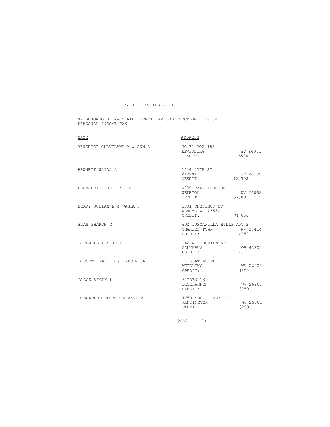NEIGHBORHOOD INVESTMENT CREDIT WV CODE SECTION: 11-13J PERSONAL INCOME TAX

| NAME                                       | ADDRESS                                                        |                     |
|--------------------------------------------|----------------------------------------------------------------|---------------------|
| BENEDICT CLEVELAND K & ANN A HC 37 BOX 155 | LEWISBURG<br>CREDIT:                                           | WV 24901<br>\$500   |
| BENNETT WANDA A                            | 1404 55TH ST<br>VIENNA<br>CREDIT:                              | WV 26105<br>\$2,308 |
| BERNABEI JOHN J & SUE C                    | 4009 PALISADES DR<br><b>WETRTON</b><br>CREDIT:                 | WV 26062<br>\$2,802 |
| BERRY JULIAN E & WANDA J                   | 1701 CHESTNUT ST<br>KENOVA WV 25530<br>CREDIT:                 | \$1,850             |
| BIAS SHARON G                              | 602 TUSCAWILLA HILLS APT 2<br>CHARLES TOWN WV 25414<br>CREDIT: | \$250               |
| BIRDWELL LESLIE P                          | 142 W LONGVIEW AV<br>COLUMBUS<br>CREDIT:                       | OH 43202<br>\$632   |
| BISSETT PAUL D & CAROLE JR                 | 1526 ATLAS RD<br>WHEELING<br>CREDIT:                           | WV 26003<br>\$2.50  |
| BLACK VICKY L                              | 3 IDEN LN<br>BUCKHANNON<br>CREDIT:                             | WV 26201<br>\$250   |
| BLACKBURN JOHN R & ANNA V                  | 1250 SOUTH PARK DR<br>HUNTINGTON<br>CREDIT:                    | WV 25701<br>\$250   |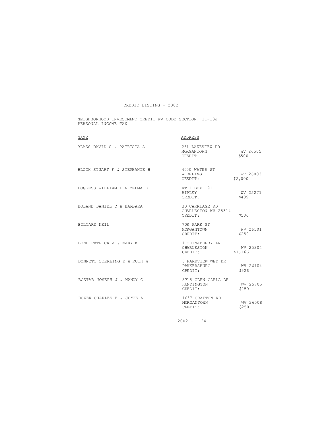NEIGHBORHOOD INVESTMENT CREDIT WV CODE SECTION: 11-13J PERSONAL INCOME TAX

| NAME                                       | ADDRESS                                           |                     |
|--------------------------------------------|---------------------------------------------------|---------------------|
| BLASS DAVID C & PATRICIA A                 | 261 LAKEVIEW DR<br>MORGANTOWN<br>CREDIT:          | WV 26505<br>\$500   |
| BLOCH STUART F & STEPHANIE H 4000 WATER ST | WHEELING<br>CREDIT:                               | WV 26003<br>\$2,000 |
| BOGGESS WILLIAM F & ZELMA D                | RT 1 BOX 191<br>R TPLEY<br>CREDIT:                | WV 25271<br>\$489   |
| BOLAND DANIEL C & BARBARA                  | 30 CARRIAGE RD<br>CHARLESTON WV 25314<br>CREDIT:  | \$500               |
| BOLYARD NEIL                               | 708 PARK ST<br>MORGANTOWN<br>CREDIT:              | WV 26501<br>\$250   |
| BOND PATRICK A & MARY K                    | 1 CHINABERRY LN<br>CHARLESTON WV 25304<br>CREDIT: | \$1,166             |
| BONNETT STERLING K & RUTH W                | 6 PARKVIEW WEY DR<br>PARKERSBURG<br>CREDIT:       | WV 26104<br>\$926   |
| BOSTAR JOSEPH J & NANCY C                  | 5718 GLEN CARLA DR<br>HUNTINGTON<br>CREDIT:       | WV 25705<br>\$2.50  |
| BOWER CHARLES E & JOYCE A                  | 1037 GRAFTON RD<br>MORGANTOWN<br>CREDIT:          | WV 26508<br>\$250   |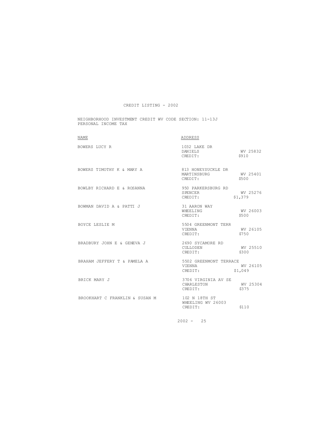NEIGHBORHOOD INVESTMENT CREDIT WV CODE SECTION: 11-13J PERSONAL INCOME TAX

| NAME                           | ADDRESS                                       |                     |
|--------------------------------|-----------------------------------------------|---------------------|
| BOWERS LUCY R                  | 1032 LAKE DR<br>DANIELS<br>CREDIT:            | WV 25832<br>\$910   |
| BOWERS TIMOTHY K & MARY A      | 813 HONEYSUCKLE DR<br>MARTINSBURG<br>CREDIT:  | WV 25401<br>\$500   |
| BOWLBY RICHARD E & ROSANNA     | 950 PARKERSBURG RD<br>SPENCER<br>CREDIT:      | WV 25276<br>\$1,379 |
| BOWMAN DAVID A & PATTI J       | 31 AARON WAY<br>WHEELING<br>CREDIT:           | WV 26003<br>\$500   |
| BOYCE LESLIE M                 | 5504 GREENMONT TERR<br>VIENNA<br>CREDIT:      | WV 26105<br>\$750   |
| BRADBURY JOHN E & GENEVA J     | 2690 SYCAMORE RD<br>CULLODEN<br>CREDIT:       | WV 25510<br>\$300   |
| BRAHAM JEFFERY T & PAMELA A    | 5502 GREENMONT TERRACE<br>VIENNA<br>CREDIT:   | WV 26105<br>\$1,049 |
| BRICK MARY J                   | 3706 VIRGINIA AV SE<br>CHARLESTON<br>CREDIT:  | WV 25304<br>\$375   |
| BROOKHART C FRANKLIN & SUSAN M | 102 N 18TH ST<br>WHEELING WV 26003<br>CREDIT: | \$110               |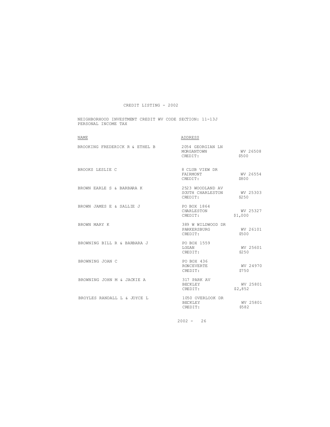NEIGHBORHOOD INVESTMENT CREDIT WV CODE SECTION: 11-13J PERSONAL INCOME TAX

| NAME                           | ADDRESS                                         |                     |
|--------------------------------|-------------------------------------------------|---------------------|
| BROOKING FREDERICK R & ETHEL B | 2054 GEORGIAN LN<br>MORGANTOWN<br>CREDIT:       | WV 26508<br>\$500   |
| BROOKS LESLIE C                | 8 CLUB VIEW DR<br>FAIRMONT<br>CREDIT:           | WV 26554<br>\$800   |
| BROWN EARLE S & BARBARA K      | 2523 WOODLAND AV<br>SOUTH CHARLESTON<br>CREDIT: | WV 25303<br>\$250   |
| BROWN JAMES E & SALLIE J       | PO BOX 1864<br>CHARLESTON<br>CREDIT:            | WV 25327<br>\$1,000 |
| BROWN MARY K                   | 389 W WILDWOOD DR<br>PARKERSBURG<br>CREDIT:     | WV 26101<br>\$500   |
| BROWNING BILL R & BARBARA J    | <b>PO BOX 1559</b><br><b>LOGAN</b><br>CREDIT:   | WV 25601<br>\$250   |
| BROWNING JOAN C                | PO BOX 436<br>RONCEVERTE<br>CREDIT:             | WV 24970<br>\$750   |
| BROWNING JOHN M & JACKIE A     | 317 PARK AV<br>BECKLEY<br>CREDIT:               | WV 25801<br>\$2,852 |
| BROYLES RANDALL L & JOYCE L    | 1050 OVERLOOK DR<br>BECKLEY<br>CREDIT:          | WV 25801<br>\$582   |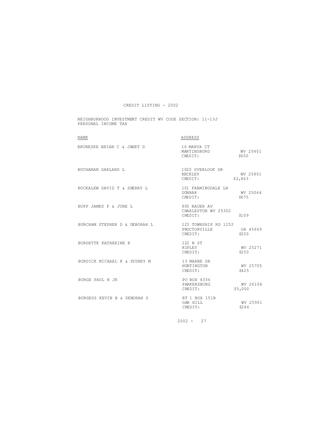NEIGHBORHOOD INVESTMENT CREDIT WV CODE SECTION: 11-13J PERSONAL INCOME TAX

| NAME                          | ADDRESS                                         |                     |
|-------------------------------|-------------------------------------------------|---------------------|
| BRUNESKE BRIAN C & JANET D    | 16 MARVA CT<br>MARTINSBURG<br>CREDIT:           | WV 25401<br>\$650   |
| BUCHANAN GARLAND L            | 1020 OVERLOOK DR<br>BECKLEY<br>CREDIT:          | WV 25801<br>\$2,863 |
| BUCKALEW DAVID T & SHERRY L   | 101 FARMINGDALE LN<br>DUNBAR<br>CREDIT:         | WV 25064<br>\$675   |
| BUPP JAMES P & JUNE L         | 800 BAUER AV<br>CHARLESTON WV 25302<br>CREDIT:  | \$109               |
| BURCHAM STEPHEN D & DEBORAH L | 123 TOWNSHIP RD 1252<br>PROCTORVILLE<br>CREDIT: | OH 45669<br>\$200   |
| BURDETTE KATHERINE K          | 122 N ST<br>RTPLEY<br>CREDIT:                   | WV 25271<br>\$250   |
| BURDICK MICHAEL K & SYDNEY M  | 13 MARNE DR<br>HUNTINGTON<br>CREDIT:            | WV 25705<br>\$425   |
| BURGE PAUL R JR               | PO BOX 4336<br>PARKERSBURG<br>CREDIT:           | WV 26104<br>\$5,000 |
| BURGESS KEVIN B & DEBORAH S   | RT 1 BOX 151B<br>OAK HILL<br>CREDIT:            | WV 25901<br>\$266   |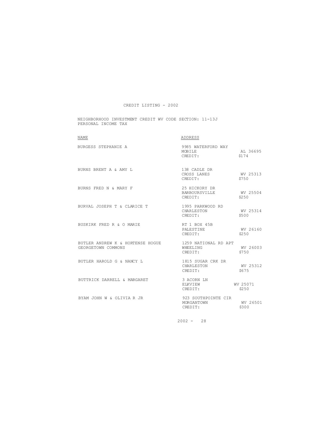NEIGHBORHOOD INVESTMENT CREDIT WV CODE SECTION: 11-13J PERSONAL INCOME TAX

| NAME                                                   | ADDRESS                                           |                   |
|--------------------------------------------------------|---------------------------------------------------|-------------------|
| BURGESS STEPHANIE A                                    | 9985 WATERFORD WAY<br>MOBILE<br>CREDIT:           | AL 36695<br>\$174 |
| BURNS BRENT A & AMY L                                  | 138 CADLE DR<br>CROSS LANES<br>CREDIT:            | WV 25313<br>\$750 |
| BURNS FRED N & MARY F                                  | 25 HICKORY DR<br>BARBOURSVILLE<br>CREDIT:         | WV 25504<br>\$250 |
| BURVAL JOSEPH T & CLARICE T                            | 1995 PARKWOOD RD<br>CHARLESTON<br>CREDIT:         | WV 25314<br>\$500 |
| BUSKIRK FRED R & O MARIE                               | RT 1 BOX 45B<br>PALESTINE<br>CREDIT:              | WV 26160<br>\$250 |
| BUTLER ANDREW K & HORTENSE HOGUE<br>GEORGETOWN COMMONS | 1259 NATIONAL RD APT<br>WHEELING<br>CREDIT:       | WV 26003<br>\$750 |
| BUTLER HAROLD G & NANCY L                              | 1815 SUGAR CRK DR<br><b>CHARLESTON</b><br>CREDIT: | WV 25312<br>\$675 |
| BUTTRICK DARRELL & MARGARET                            | 3 ACORN LN<br>ELKVIEW<br>CREDIT:                  | WV 25071<br>\$250 |
| BYAM JOHN W & OLIVIA R JR                              | 923 SOUTHPOINTE CIR<br>MORGANTOWN<br>CREDIT:      | WV 26501<br>\$300 |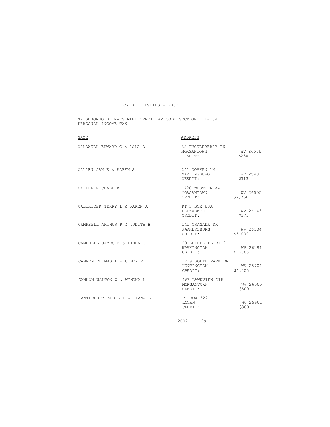NEIGHBORHOOD INVESTMENT CREDIT WV CODE SECTION: 11-13J PERSONAL INCOME TAX

| NAME                                        | ADDRESS                                             |                     |
|---------------------------------------------|-----------------------------------------------------|---------------------|
| CALDWELL EDWARD C & LOLA D                  | 32 HUCKLEBERRY LN<br>MORGANTOWN<br>CREDIT:          | WV 26508<br>\$250   |
| CALLEN JAN E & KAREN S                      | 244 GOSHEN LN<br>MARTINSBURG<br>CREDIT:             | WV 25401<br>\$313   |
| CALLEN MICHAEL K                            | 1420 WESTERN AV<br>MORGANTOWN<br>CREDIT:            | WV 26505<br>\$2,750 |
| CALTRIDER TERRY L & KAREN A                 | RT 3 BOX 83A<br><b>ELIZABETH</b><br>CREDIT:         | WV 26143<br>\$375   |
| CAMPBELL ARTHUR R & JUDITH B 141 GRANADA DR | PARKERSBURG<br>CREDIT:                              | WV 26104<br>\$5,000 |
| CAMPBELL JAMES K & LINDA J                  | 20 BETHEL PL RT 2<br>WASHINGTON WV 26181<br>CREDIT: | \$7,365             |
| CANNON THOMAS L & CINDY R                   | 1219 SOUTH PARK DR<br>HUNTINGTON<br>CREDIT:         | WV 25701<br>\$1,005 |
| CANNON WALTON W & WINONA H                  | 467 LAWNVIEW CIR<br>MORGANTOWN<br>CREDIT:           | WV 26505<br>\$500   |
| CANTERBURY EDDIE D & DIANA L                | PO BOX 622<br>LOGAN<br>CREDIT:                      | WV 25601<br>\$300   |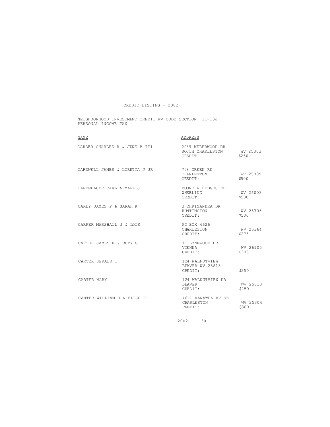NEIGHBORHOOD INVESTMENT CREDIT WV CODE SECTION: 11-13J PERSONAL INCOME TAX

| NAME                          | ADDRESS                                          |                    |
|-------------------------------|--------------------------------------------------|--------------------|
| CARDER CHARLES R & JUNE B III | 2039 WEBERWOOD DR<br>SOUTH CHARLESTON<br>CREDIT: | WV 25303<br>\$250  |
| CARDWELL JAMES & LORETTA J JR | 708 GREEN RD<br>CHARLESTON<br>CREDIT:            | WV 25309<br>\$500  |
| CARENBAUER CARL & MARY J      | BOONE & HEDGES RD<br>WHEELING<br>CREDIT:         | WV 26003<br>\$500  |
| CAREY JAMES P & SARAH K       | 3 CHRISANDRA DR<br>HUNTINGTON<br>CREDIT:         | WV 25705<br>\$500  |
| CARPER MARSHALL J & LOIS      | PO BOX 4626<br>CHARLESTON<br>CREDIT:             | WV 25364<br>\$2.75 |
| CARTER JAMES M & RUBY G       | 11 LYNNWOOD DR<br>VIENNA<br>CREDIT:              | WV 26105<br>\$300  |
| CARTER JERALD T               | 124 WALNUTVIEW<br>BEAVER WV 25813<br>CREDIT:     | \$250              |
| CARTER MARY                   | 124 WALNUTVIEW DR<br>BEAVER<br>CREDIT:           | WV 25813<br>\$2.50 |
| CARTER WILLIAM H & ELISE P    | 4011 KANAWHA AV SE<br>CHARLESTON<br>CREDIT:      | WV 25304<br>\$383  |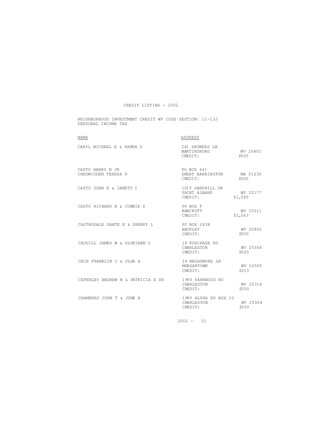NEIGHBORHOOD INVESTMENT CREDIT WV CODE SECTION: 11-13J PERSONAL INCOME TAX

| NAME                                    | ADDRESS                                            |                     |
|-----------------------------------------|----------------------------------------------------|---------------------|
| CARYL MICHAEL E & KAREN S               | 241 SHOWERS LN<br>MARTINSBURG<br>CREDIT:           | WV 25401<br>\$500   |
| CASTO HARRY N JR<br>CHEGWIDDEN TERESA P | PO BOX 641<br>GREAT BARRINGTON MA 01230<br>CREDIT: | \$500               |
| CASTO JOHN E & JANETT C                 | 1019 SANDHILL DR<br>SAINT ALBANS<br>CREDIT:        | WV 25177<br>\$1,060 |
| CASTO RICHARD B & CONNIE S              | <b>PO BOX F</b><br>BANCROFT<br>CREDIT:             | WV 25011<br>\$2,063 |
| CASTRODALE DANTE E & SHERRY L           | PO BOX 2438<br>BECKLEY<br>CREDIT:                  | WV 25802<br>\$500   |
| CAUDILL JAMES W & GLORIANN C            | 18 FOXCHASE RD<br>CHARLESTON<br>CREDIT:            | WV 25304<br>\$500   |
| CECH FRANKLIN C & OLGA A                | 24 BROADMORE LN<br>MORGANTOWN<br>CREDIT:           | WV 26505<br>\$313   |
| CEPERLEY ANDREW R & PATRICIA E SR       | 1993 PARKWOOD RD<br>CHARLESTON<br>CREDIT:          | WV 25314<br>\$2.50  |
| CHAMBERS JOHN T & JUNE R                | 1980 ALPHA RD BOX 10<br>CHARLESTON<br>CREDIT:      | WV 25304<br>\$2.50  |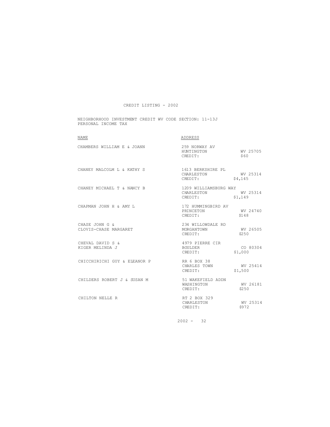NEIGHBORHOOD INVESTMENT CREDIT WV CODE SECTION: 11-13J PERSONAL INCOME TAX

| NAME                                    | ADDRESS                                                   |                     |
|-----------------------------------------|-----------------------------------------------------------|---------------------|
| CHAMBERS WILLIAM E & JOANN              | 259 NORWAY AV<br>HUNTINGTON<br>CREDIT:                    | WV 25705<br>\$60    |
| CHANEY MALCOLM L & KATHY S              | 1613 BERKSHIRE PL<br>CHARLESTON<br>\$4,145<br>CREDIT:     | WV 25314            |
| CHANEY MICHAEL T & NANCY B              | 1209 WILLIAMSBURG WAY<br>CHARLESTON<br>CREDIT:<br>\$1,149 | WV 25314            |
| CHAPMAN JOHN H & AMY L                  | 172 HUMMINGBIRD AV<br>PRINCETON<br>CREDIT:                | WV 24740<br>\$148   |
| CHASE JOHN G &<br>CLOVIS-CHASE MARGARET | 234 WILLOWDALE RD<br>MORGANTOWN<br>CREDIT:                | WV 26505<br>\$250   |
| CHEVAL DAVID S &<br>KIGER MELINDA J     | 4979 PIERRE CIR<br><b>BOULDER</b><br>CREDIT:              | CO 80304<br>\$1,000 |
| CHICCHIRICHI GUY & EIEANOR P            | RR 6 BOX 38<br>CHARLES TOWN<br>CREDIT:                    | WV 25414<br>\$1,500 |
| CHILDERS ROBERT J & SUSAN M             | 51 WAKEFIELD ADDN<br>WASHINGTON<br>CREDIT:                | WV 26181<br>\$250   |
| CHILTON NELLE R                         | RT 2 BOX 329<br>CHARLESTON<br>CREDIT:                     | WV 25314<br>\$972   |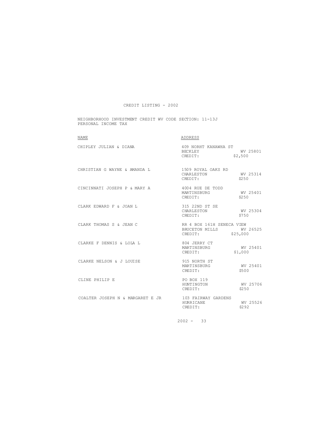NEIGHBORHOOD INVESTMENT CREDIT WV CODE SECTION: 11-13J PERSONAL INCOME TAX

| NAME                                            | ADDRESS                                                                     |          |
|-------------------------------------------------|-----------------------------------------------------------------------------|----------|
| CHIPLEY JULIAN & DIANA                          | 409 NORHT KANAWHA ST<br>WV 25801<br>BECKLEY<br>CREDIT: \$2,500              |          |
| CHRISTIAN G WAYNE & AMANDA L 1509 ROYAL OAKS RD | CHARLESTON<br>\$250<br>CREDIT:                                              | WV 25314 |
| CINCINNATI JOSEPH P & MARY A 4004 RUE DE TODD   | MARTINSBURG<br>\$250<br>CREDIT:                                             | WV 25401 |
| CLARK EDWARD F & JOAN L                         | 315 22ND ST SE<br>WV 25304<br>CHARLESTON<br>\$750<br>CREDIT:                |          |
| CLARK THOMAS S & JEAN C                         | RR 4 BOX 161H SENECA VIEW<br>BRUCETON MILLS WV 26525<br>\$25,000<br>CREDIT: |          |
| CLARKE F DENNIS & LOLA L                        | 804 JERRY CT<br>MARTINSBURG<br>\$1,000<br>CREDIT:                           | WV 25401 |
| CLARKE NELSON & J LOUISE                        | 915 NORTH ST<br>MARTINSBURG<br>\$500<br>CREDIT:                             | WV 25401 |
| CLINE PHILIP E                                  | PO BOX 119<br>HUNTINGTON<br>WV 25706<br>\$250<br>CREDIT:                    |          |
| COALTER JOSEPH N & MARGARET E JR                | 103 FAIRWAY GARDENS<br>HURRICANE<br>\$292<br>CREDIT:                        | WV 25526 |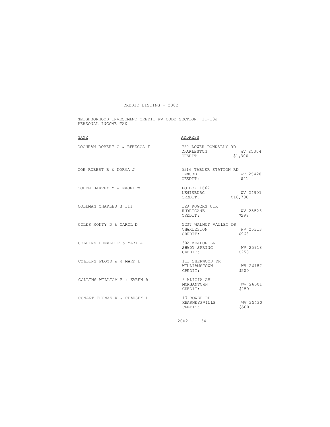NEIGHBORHOOD INVESTMENT CREDIT WV CODE SECTION: 11-13J PERSONAL INCOME TAX

| NAME                         | ADDRESS                                                         |                      |
|------------------------------|-----------------------------------------------------------------|----------------------|
| COCHRAN ROBERT C & REBECCA F | 789 LOWER DONNALLY RD<br>CHARLESTON WV 25304<br>CREDIT: \$1,300 |                      |
| COE ROBERT B & NORMA J       | 5216 TABLER STATION RD<br>TNWOOD<br>CREDIT:                     | WV 25428<br>\$41     |
| COHEN HARVEY M & NAOMI W     | PO BOX 1667<br>LEWISBURG<br>CREDIT:                             | WV 24901<br>\$10,700 |
| COLEMAN CHARLES B III        | 128 ROGERS CIR<br>HURRICANE<br>CREDIT:                          | WV 25526<br>\$298    |
| COLES MONTY D & CAROL D      | 5237 WALNUT VALLEY DR<br>CHARLESTON<br>CREDIT:                  | WV 25313<br>\$968    |
| COLLINS DONALD R & MARY A    | 302 MEADOR LN<br>SHADY SPRING<br>CREDIT:                        | WV 25918<br>\$250    |
| COLLINS FLOYD W & MARY L     | 111 SHERWOOD DR<br>WILLIAMSTOWN<br>CREDIT:                      | WV 26187<br>\$500    |
| COLLINS WILLIAM E & KAREN R  | 8 ALICIA AV<br>MORGANTOWN<br>CREDIT:                            | WV 26501<br>\$250    |
| CONANT THOMAS W & CHADSEY L  | 17 BOWER RD<br>KEARNEYSVILLE<br>CREDIT:                         | WV 25430<br>\$500    |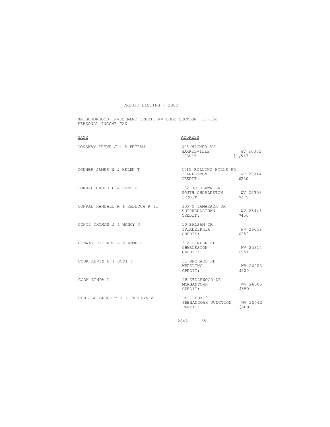NEIGHBORHOOD INVESTMENT CREDIT WV CODE SECTION: 11-13J PERSONAL INCOME TAX

| NAME                            | ADDRESS                                                |                     |
|---------------------------------|--------------------------------------------------------|---------------------|
| CONAWAY IRENE J & A BETRAM      | 606 WIGNER AV<br>HARRISVILLE<br>CREDIT:                | WV 26362<br>\$1,567 |
| CONNER JAMES W & HELEN T        | 1715 ROLLING HILLS RD<br>CHARLESTON<br>CREDIT:         | WV 25314<br>\$2.50  |
| CONRAD BRUCE P & RUTH E         | 132 RUTHLAWN DR<br>SOUTH CHARLESTON<br>CREDIT:         | WV 25309<br>\$379   |
| CONRAD RANDALL R & REBECCA K II | 305 N TAMARACK DR<br>SHEPHERDSTOWN<br>CREDIT:          | WV 25443<br>\$450   |
| CONTI THOMAS J & NANCY J        | 10 BALSAM DR<br>TRIADELPHIA<br>CREDIT:                 | WV 26059<br>\$250   |
| CONWAY RICHARD A & ANNE H       | 612 LINDEN RD<br>CHARLESTON<br>CREDIT:                 | WV 25314<br>\$5551  |
| COOK KEVIN B & JODI F           | 31 ORCHARD RD<br>WHEELING<br>CREDIT:                   | WV 26003<br>\$500   |
| COOK LINDA L                    | 28 CEDARWOOD DR<br>MORGANTOWN<br>CREDIT:               | WV 26505<br>\$550   |
| CORLISS GREGORY A & CAROLYN A   | RR 1 BOX 91<br>SHENANDOAH JUNCTION WV 25442<br>CREDIT: | \$500               |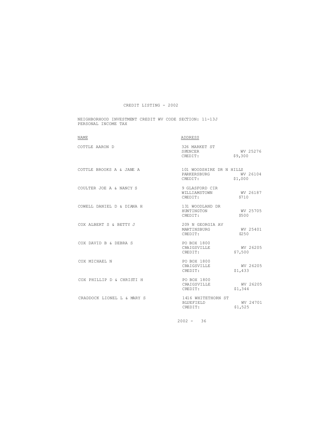NEIGHBORHOOD INVESTMENT CREDIT WV CODE SECTION: 11-13J PERSONAL INCOME TAX

| <b>NAME</b>                | ADDRESS                                                     |                     |
|----------------------------|-------------------------------------------------------------|---------------------|
| COTTLE AARON D             | 326 MARKET ST<br>SPENCER<br>CREDIT:                         | WV 25276<br>\$9,300 |
| COTTLE BROOKS A & JANE A   | 101 WOODSHIRE DR N HILLS<br>PARKERSBURG WV 26104<br>CREDIT: | \$1,000             |
| COULTER JOE A & NANCY S    | 9 GLASFORD CIR<br>WILLIAMSTOWN<br>CREDIT:                   | WV 26187<br>\$710   |
| COWELL DANIEL D & DIANA H  | 131 WOODLAND DR<br>HUNTINGTON<br>CREDIT:                    | WV 25705<br>\$500   |
| COX ALBERT S & BETTY J     | 209 N GEORGIA AV<br>MARTINSBURG<br>CREDIT:                  | WV 25401<br>\$250   |
| COX DAVID B & DEBRA S      | PO BOX 1800<br>CRAIGSVILLE<br>CREDIT:                       | WV 26205<br>\$7,500 |
| COX MICHAEL N              | PO BOX 1800<br>CRAIGSVILLE<br>CREDIT:                       | WV 26205<br>\$1,433 |
| COX PHILLIP D & CHRISTI H  | PO BOX 1800<br>CRAIGSVILLE<br>CREDIT:                       | WV 26205<br>\$1,344 |
| CRADDOCK LIONEL L & MARY S | 1416 WHITETHORN ST<br>BIUEFIELD<br>CREDIT:                  | WV 24701<br>\$1,525 |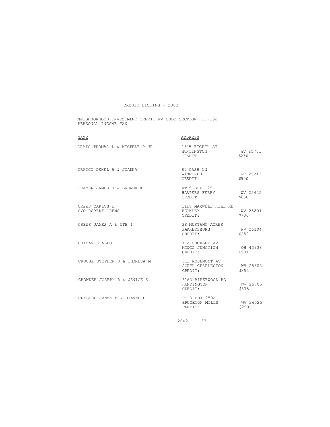NEIGHBORHOOD INVESTMENT CREDIT WV CODE SECTION: 11-13J PERSONAL INCOME TAX

| NAME                               | ADDRESS                                                 |                    |
|------------------------------------|---------------------------------------------------------|--------------------|
| CRAIG THOMAS L & MICHELE P JR      | 1305 EIGHTH ST<br>HUNTINGTON<br>CREDIT:                 | WV 25701<br>\$250  |
| CRAIGO OSHEL B & JOANNA            | 87 CASH LN<br>WINFIELD<br>CREDIT:                       | WV 25213<br>\$500  |
| CRAMER JAMES J & BRENDA K          | RT 5 BOX 125<br>HARPERS FERRY WV 25425<br>CREDIT:       | \$650              |
| CREWS CARLOS L<br>C/O ROBERT CREWS | 1118 MAXWELL HILL RD<br><b>BECKLEY</b><br>CREDIT:       | WV 25801<br>\$700  |
| CREWS JAMES A & UTE I              | 38 MUSTANG ACRES<br>PARKERSBURG<br>CREDIT:              | WV 26104<br>\$2.50 |
| CRISANTE ALDO                      | 112 ORCHARD AV<br>MINGO JUNCTION OH 43938<br>CREDIT:    | \$934              |
| CROUSE STEPHEN D & THERESA M       | 611 ROSEMONT AV<br>SOUTH CHARLESTON WV 25303<br>CREDIT: | \$353              |
| CROWDER JOSEPH R & JANICE S        | 6163 BIRKEWOOD RD<br>HUNTINGTON<br>CREDIT:              | WV 25705<br>\$375  |
| CRYSLER JAMES M & DIANNE G         | RT 3 BOX 259A<br>BRUCETON MILLS<br>CREDIT:              | WV 26525<br>\$2.50 |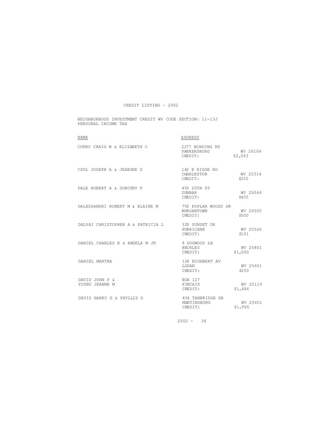NEIGHBORHOOD INVESTMENT CREDIT WV CODE SECTION: 11-13J PERSONAL INCOME TAX

| <b>NAME</b>                       | ADDRESS                                             |                     |
|-----------------------------------|-----------------------------------------------------|---------------------|
| CURRY CRAIG W & ELIZABETH C       | 2277 WINDING RD<br>PARKERSBURG<br>CREDIT:           | WV 26104<br>\$2,063 |
| CZUL JOSEPH A & JEANINE S         | 142 E RIDGE RD<br>CHARLESTON<br>CREDIT:             | WV 25314<br>\$250   |
| DALE ROBERT A & DOROTHY F         | 455 20TH ST<br>DUNBAR<br>CREDIT:                    | WV 25064<br>\$405   |
| DALESSANDRI ROBERT M & ELAINE M   | 756 POPLAR WOODS DR<br>MORGANTOWN<br>CREDIT:        | WV 26505<br>\$500   |
| DALYAI CHRISTOPHER A & PATRICIA L | 328 SUNSET DR<br>HURRICANE<br>CREDIT:               | WV 25526<br>\$101   |
| DANIEL CHARLES R & ANGELA M JR    | 8 DOGWOOD LN<br>BECKLEY<br>CREDIT:                  | WV 25801<br>\$1,000 |
| DANIEL MARTHA                     | 128 NIGHBERT AV<br>LOGAN<br>CREDIT:                 | WV 25601<br>\$250   |
| DAVID JOHN P &<br>YOUNG JEANNE M  | BOX 127<br>KINCAID<br>CREDIT:                       | WV 25119<br>\$1,486 |
| DAVIS HARRY G & PHYLLIS G         | 454 TANBRIDGE DR<br>MARTINSBURG WV 25401<br>CREDIT: | \$1,995             |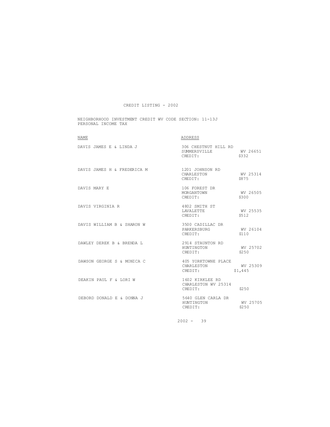NEIGHBORHOOD INVESTMENT CREDIT WV CODE SECTION: 11-13J PERSONAL INCOME TAX

| NAME                        | ADDRESS                                                  |                     |
|-----------------------------|----------------------------------------------------------|---------------------|
| DAVIS JAMES E & LINDA J     | 306 CHESTNUT HILL RD<br>SUMMERSVILLE WV 26651<br>CREDIT: | \$3332              |
| DAVIS JAMES H & FREDERICA M | 1201 JOHNSON RD<br>CHARLESTON<br>CREDIT:                 | WV 25314<br>\$875   |
| DAVIS MARY E                | 106 FOREST DR<br>MORGANTOWN<br>CREDIT:                   | WV 26505<br>\$300   |
| DAVIS VIRGINIA R            | 4802 SMITH ST<br>LAVALETTE<br>CREDIT:                    | WV 25535<br>\$512   |
| DAVIS WILLIAM B & SHARON W  | 3500 CADILLAC DR<br>PARKERSBURG WV 26104<br>CREDIT:      | \$110               |
| DAWLEY DEREK B & BRENDA L   | 2914 STAUNTON RD<br>HUNTINGTON<br>CREDIT:                | WV 25702<br>\$2.50  |
| DAWSON GEORGE S & MONICA C  | 405 YORKTOWNE PLACE<br>CHARLESTON<br>CREDIT:             | WV 25309<br>\$1,445 |
| DEAKIN PAUL F & LORI W      | 1602 KIRKLEE RD<br>CHARLESTON WV 25314<br>CREDIT:        | \$250               |
| DEBORD DONALD E & DONNA J   | 5640 GLEN CARLA DR<br>HUNTINGTON<br>CREDIT:              | WV 25705<br>\$250   |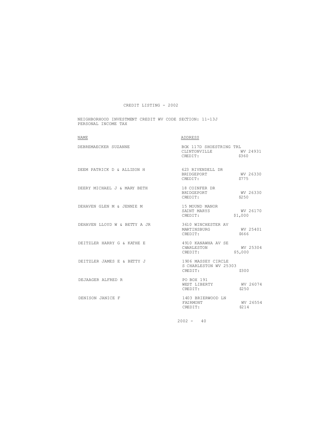NEIGHBORHOOD INVESTMENT CREDIT WV CODE SECTION: 11-13J PERSONAL INCOME TAX

| NAME                                        | ADDRESS                                                     |                     |
|---------------------------------------------|-------------------------------------------------------------|---------------------|
| DEBREMAECKER SUZANNE                        | BOX 117D SHOESTRING TRL<br>CLINTONVILLE WV 24931<br>CREDIT: | \$360               |
| DEEM PATRICK D & ALLISON H 623 RIVENDELL DR | BRIDGEPORT<br>CREDIT:                                       | WV 26330<br>\$775   |
| DEERY MICHAEL J & MARY BETH                 | 18 COINFER DR<br>BRIDGEPORT<br>CREDIT:                      | WV 26330<br>\$2.50  |
| DEHAVEN GLEN M & JENNIE M                   | 15 MOUND MANOR<br>SAINT MARYS WV 26170<br>CREDIT:           | \$1,000             |
| DEHAVEN LLOYD W & BETTY A JR                | 3610 WINCHESTER AV<br>MARTINSBURG WV 25401<br>CREDIT:       | \$666               |
| DEITZLER HARRY G & KATHE E                  | 4910 KANAWHA AV SE<br>CHARLESTON<br>CREDIT:                 | WV 25304<br>\$5,000 |
| DEITZLER JAMES E & BETTY J                  | 1906 MASSEY CIRCLE<br>S CHARLESTON WV 25303<br>CREDIT:      | \$300               |
| DEJAAGER ALFRED R                           | PO BOX 191<br>WEST LIBERTY<br>CREDIT:                       | WV 26074<br>\$250   |
| DENISON JANICE F                            | 1403 BRIERWOOD LN<br>FAIRMONT<br>CREDIT:                    | WV 26554<br>\$214   |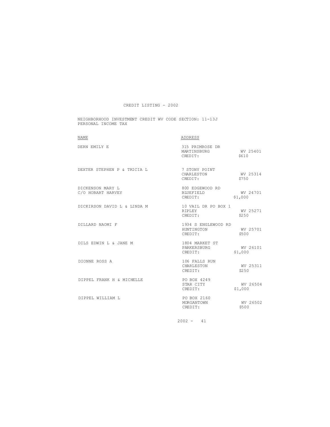NEIGHBORHOOD INVESTMENT CREDIT WV CODE SECTION: 11-13J PERSONAL INCOME TAX

| NAME                                  | ADDRESS                                        |                     |
|---------------------------------------|------------------------------------------------|---------------------|
| DERN EMILY E                          | 315 PRIMROSE DR<br>MARTINSBURG<br>CREDIT:      | WV 25401<br>\$610   |
| DEXTER STEPHEN P & TRICIA L           | 7 STONY POINT<br>CHARLESTON<br>CREDIT:         | WV 25314<br>\$750   |
| DICKENSON MARY L<br>C/O HOBART HARVEY | 800 EDGEWOOD RD<br><b>BLUEFIELD</b><br>CREDIT: | WV 24701<br>\$1,000 |
| DICKIRSON DAVID L & LINDA M           | 10 VAIL DR PO BOX 1<br>RTPLEY<br>CREDIT:       | WV 25271<br>\$250   |
| DILLARD NAOMI F                       | 1934 S ENGLEWOOD RD<br>HUNTINGTON<br>CREDIT:   | WV 25701<br>\$500   |
| DILS EDWIN L & JANE M                 | 1804 MARKET ST<br>PARKERSBURG<br>CREDIT:       | WV 26101<br>\$1,000 |
| DIONNE ROSS A                         | 106 FALLS RUN<br>CHARLESTON<br>CREDIT:         | WV 25311<br>\$250   |
| DIPPEL FRANK H & MICHELLE             | PO BOX 4249<br>STAR CITY<br>CREDIT:            | WV 26504<br>\$1,000 |
| DIPPEL WILLIAM L                      | PO BOX 2160<br>MORGANTOWN<br>CREDIT:           | WV 26502<br>\$500   |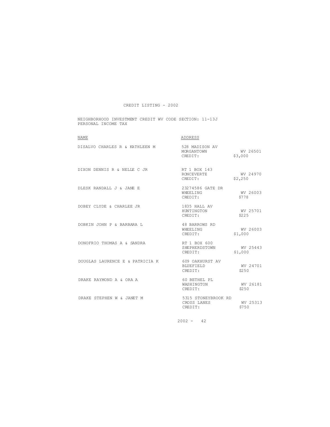NEIGHBORHOOD INVESTMENT CREDIT WV CODE SECTION: 11-13J PERSONAL INCOME TAX

| NAME                                     | ADDRESS                                       |                     |
|------------------------------------------|-----------------------------------------------|---------------------|
| DISALVO CHARLES R & KATHLEEN M           | 528 MADISON AV<br>MORGANTOWN<br>CREDIT:       | WV 26501<br>\$3,000 |
| DIXON DENNIS R & NELLE C JR RT 1 BOX 143 | RONCEVERTE<br>CREDIT:                         | WV 24970<br>\$2,250 |
| DLESK RANDALL J & JANE E                 | 23274586 GATE DR<br>WHEELING<br>CREDIT:       | WV 26003<br>\$778   |
| DOBEY CLYDE & CHARLEE JR                 | 1835 HALL AV<br>HUNTINGTON<br>CREDIT:         | WV 25701<br>\$2.2.5 |
| DOBKIN JOHN P & BARBARA L                | 48 BARROWS RD<br>WHEELING<br>CREDIT:          | WV 26003<br>\$1,000 |
| DONOFRIO THOMAS A & SANDRA               | RT 1 BOX 600<br>SHEPHERDSTOWN<br>CREDIT:      | WV 25443<br>\$1,000 |
| DOUGLAS LAURENCE E & PATRICIA K          | 609 OAKHURST AV<br>BIJEFIELD<br>CREDIT:       | WV 24701<br>\$250   |
| DRAKE RAYMOND A & ORA A                  | 60 BETHEL PL<br>WASHINGTON<br>CREDIT:         | WV 26181<br>\$250   |
| DRAKE STEPHEN W & JANET M                | 5315 STONEYBROOK RD<br>CROSS LANES<br>CREDIT: | WV 25313<br>\$750   |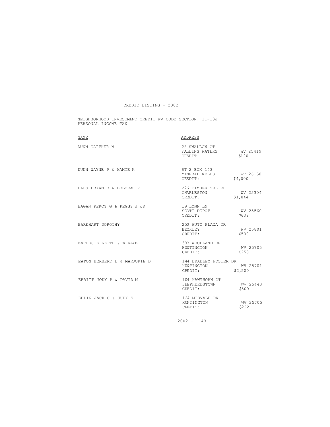NEIGHBORHOOD INVESTMENT CREDIT WV CODE SECTION: 11-13J PERSONAL INCOME TAX

| NAME                         | ADDRESS                                                 |                     |
|------------------------------|---------------------------------------------------------|---------------------|
| <b>DUNN GAITHER M</b>        | 28 SWALLOW CT<br>FALLING WATERS WV 25419<br>CREDIT:     | \$120               |
| DUNN WAYNE P & MAMYE K       | RT 2 BOX 143<br>MINERAL WELLS<br>CREDIT:                | WV 26150<br>\$4,000 |
| EADS BRYAN D & DEBORAH V     | 226 TIMBER TRL RD<br>CHARLESTON<br>CREDIT:              | WV 25304<br>\$1,844 |
| EAGAN PERCY G & PEGGY J JR   | 19 T.YNN T.N<br>SCOTT DEPOT<br>CREDIT:                  | WV 25560<br>\$639   |
| EAREHART DOROTHY             | 250 AUTO PLAZA DR<br>BECKLEY<br>CREDIT:                 | WV 25801<br>\$500   |
| EARLES E KEITH & W KAYE      | 333 WOODLAND DR<br>HUNTINGTON<br>CREDIT:                | MV 25705<br>\$250   |
| EATON HERBERT L & MARJORIE B | 144 BRADLEY FOSTER DR<br>HUNTINGTON WV 25701<br>CREDIT: | \$2,500             |
| EBBITT JODY P & DAVID M      | 104 HAWTHORN CT<br>SHEPHERDSTOWN<br>CREDIT:             | WV 25443<br>\$500   |
| EBLIN JACK C & JUDY S        | 124 MIDVALE DR<br>HUNTINGTON<br>CREDIT:                 | WV 25705<br>\$222   |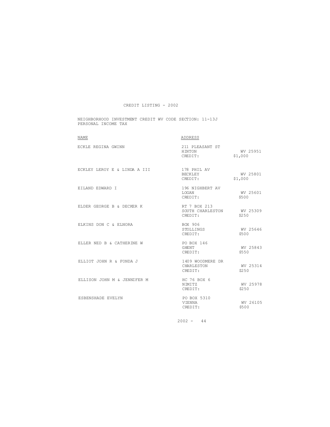NEIGHBORHOOD INVESTMENT CREDIT WV CODE SECTION: 11-13J PERSONAL INCOME TAX

| NAME                         | ADDRESS                                              |                     |
|------------------------------|------------------------------------------------------|---------------------|
| ECKLE REGINA GWINN           | 211 PLEASANT ST<br>HINTON<br>CREDIT:                 | WV 25951<br>\$1,000 |
| ECKLEY LEROY E & LINDA A III | 178 PHIL AV<br>BECKLEY<br>CREDIT:                    | WV 25801<br>\$1,000 |
| EILAND EDWARD I              | 196 NIGHBERT AV<br>LOGAN<br>CREDIT:                  | WV 25601<br>\$500   |
| ELDER GEORGE B & DECKER K    | RT 7 BOX 213<br>SOUTH CHARLESTON WV 25309<br>CREDIT: | \$250               |
| ELKINS DON C & ELNORA        | BOX 906<br>STOLLINGS<br>CREDIT:                      | WV 25646<br>\$500   |
| ELLER NED B & CATHERINE W    | PO BOX 146<br><b>GHENT</b><br>CREDIT:                | WV 25843<br>\$550   |
| ELLIOT JOHN R & FONDA J      | 1409 WOODMERE DR<br>CHARLESTON<br>CREDIT:            | WV 25314<br>\$250   |
| ELLISON JOHN M & JENNIFER M  | HC 76 BOX 6<br>NIMITZ<br>CREDIT:                     | WV 25978<br>\$250   |
| ESBENSHADE EVELYN            | PO BOX 5310<br>VIENNA<br>CREDIT:                     | WV 26105<br>\$500   |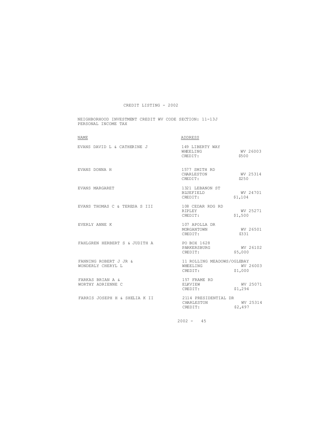NEIGHBORHOOD INVESTMENT CREDIT WV CODE SECTION: 11-13J PERSONAL INCOME TAX

| NAME                                       | ADDRESS                                           |                     |
|--------------------------------------------|---------------------------------------------------|---------------------|
| EVANS DAVID L & CATHERINE J                | 149 LIBERTY WAY<br>WHEELING<br>CREDIT:            | WV 26003<br>\$500   |
| EVANS DONNA H                              | 1577 SMITH RD<br>CHARLESTON<br>CREDIT:            | WV 25314<br>\$2.50  |
| EVANS MARGARET                             | 1321 LEBANON ST<br><b>BLUEFIELD</b><br>CREDIT:    | WV 24701<br>\$1.104 |
| EVANS THOMAS C & TERESA S III              | 108 CEDAR RDG RD<br>RTPLEY<br>CREDIT:             | WV 25271<br>\$1,500 |
| EVERLY ANNE K                              | 107 APOLLA DR<br>MORGANTOWN<br>CREDIT:            | WV 26501<br>\$331   |
| FAHLGREN HERBERT S & JUDITH A              | PO BOX 1628<br>PARKERSBURG<br>CREDIT:             | WV 26102<br>\$5,000 |
| FANNING ROBERT J JR &<br>WONDERLY CHERYL L | 11 ROLLING MEADOWS/OGLEBAY<br>WHEELING<br>CREDIT: | WV 26003<br>\$1,000 |
| FARKAS BRIAN A &<br>WORTHY ADRIENNE C      | 157 FRAME RD<br>EIKVIEW<br>CREDIT:                | WV 25071<br>\$1,294 |
| FARRIS JOSEPH H & SHELIA K II              | 2114 PRESIDENTIAL DR<br>CHARLESTON<br>CREDIT:     | WV 25314<br>\$2,497 |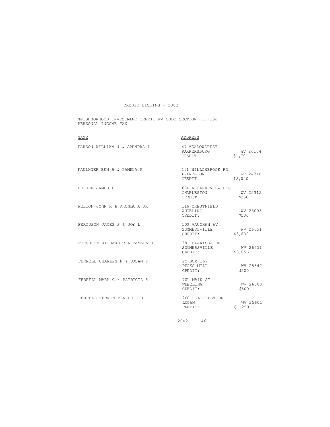NEIGHBORHOOD INVESTMENT CREDIT WV CODE SECTION: 11-13J PERSONAL INCOME TAX

| NAME                          | ADDRESS                                                 |                     |
|-------------------------------|---------------------------------------------------------|---------------------|
| FARSON WILLIAM J & SAUNDRA L  | 47 MEADOWCREST<br>PARKERSBURG WV 26104<br>CREDIT:       | \$1,701             |
| FAULKNER BEN B & PAMELA P     | 171 WILLOWBROOK RD<br>PRINCETON<br>CREDIT:              | WV 24740<br>\$8,020 |
| FELSEN JAMES D                | 694 A CLEARVIEW HTS<br>CHARLESTON<br>2002.00<br>CREDIT: | WV 25312<br>\$2.50  |
| FELTON JOHN R & RHONDA A JR   | 116 CRESTFIELD<br>WHEELING<br>CREDIT:                   | WV 26003<br>\$500   |
| FERGUSON JAMES S & JOY L      | 100 VAUGHAN AV<br>SUMMERSVILLE<br>CREDIT:               | WV 26651<br>\$3,802 |
| FERGUSON RICHARD B & PAMELA J | 381 CLARISSA DR<br>SUMMERSVILLE<br>CREDIT:              | WV 26651<br>\$3,056 |
| FERRELL CHARLES N & SUSAN T   | PO BOX 367<br>PECKS MILL<br>CREDIT:                     | WV 25547<br>\$500   |
| FERRELL MARK C & PATRICIA A   | 701 MAIN ST<br>WHEELING<br>CREDIT:                      | WV 26003<br>\$500   |
| FERRELL VERNON P & RUTH J     | 200 HILLCREST DR<br>LOGAN<br>CREDIT:                    | WV 25601<br>\$1,250 |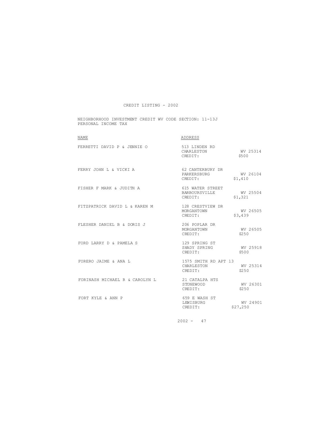NEIGHBORHOOD INVESTMENT CREDIT WV CODE SECTION: 11-13J PERSONAL INCOME TAX

| NAME                           | ADDRESS                                           |                      |
|--------------------------------|---------------------------------------------------|----------------------|
| FERRETTI DAVID P & JENNIE O    | 513 LINDEN RD<br>CHARLESTON<br>CREDIT:            | WV 25314<br>\$500    |
| FERRY JOHN L & VICKI A         | 62 CANTERBURY DR<br>PARKERSBURG<br>CREDIT:        | WV 26104<br>\$1,410  |
| FISHER F MARK & JUDITH A       | 615 WATER STREET<br>BARBOURSVILLE<br>CREDIT:      | WV 25504<br>\$1,321  |
| FITZPATRICK DAVID L & KAREN M  | 128 CRESTVIEW DR<br>MORGANTOWN<br>CREDIT:         | WV 26505<br>\$3,439  |
| FLESHER DANIEL B & DORIS J     | 206 POPLAR DR<br>MORGANTOWN<br>CREDIT:            | WV 26505<br>\$2.50   |
| FORD LARRY D & PAMELA S        | 129 SPRING ST<br>SHADY SPRING WV 25918<br>CREDIT: | \$500                |
| FORERO JAIME & ANA L           | 1575 SMITH RD APT 13<br>CHARLESTON<br>CREDIT:     | WV 25314<br>\$250    |
| FORINASH MICHAEL R & CAROLYN L | 21 CATALPA HTS<br>STONEWOOD<br>CREDIT:            | WV 26301<br>\$250    |
| FORT KYLE & ANN P              | 659 E WASH ST<br>LEWISBURG<br>CREDIT:             | WV 24901<br>\$27,250 |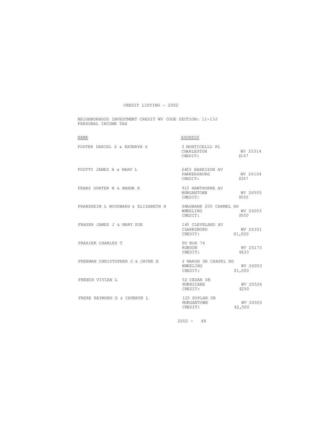NEIGHBORHOOD INVESTMENT CREDIT WV CODE SECTION: 11-13J PERSONAL INCOME TAX

| NAME                               | ADDRESS                                              |                     |
|------------------------------------|------------------------------------------------------|---------------------|
| FOSTER DANIEL S & KATHRYN S        | 3 MONTICELLO PL<br>CHARLESTON<br>CREDIT:             | WV 25314<br>\$167   |
| FOUTTY JAMES H & MARY L            | 2403 HARRISON AV<br>PARKERSBURG<br>CREDIT:           | WV 26104<br>\$367   |
| FRANZ GUNTER N & WANDA K           | 913 HAWTHORNE AV<br>MORGANTOWN<br>CREDIT:            | WV 26505<br>\$500   |
| FRANZHEIM L WOODWARD & ELIZABETH H | SHAGBARK 200 CARMEL RD<br>WHEELING<br>CREDIT:        | WV 26003<br>\$500   |
| FRASER JAMES J & MARY SUE          | 140 CLEVELAND AV<br>CLARKSBURG<br>CREDIT:<br>CREDIT: | WV 26301<br>\$1,500 |
| FRAZIER CHARLES T                  | PO BOX 74<br>ROBSON<br>CREDIT:                       | WV 25173<br>\$433   |
| FREEMAN CHRISTOPHER C & JAYNE E    | 2 MARSH DR CHAPEL RD<br>WHEELING<br>CREDIT:          | WV 26003<br>\$1,000 |
| FRENCH VIVIAN L                    | 52 CEDAR DR<br>HURRICANE<br>CREDIT:                  | WV 25526<br>\$250   |
| FRERE RAYMOND G & CATHRYN L        | 123 POPLAR DR<br>MORGANTOWN<br>CREDIT:               | WV 26505<br>\$2,500 |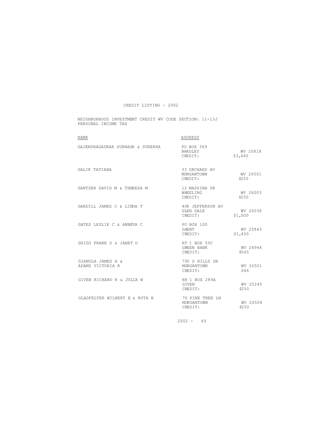NEIGHBORHOOD INVESTMENT CREDIT WV CODE SECTION: 11-13J PERSONAL INCOME TAX

| NAME                                  | ADDRESS                                  |                     |
|---------------------------------------|------------------------------------------|---------------------|
| GAJENDRAGADKAR SUBHASH & SUREKHA      | PO BOX 369<br>BRADLEY<br>CREDIT:         | WV 25818<br>\$3,460 |
| GALIK TATIANA                         | 33 ORCHARD AV<br>MORGANTOWN<br>CREDIT:   | WV 26501<br>\$250   |
| GANTZER DAVID M & THERESA M           | 12 MASSINA DR<br>WHEELING<br>CREDIT:     | WV 26003<br>\$250   |
| GARDILL JAMES C & LINDA T             | 408 JEFFERSON AV<br>GLEN DALE<br>CREDIT: | WV 26038<br>\$1,000 |
| GATES LESLIE C & ANNEVA C             | PO BOX 100<br><b>GHENT</b><br>CREDIT:    | WV 25843<br>\$1,450 |
| GHIGO FRANK D & JANET O               | RT 1 BOX 59C<br>GREEN BANK<br>CREDIT:    | WV 24944<br>\$545   |
| GIANOLA JAMES A &<br>ADAMS VICTORIA R | 705 S HILLS DR<br>MORGANTOWN<br>CREDIT:  | WV 26501<br>\$46    |
| GIVEN RICHARD K & JULIA W             | RR 1 BOX 289A<br><b>GIVEN</b><br>CREDIT: | WV 25245<br>\$250   |
| GLADFELTER WILBERT E & RUTH B         | 70 PINE TREE LN<br>MORGANTOWN<br>CREDIT: | WV 26508<br>\$2.50  |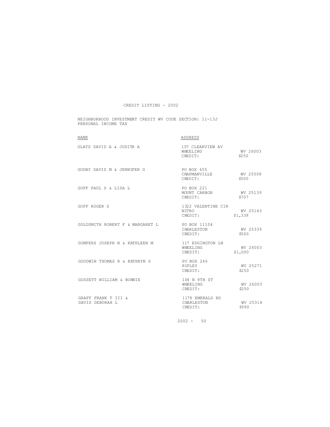NEIGHBORHOOD INVESTMENT CREDIT WV CODE SECTION: 11-13J PERSONAL INCOME TAX

| <b>NAME</b>                            | ADDRESS                                  |                     |
|----------------------------------------|------------------------------------------|---------------------|
| GLATZ DAVID A & JUDITH A               | 107 CLEARVIEW AV<br>WHEELING<br>CREDIT:  | WV 26003<br>\$250   |
| GODBY DAVID M & JENNIFER G             | PO BOX 655<br>CHAPMANVILLE<br>CREDIT:    | WV 25508<br>\$500   |
| GOFF PAUL S & LISA L                   | PO BOX 221<br>MOUNT CARBON<br>CREDIT:    | WV 25139<br>\$707   |
| GOFF ROGER S                           | 1322 VALENTINE CIR<br>NITRO<br>CREDIT:   | WV 25143<br>\$1,338 |
| GOLDSMITH ROBERT F & MARGARET L        | PO BOX 11104<br>CHARLESTON<br>CREDIT:    | WV 25339<br>\$500   |
| GOMPERS JOSEPH N & KATHLEEN M          | 117 EDGINGTON LN<br>WHEELING<br>CREDIT:  | WV 26003<br>\$1,000 |
| GOODWIN THOMAS R & KATHRYN S           | PO BOX 266<br>RTPLEY<br>CREDIT:          | WV 25271<br>\$250   |
| GOSSETT WILLIAM & BONNIE               | 104 N 8TH ST<br>WHEELING<br>CREDIT:      | WV 26003<br>\$250   |
| GRAFF FRANK T III &<br>DAVIS DEBORAH L | 1178 EMERALD RD<br>CHARLESTON<br>CREDIT: | WV 25314<br>\$990   |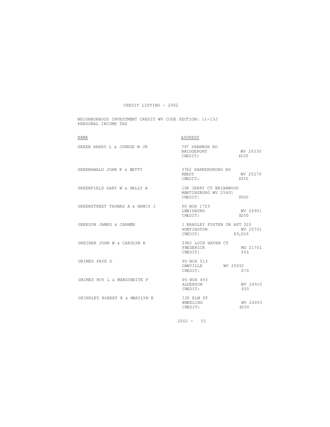NEIGHBORHOOD INVESTMENT CREDIT WV CODE SECTION: 11-13J PERSONAL INCOME TAX

| NAME                                       | ADDRESS                                                       |                    |
|--------------------------------------------|---------------------------------------------------------------|--------------------|
| GREEN HARRY L & JONNIE M JR                | 787 SHANNON RD<br>BRIDGEPORT WV 26330<br>CREDIT:              | \$100              |
| GREENAWALD JOHN K & BETTY                  | 3762 PARKERSBURG RD<br>REEDY<br>CREDIT:                       | WV 25270<br>\$350  |
| GREENFIELD GARY W & SALLY A                | 108 JERRY CT BRIARWOOD<br>MARTINSBURG WV 25401<br>CREDIT:     | \$900              |
| GREENSTREET THOMAS A & NANCY I PO BOX 1729 | LEWISBURG<br>CREDIT:                                          | WV 24901<br>\$2.50 |
| GREESON JAMES & CARMEN                     | 1 BRADLEY FOSTER DR APT 320<br>HUNTINGTON WV 25701<br>CREDIT: | \$9,026            |
| GREINER JOHN W & CAROLYN R                 | 2902 LOCH HAVEN CT<br>FREDERICK<br>CREDIT:                    | MD 21701<br>\$56   |
| GRIMES FAYE D                              | PO BOX 513<br>WV 25053<br><b>DANVILLE</b><br>CREDIT:          | \$70               |
| GRIMES ROY L & MARGUERITE F                | PO BOX 493<br>ALDERSON<br>CREDIT:                             | WV 24910<br>\$50   |
| GRINDLEY ROBERT B & MARILYN K              | 125 ELM ST<br>WHEELING<br>CREDIT:                             | WV 26003<br>\$250  |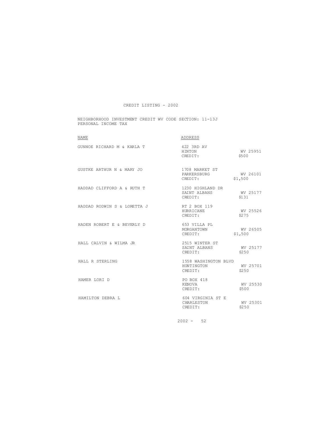NEIGHBORHOOD INVESTMENT CREDIT WV CODE SECTION: 11-13J PERSONAL INCOME TAX

| NAME                        | ADDRESS                                       |                     |
|-----------------------------|-----------------------------------------------|---------------------|
| GUNNOE RICHARD M & KARLA T  | 422 3RD AV<br><b>HINTON</b><br>CREDIT:        | WV 25951<br>\$500   |
| GUSTKE ARTHUR N & MARY JO   | 1708 MARKET ST<br>PARKERSBURG<br>CREDIT:      | WV 26101<br>\$1,500 |
| HADDAD CLIFFORD A & RUTH T  | 1230 HIGHLAND DR<br>SAINT ALBANS<br>CREDIT:   | WV 25177<br>\$131   |
| HADDAD RODWIN S & LORETTA J | RT 2 BOX 119<br><b>HURRICANE</b><br>CREDIT:   | WV 25526<br>\$275   |
| HADEN ROBERT E & BEVERLY D  | 653 VILLA PL<br>MORGANTOWN<br>CREDIT:         | WV 26505<br>\$1,500 |
| HALL CALVIN & WILMA JR      | 2515 WINTER ST<br>SAINT ALBANS<br>CREDIT:     | WV 25177<br>\$250   |
| HALL R STERLING             | 1558 WASHINGTON BLVD<br>HUNTINGTON<br>CREDIT: | WV 25701<br>\$250   |
| HAMER LORI D                | PO BOX 418<br>KENOVA<br>CREDIT:               | WV 25530<br>\$500   |
| HAMILTON DEBRA L            | 604 VIRGINIA ST E<br>CHARLESTON<br>CREDIT:    | WV 25301<br>\$250   |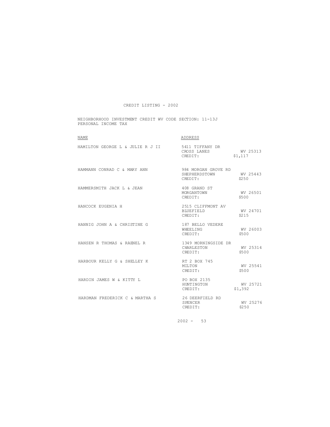NEIGHBORHOOD INVESTMENT CREDIT WV CODE SECTION: 11-13J PERSONAL INCOME TAX

| NAME                             | ADDRESS                                                  |                     |
|----------------------------------|----------------------------------------------------------|---------------------|
| HAMILTON GEORGE L & JULIE R J II | 5411 TIFFANY DR<br>CROSS LANES<br>CREDIT:                | WV 25313<br>\$1,117 |
| HAMMANN CONRAD C & MARY ANN      | 984 MORGAN GROVE RD<br>SHEPHERDSTOWN WV 25443<br>CREDIT: | \$2.50              |
| HAMMERSMITH JACK L & JEAN        | 408 GRAND ST<br>MORGANTOWN<br>CREDIT:                    | WV 26501<br>\$500   |
| HANCOCK EUGENIA H                | 2515 CLIFFMONT AV<br><b>BLUEFIELD</b><br>CREDIT:         | WV 24701<br>\$215   |
| HANNIG JOHN A & CHRISTINE G      | 187 BELLO VEDERE<br>WHEELING<br>CREDIT:                  | WV 26003<br>\$500   |
| HANSEN R THOMAS & RAENEL R       | 1349 MORNINGSIDE DR<br>CHARLESTON<br>CREDIT:             | WV 25314<br>\$500   |
| HARBOUR KELLY G & SHELLEY K      | RT 2 BOX 745<br>MTLTON<br>CREDIT:                        | WV 25541<br>\$500   |
| HARDIN JAMES W & KITTY L         | PO BOX 2135<br>HUNTINGTON<br>CREDIT:                     | WV 25721<br>\$1,392 |
| HARDMAN FREDERICK C & MARTHA S   | 26 DEERFIELD RD<br>SPENCER<br>CREDIT:                    | WV 25276<br>\$2.50  |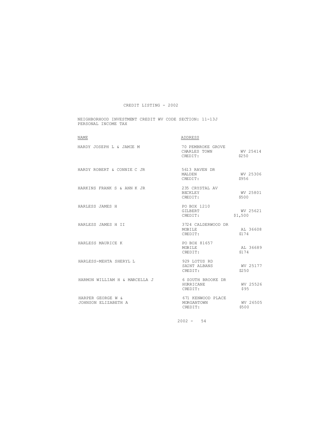NEIGHBORHOOD INVESTMENT CREDIT WV CODE SECTION: 11-13J PERSONAL INCOME TAX

| NAME                                     | ADDRESS                                      |                     |
|------------------------------------------|----------------------------------------------|---------------------|
| HARDY JOSEPH L & JAMIE M                 | 70 PEMBROKE GROVE<br>CHARLES TOWN<br>CREDIT: | WV 25414<br>\$250   |
| HARDY ROBERT & CONNIE C JR 5613 RAVEN DR | MALDEN<br>CREDIT:                            | WV 25306<br>\$956   |
| HARKINS FRANK S & ANN K JR               | 235 CRYSTAL AV<br>BECKLEY<br>CREDIT:         | WV 25801<br>\$500   |
| HARLESS JAMES H                          | PO BOX 1210<br>GILBERT<br>CREDIT:            | WV 25621<br>\$1,500 |
| HARLESS JAMES H II                       | 3724 CALDERWOOD DR<br>MOBILE.<br>CREDIT:     | AL 36608<br>\$174   |
| HARLESS MAURICE K                        | PO BOX 81657<br>MOBILE.<br>CREDIT:           | AL 36689<br>\$174   |
| HARLESS-MEHTA SHERYL L                   | 929 LOTUS RD<br>SAINT ALBANS<br>CREDIT:      | WV 25177<br>\$250   |
| HARMON WILLIAM H & MARCELLA J            | 6 SOUTH BROOKE DR<br>HURRICANE<br>CREDIT:    | WV 25526<br>\$95    |
| HARPER GEORGE W &<br>JOHNSON ELIZABETH A | 671 KENWOOD PLACE<br>MORGANTOWN<br>CREDIT:   | WV 26505<br>\$500   |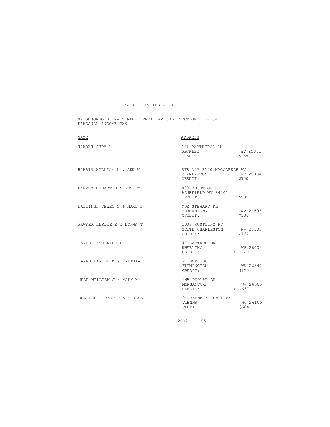NEIGHBORHOOD INVESTMENT CREDIT WV CODE SECTION: 11-13J PERSONAL INCOME TAX

| NAME                        | ADDRESS                                                     |                     |
|-----------------------------|-------------------------------------------------------------|---------------------|
| HARRAH JUDY L               | 101 PARTRIDGE LN<br>BECKLEY<br>CREDIT:                      | WV 25801<br>\$169   |
| HARRIS WILLIAM L & ANN W    | STE 307 3100 MACCORKLE AV<br>CHARLESTON WV 25304<br>CREDIT: | \$500               |
| HARVEY HOBART D & RUTH W    | 800 EDGEWOOD RD<br>BIJEFIELD WV 24701<br>CREDIT:            | \$935               |
| HASTINGS DEWEY S & MARY S   | 902 STEWART PL<br>MORGANTOWN<br>CREDIT:                     | WV 26505<br>\$500   |
| HAWKER LESLIE E & DONNA T   | 1003 RUSTLING RD<br>SOUTH CHARLESTON<br>CREDIT:             | WV 25303<br>\$764   |
| HAYES CATHERINE E           | 41 BAYTREE DR<br>WHEELING<br>CREDIT:                        | WV 26003<br>\$1,029 |
| HAYES HAROLD W & CYNTHIA    | PO BOX 180<br>FLEMINGTON<br>CREDIT:                         | WV 26347<br>\$150   |
| HEAD WILLIAM J & MARY K     | 145 POPLAR DR<br>MORGANTOWN<br>CREDIT:                      | WV 26505<br>\$1,637 |
| HEAVNER ROBERT R & TERESA L | 9 GREENMONT GARDENS<br><b>VTENNA</b><br>CREDIT:             | WV 26105<br>\$684   |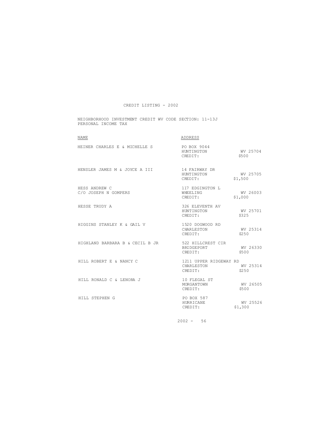NEIGHBORHOOD INVESTMENT CREDIT WV CODE SECTION: 11-13J PERSONAL INCOME TAX

| NAME                                        | ADDRESS                                           |                     |
|---------------------------------------------|---------------------------------------------------|---------------------|
| HEINER CHARLES E & MICHELLE S               | PO BOX 9044<br>HUNTINGTON<br>CREDIT:              | WV 25704<br>\$500   |
| HENSLER JAMES M & JOYCE A III 14 FAIRWAY DR | HUNTINGTON<br>CREDIT:                             | WV 25705<br>\$1,500 |
| HESS ANDREW C<br>C/O JOSEPH N GOMPERS       | 117 EDGINGTON L<br>WHEELING<br>CREDIT:            | WV 26003<br>\$1,000 |
| HESSE TRUDY A                               | 326 ELEVENTH AV<br>HUNTINGTON<br>CREDIT:          | WV 25701<br>\$325   |
| HIGGINS STANLEY K & GAIL V                  | 1520 DOGWOOD RD<br>CHARLESTON WV 25314<br>CREDIT: | \$2.50              |
| HIGHLAND BARBARA B & CECIL B JR             | 522 HILLCREST CIR<br><b>BRIDGEPORT</b><br>CREDIT: | WV 26330<br>\$500   |
| HILL ROBERT E & NANCY C                     | 1211 UPPER RIDGEWAY RD<br>CHARLESTON<br>CREDIT:   | WV 25314<br>\$250   |
| HILL RONALD C & LENORA J                    | 10 FLEGAL ST<br>MORGANTOWN<br>CREDIT:             | WV 26505<br>\$500   |
| HILL STEPHEN G                              | PO BOX 587<br>HURRICANE<br>CREDIT:                | WV 25526<br>\$1,300 |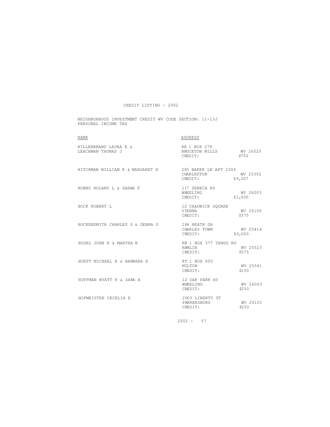NEIGHBORHOOD INVESTMENT CREDIT WV CODE SECTION: 11-13J PERSONAL INCOME TAX

| NAME                                                  | ADDRESS                                                    |                     |
|-------------------------------------------------------|------------------------------------------------------------|---------------------|
| HILLENBRAND LAURA E &<br>LEACHMAN THOMAS J            | RR 1 BOX 278<br>BRUCETON MILLS WV 26525<br>CREDIT:         | \$750               |
| HITCHMAN WILLIAM R & MARGARET H 283 BAKER LN APT 2304 | 283 BAKER PRESSION MV 2<br>CHARLESTON \$9,307              | WV 25302            |
| HOBBS ROLAND L & SARAH F                              | 117 SENECA RD<br>WHEELING<br>CREDIT:                       | WV 26003<br>\$1,000 |
| HOCK ROBERT L                                         | 12 CHADWICK SOUARE<br>WV 26105<br><b>VTENNA</b><br>CREDIT: | \$375               |
| HOCKENSMITH CHARLES S & DEBRA D                       | 184 HEATH DR<br>CHARLES TOWN<br>CREDIT:                    | WV 25414<br>\$6,000 |
| HODEL JOHN R & MARTHA B                               | RR 1 BOX 377 TANGO RD<br>HAMLIN<br>CREDIT:                 | WV 25523<br>\$375   |
| HOEFT MICHAEL E & BARBARA E                           | RT 1 BOX 605<br>MILTON<br>CREDIT:                          | WV 25541<br>\$100   |
| HOFFMAN WYATT K & SARA A                              | 12 OAK PARK AV<br>WHEELTNG<br>CREDIT:                      | WV 26003<br>\$250   |
| HOFMEISTER CECELIA E                                  | 2603 LIBERTY ST<br>PARKERSBURG<br>CREDIT:                  | WV 26101<br>\$250   |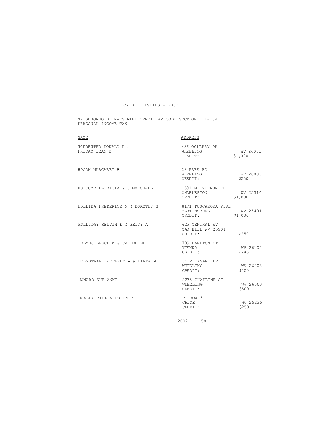NEIGHBORHOOD INVESTMENT CREDIT WV CODE SECTION: 11-13J PERSONAL INCOME TAX

| NAME                                  | ADDRESS                                        |                     |
|---------------------------------------|------------------------------------------------|---------------------|
| HOFREUTER DONALD H &<br>FRIDAY JEAN B | 436 OGLEBAY DR<br>WHEELING<br>CREDIT:          | WV 26003<br>\$1,020 |
| HOGAN MARGARET B                      | 28 PARK RD<br>WHEELING<br>CREDIT:              | WV 26003<br>\$250   |
| HOLCOMB PATRICIA & J MARSHALL         | 1501 MT VERNON RD<br>CHARLESTON<br>CREDIT:     | WV 25314<br>\$1,000 |
| HOLLIDA FREDERICK M & DOROTHY S       | 8171 TUSCARORA PIKE<br>MARTINSBURG<br>CREDIT:  | WV 25401<br>\$1,000 |
| HOLLIDAY KELVIN E & BETTY A           | 625 CENTRAL AV<br>OAK HILL WV 25901<br>CREDIT: | \$250               |
| HOLMES BRUCE W & CATHERINE L          | 709 HAMPTON CT<br><b>VTENNA</b><br>CREDIT:     | WV 26105<br>\$743   |
| HOLMSTRAND JEFFREY A & LINDA M        | 55 PLEASANT DR<br>WHEELING<br>CREDIT:          | WV 26003<br>\$500   |
| HOWARD SUE ANNE                       | 2235 CHAPLINE ST<br>WHEELTNG<br>CREDIT:        | WV 26003<br>\$500   |
| HOWLEY BILL & LOREN B                 | PO BOX 3<br>CHLOE<br>CREDIT:                   | WV 25235<br>\$250   |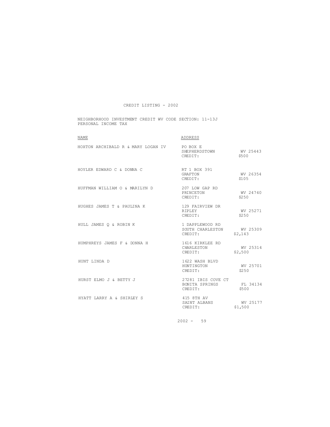NEIGHBORHOOD INVESTMENT CREDIT WV CODE SECTION: 11-13J PERSONAL INCOME TAX

| NAME                                        | ADDRESS                                                  |                     |
|---------------------------------------------|----------------------------------------------------------|---------------------|
| HOXTON ARCHIBALD R & MARY LOGAN IV PO BOX E | SHEPHERDSTOWN WV 25443<br>CREDIT:                        | \$500               |
| HOYLER EDWARD C & DONNA C                   | RT 1 BOX 391<br>GRAFTON<br>CREDIT:                       | WV 26354<br>\$105   |
| HUFFMAN WILLIAM O & MARILYN D               | 207 LOW GAP RD<br>PRINCETON<br>CREDIT:                   | WV 24740<br>\$250   |
| HUGHES JAMES T & PAULINA K                  | 129 FAIRVIEW DR<br><b>RTPLEY</b><br>CREDIT:              | WV 25271<br>\$2.50  |
| HULL JAMES O & ROBIN K                      | 1 DAPPLEWOOD RD<br>SOUTH CHARLESTON WV 25309<br>CREDIT:  | \$2,143             |
| HUMPHREYS JAMES F & DONNA H                 | 1616 KIRKLEE RD<br>CHARLESTON<br>CREDIT:                 | WV 25314<br>\$2,500 |
| HUNT LINDA D                                | 1622 WASH BLVD<br>HINTINGTON WV 25701<br>CREDIT:         | \$2.50              |
| HURST ELMO J & BETTY J                      | 27281 IBIS COVE CT<br>BONITA SPRINGS FL 34134<br>CREDIT: | \$500               |
| HYATT LARRY A & SHIRIEY S                   | 415 8TH AV<br>SAINT ALBANS<br>CREDIT:                    | WV 25177<br>\$1,500 |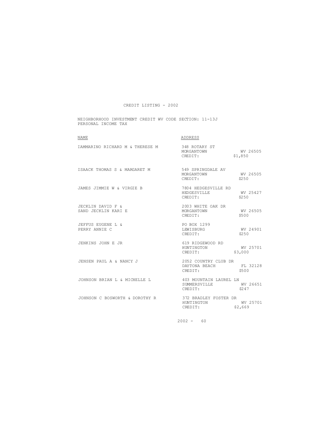NEIGHBORHOOD INVESTMENT CREDIT WV CODE SECTION: 11-13J PERSONAL INCOME TAX

| NAME                                           | ADDRESS                                                    |                     |
|------------------------------------------------|------------------------------------------------------------|---------------------|
| IAMMARINO RICHARD M & THERESE M 348 ROTARY ST  | MORGANTOWN WV 26505<br>CREDIT:                             | \$1,850             |
| ISAACK THOMAS S & MARGARET M 549 SPRINGDALE AV | MORGANTOWN<br>CREDIT:                                      | WV 26505<br>\$2.50  |
| JAMES JIMMIE W & VIRGIE B                      | 7804 HEDGESVILLE RD<br>HEDGESVILLE<br>CREDIT:              | WV 25427<br>\$250   |
| JECKLIN DAVID F &<br>SAND JECKLIN KARI E       | 2003 WHITE OAK DR<br>MORGANTOWN<br>CREDIT:                 | WV 26505<br>\$500   |
| JEFFUS EUGENE L &<br>PERRY ANNIE C             | PO BOX 1299<br>LEWISBURG<br>CREDIT:                        | WV 24901<br>\$250   |
| JENKINS JOHN E JR                              | 619 RIDGEWOOD RD<br>HUNTINGTON WV 25701<br>CREDIT:         | \$3,000             |
| JENSEN PAUL A & NANCY J                        | 2052 COUNTRY CLUB DR<br>DAYTONA BEACH FL 32128<br>CREDIT:  | \$500               |
| JOHNSON BRIAN L & MICHELLE L                   | 403 MOUNTAIN LAUREL LN<br>SUMMERSVILLE WV 26651<br>CREDIT: | \$247               |
| JOHNSON C BOSWORTH & DOROTHY R                 | 372 BRADLEY FOSTER DR<br>HUNTINGTON<br>CREDIT:             | WV 25701<br>\$2,669 |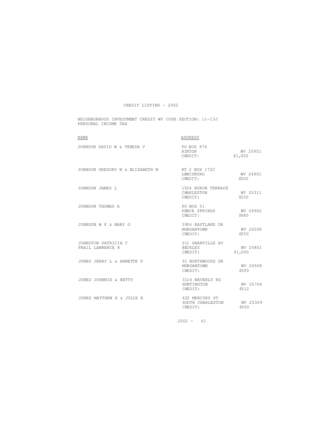NEIGHBORHOOD INVESTMENT CREDIT WV CODE SECTION: 11-13J PERSONAL INCOME TAX

| NAME                                          | ADDRESS                                       |                     |
|-----------------------------------------------|-----------------------------------------------|---------------------|
| JOHNSON DAVID W & TERESA V                    | PO BOX 874<br>HINTON<br>CREDIT:               | WV 25951<br>\$1,000 |
| JOHNSON GREGORY W & ELIZABETH M RT 2 BOX 172C | LEWISBURG<br>CREDIT:                          | WV 24901<br>\$500   |
| JOHNSON JAMES L                               | 1524 HURON TERRACE<br>CHARLESTON<br>CREDIT:   | WV 25311<br>\$2.50  |
| JOHNSON THOMAS A                              | PO BOX 51<br>PENCE SPRINGS<br>CREDIT:         | WV 24962<br>\$985   |
| JOHNSON W P & MARY G                          | 3956 EASTLAKE DR<br>MORGANTOWN<br>CREDIT:     | WV 26508<br>\$250   |
| JOHNSTON PATRICIA C<br>FRAIL LAWRENCE R       | 211 GRANVILLE AV<br><b>BECKLEY</b><br>CREDIT: | WV 25801<br>\$1,000 |
| JONES JERRY L & ANNETTE P                     | 91 NORTHWOODS DR<br>MORGANTOWN<br>CREDIT:     | WV 26508<br>\$500   |
| JONES JOHNNIE & BETTY                         | 3116 WAVERLY RD<br>HUNTINGTON<br>CREDIT:      | WV 25704<br>\$512   |
| JONES MATTHEW E & JULIE B                     | 422 MERCURY ST<br>SOUTH CHARLESTON<br>CREDIT: | WV 25309<br>\$500   |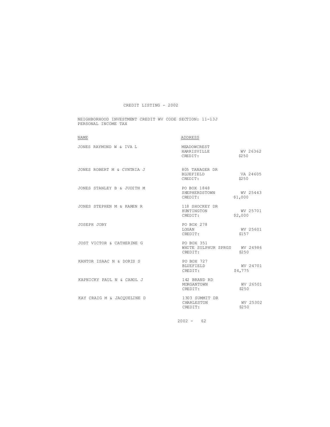NEIGHBORHOOD INVESTMENT CREDIT WV CODE SECTION: 11-13J PERSONAL INCOME TAX

| NAME                       | ADDRESS                                               |                     |
|----------------------------|-------------------------------------------------------|---------------------|
| JONES RAYMOND W & IVA L    | MEADOWCREST<br>HARRISVILLE<br>CREDIT:                 | WV 26362<br>\$250   |
| JONES ROBERT M & CYNTHIA J | 805 TANAGER DR<br><b>BLUEFIELD</b><br>CREDIT:         | VA 24605<br>\$250   |
| JONES STANLEY B & JUDITH M | PO BOX 1848<br>SHEPHERDSTOWN<br>CREDIT:               | WV 25443<br>\$1,000 |
| JONES STEPHEN M & KAREN R  | 118 SHOCKEY DR<br>HUNTINGTON<br>CREDIT:               | WV 25701<br>\$2,000 |
| JOSEPH JOBY                | PO BOX 278<br>LOGAN<br>CREDIT:                        | WV 25601<br>\$157   |
| JOST VICTOR & CATHERINE G  | PO BOX 351<br>WHITE SULPHUR SPRGS WV 24986<br>CREDIT: | \$250               |
| KANTOR ISAAC N & DORIS S   | PO BOX 727<br>BLUEFIELD<br>CREDIT:                    | WV 24701<br>\$4,775 |
| KAPNICKY PAUL N & CAROL J  | 142 BRAND RD<br>MORGANTOWN<br>CREDIT:                 | WV 26501<br>\$250   |
| KAY CRAIG M & JACOUELINE D | 1303 SUMMIT DR<br>CHARLESTON<br>CREDIT:               | WV 25302<br>\$250   |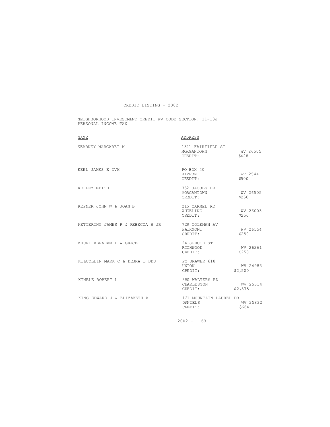NEIGHBORHOOD INVESTMENT CREDIT WV CODE SECTION: 11-13J PERSONAL INCOME TAX

| NAME                             | ADDRESS                                      |                     |
|----------------------------------|----------------------------------------------|---------------------|
| KEARNEY MARGARET M               | 1321 FAIRFIELD ST<br>MORGANTOWN<br>CREDIT:   | WV 26505<br>\$428   |
| KEEL JAMES E DVM                 | PO BOX 40<br>RIPPON<br>CREDIT:               | WV 25441<br>\$500   |
| KELLEY EDITH I                   | 352 JACOBS DR<br>MORGANTOWN<br>CREDIT:       | WV 26505<br>\$250   |
| KEPNER JOHN W & JOAN B           | 215 CARMEL RD<br>WHEELTNG<br>CREDIT:         | WV 26003<br>\$250   |
| KETTERING JAMES R & REBECCA B JR | 729 COLEMAN AV<br>FATRMONT<br>CREDIT:        | WV 26554<br>\$250   |
| KHURT ABRAHAM F & GRACE          | 24 SPRUCE ST<br>RICHWOOD<br>CREDIT:          | WV 26261<br>\$2.50  |
| KILCOLLIN MARK C & DEBRA L DDS   | PO DRAWER 618<br><b>UNION</b><br>CREDIT:     | WV 24983<br>\$2,500 |
| KIMBLE ROBERT L                  | 850 WALTERS RD<br>CHARLESTON<br>CREDIT:      | WV 25314<br>\$2,375 |
| KING EDWARD J & ELIZABETH A      | 121 MOUNTAIN LAUREL DR<br>DANIELS<br>CREDIT: | WV 25832<br>\$664   |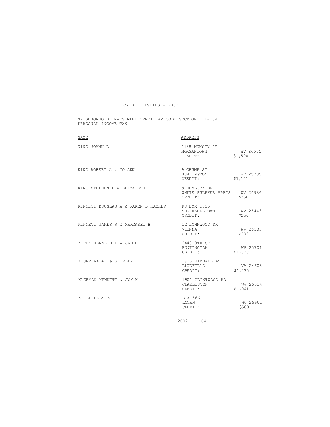NEIGHBORHOOD INVESTMENT CREDIT WV CODE SECTION: 11-13J PERSONAL INCOME TAX

| NAME                                           | ADDRESS                                                 |                     |
|------------------------------------------------|---------------------------------------------------------|---------------------|
| KING JOANN L                                   | 1138 MUNSEY ST<br>MORGANTOWN<br>CREDIT:                 | WV 26505<br>\$1,500 |
| KING ROBERT A & JO ANN                         | 9 CRUMP ST<br>HUNTINGTON<br>CREDIT:                     | WV 25705<br>\$1,141 |
| KING STEPHEN P & ELIZABETH B                   | 9 HEMLOCK DR<br>WHITE SULPHUR SPRGS WV 24986<br>CREDIT: | \$250               |
| KINNETT DOUGLAS A & KAREN B HACKER PO BOX 1325 | SHEPHERDSTOWN<br>CREDIT:                                | WV 25443<br>\$2.50  |
| KINNETT JAMES R & MARGARET B                   | 12 LYNNWOOD DR<br>VIENNA<br>CREDIT:                     | WV 26105<br>\$902   |
| KIRBY KENNETH L & JAN E                        | 3440 8TH ST<br>HUNTINGTON<br>CREDIT:                    | WV 25701<br>\$1,630 |
| KISER RALPH & SHIRLEY                          | 1925 KIMBALL AV<br>BIUEFIELD<br>CREDIT:                 | VA 24605<br>\$1,035 |
| KLEEMAN KENNETH & JOY K                        | 1501 CLINTWOOD RD<br>CHARLESTON<br>CREDIT:              | WV 25314<br>\$1,041 |
| KLELE BESS E                                   | BOX 566<br>LOGAN<br>CREDIT:                             | WV 25601<br>\$500   |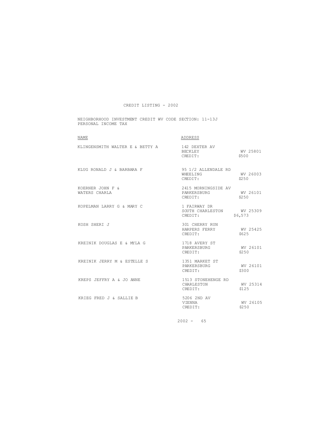NEIGHBORHOOD INVESTMENT CREDIT WV CODE SECTION: 11-13J PERSONAL INCOME TAX

| NAME                              | ADDRESS                                              |                    |
|-----------------------------------|------------------------------------------------------|--------------------|
| KLINGENSMITH WALTER E & BETTY A   | 142 DEXTER AV<br>BECKLEY<br>CREDIT:                  | WV 25801<br>\$500  |
| KLUG RONALD J & BARBARA F         | 95 1/2 ALLENDALE RD<br>WHEELING<br>CREDIT:           | WV 26003<br>\$2.50 |
| KOERNER JOHN F &<br>WATERS CHARLA | 2415 MORNINGSIDE AV<br>PARKERSBURG<br>CREDIT:        | WV 26101<br>\$250  |
| KOPELMAN LARRY G & MARY C         | 1 FAIRWAY DR<br>SOUTH CHARLESTON WV 25309<br>CREDIT: | \$6,573            |
| KOSH SHERI J                      | 301 CHERRY RUN<br>HARPERS FERRY<br>CREDIT:           | WV 25425<br>\$625  |
| KREINIK DOUGLAS E & MYLA G        | 1718 AVERY ST<br>PARKERSBURG<br>CREDIT:              | WV 26101<br>\$250  |
| KREINIK JERRY M & ESTELLE S       | 1351 MARKET ST<br>PARKERSBURG<br>CREDIT:             | WV 26101<br>\$300  |
| KREPS JEFFRY A & JO ANNE          | 1513 STONEHENGE RD<br><b>CHARLESTON</b><br>CREDIT:   | WV 25314<br>\$125  |
| KRIEG FRED J & SALLIE B           | 5206 2ND AV<br><b>VTENNA</b><br>CREDIT:              | WV 26105<br>\$250  |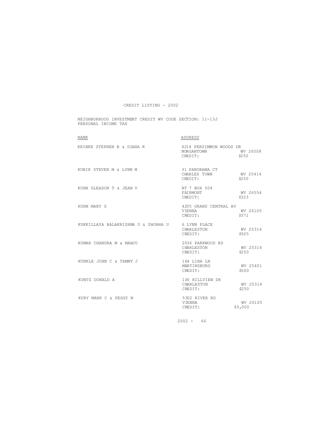NEIGHBORHOOD INVESTMENT CREDIT WV CODE SECTION: 11-13J PERSONAL INCOME TAX

| NAME                                             | ADDRESS                                                   |                     |
|--------------------------------------------------|-----------------------------------------------------------|---------------------|
| KRINKE STEPHEN B & DIANA K                       | 4214 PERSIMMON WOODS DR<br>MORGANTOWN WV 26508<br>CREDIT: | \$250               |
| KUBIK STEVEN M & LYNN M                          | 31 PANORAMA CT<br>CHARLES TOWN<br>CREDIT:                 | WV 25414<br>\$2.50  |
| KUHN GLEASON T & JEAN V                          | RT 7 BOX 504<br>FAIRMONT<br>CREDIT:                       | WV 26554<br>\$323   |
| KUHN MARY S                                      | 4205 GRAND CENTRAL AV<br>VIENNA<br>CREDIT:                | WV 26105<br>\$371   |
| KUKKILLAYA BALAKRISHNA U & SHOBHA U 6 LYNN PLACE | CHARLESTON<br>CREDIT:                                     | WV 25314<br>\$925   |
| KUMAR CHANDRA M & MANJU                          | 2036 PARKWOOD RD<br>CHARLESTON<br>CREDIT:                 | WV 25314<br>\$250   |
| KUNKLE JOHN C & TAMMY J                          | 164 LINA LN<br>MARTINSBURG<br>CREDIT:                     | WV 25401<br>\$500   |
| KUNTZ DONALD A                                   | 106 HILLVIEW DR<br>CHARLESTON<br>CREDIT:                  | WV 25314<br>\$250   |
| KURY MARK C & PEGGY N                            | 5302 RIVER RD<br>VIENNA<br>CREDIT:                        | WV 26105<br>\$5,000 |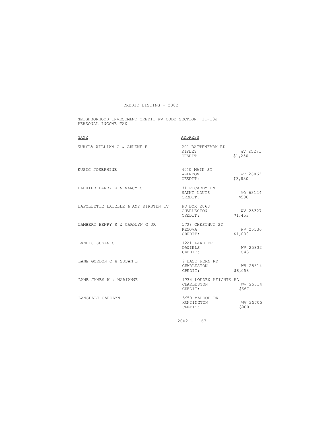NEIGHBORHOOD INVESTMENT CREDIT WV CODE SECTION: 11-13J PERSONAL INCOME TAX

| NAME                                            | ADDRESS                                         |                     |
|-------------------------------------------------|-------------------------------------------------|---------------------|
| KURYLA WILLIAM C & ARLENE B                     | 200 BATTENFARM RD<br>RIPLEY<br>CREDIT:          | WV 25271<br>\$1,250 |
| KUSIC JOSEPHINE                                 | 4040 MAIN ST<br>WEIRTON<br>CREDIT:              | WV 26062<br>\$3,830 |
| LABRIER LARRY E & NANCY S                       | 31 PICARDY LN<br>SAINT LOUIS<br>CREDIT:         | MO 63124<br>\$500   |
| LAFOLLETTE LATELLE & AMY KIRSTEN IV PO BOX 2068 | CHARLESTON<br>CREDIT:                           | WV 25327<br>\$1,453 |
| LAMBERT HENRY S & CAROLYN G JR                  | 1708 CHESTNUT ST<br>KENOVA<br>CREDIT:           | WV 25530<br>\$1,000 |
| LANDIS SUSAN S                                  | 1221 LAKE DR<br>DANIELS<br>CREDIT:              | WV 25832<br>\$45    |
| LANE GORDON C & SUSAN L                         | 9 EAST FERN RD<br>CHARLESTON<br>CREDIT:         | WV 25314<br>\$8,058 |
| LANE JAMES W & MARIANNE                         | 1734 LOUDEN HEIGHTS RD<br>CHARLESTON<br>CREDIT: | WV 25314<br>\$667   |
| LANSDALE CAROLYN                                | 5950 MAHOOD DR<br>HUNTINGTON<br>CREDIT:         | WV 25705<br>\$900   |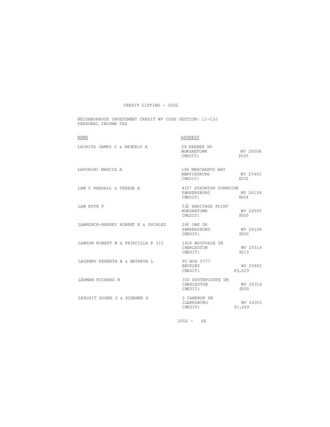NEIGHBORHOOD INVESTMENT CREDIT WV CODE SECTION: 11-13J PERSONAL INCOME TAX

| <b>NAME</b>                        | ADDRESS                                          |                     |
|------------------------------------|--------------------------------------------------|---------------------|
| LAURITA JAMES L & BEVERLY A        | 28 KEENER RD<br>MORGANTOWN<br>CREDIT:            | WV 26508<br>\$500   |
| LAVORINI MARCIA A                  | 104 MERCHANTS WAY<br>MARTINSBURG<br>CREDIT:      | WV 25401<br>\$2.50  |
| LAW C RANDALL & TERESA A           | 4107 STAUNTON TURNPIKE<br>PARKERSBURG<br>CREDIT: | WV 26104<br>\$604   |
| LAW RUTH F                         | 332 HERITAGE POINT<br>MORGANTOWN<br>CREDIT:      | WV 26505<br>\$500   |
| LAWRENCE-BERREY ROBERT E & SHIRLEY | 260 OAK DR<br>PARKERSBURG<br>CREDIT:             | WV 26104<br>\$600   |
| LAWSON ROBERT W & PRISCILLA P III  | 1618 WOODVALE DR<br><b>CHARLESTON</b><br>CREDIT: | WV 25314<br>\$613   |
| LAZENBY KENNETH B & KATHRYN L      | PO BOX 5777<br>BECKLEY<br>CREDIT:                | WV 25801<br>\$5,029 |
| LEHMAN RICHARD H                   | 310 SOUTHPOINTE DR<br>CHARLESTON<br>CREDIT:      | WV 25314<br>\$500   |
| LEHOSIT ROGER J & SUZANNE D        | 2 CAMERON DR<br>CLARKSBURG<br>CREDIT:            | WV 26301<br>\$1,649 |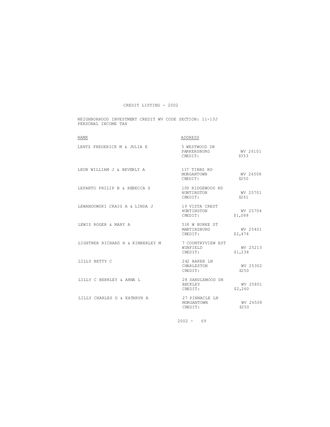NEIGHBORHOOD INVESTMENT CREDIT WV CODE SECTION: 11-13J PERSONAL INCOME TAX

| NAME                             | ADDRESS                                   |                     |
|----------------------------------|-------------------------------------------|---------------------|
| LENTZ FREDERICK M & JULIA E      | 5 WESTWOOD DR<br>PARKERSBURG<br>CREDIT:   | WV 26101<br>\$353   |
| LEON WILLIAM J & BEVERLY A       | 117 TIBBS RD<br>MORGANTOWN<br>CREDIT:     | WV 26508<br>\$2.50  |
| LEPANTO PHILIP B & REBECCA S     | 109 RIDGEWOOD RD<br>HUNTINGTON<br>CREDIT: | WV 25701<br>\$261   |
| LEWANDOWSKI CRAIG A & LINDA J    | 19 VISTA CREST<br>HUNTINGTON<br>CREDIT:   | WV 25704<br>\$1,088 |
| LEWIS ROGER & MARY A             | 518 W BURKE ST<br>MARTINSBURG<br>CREDIT:  | WV 25401<br>\$2,474 |
| LIGHTNER RICHARD H & KIMBERLEY M | 7 COUNTRYVIEW EST<br>WINFIELD<br>CREDIT:  | WV 25213<br>\$1,238 |
| LILLY BETTY C                    | 242 BAKER LN<br>CHARLESTON<br>CREDIT:     | WV 25302<br>\$2.50  |
| LILLY C BERKLEY & ANNA L         | 28 SANDLEWOOD DR<br>BECKLEY<br>CREDIT:    | WV 25801<br>\$2,260 |
| LILLY CHARLES D & KATHRYN A      | 27 PINNACLE LN<br>MORGANTOWN<br>CREDIT:   | WV 26508<br>\$2.50  |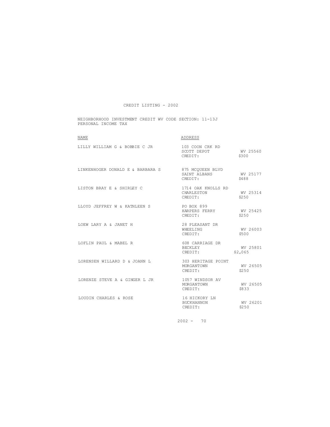NEIGHBORHOOD INVESTMENT CREDIT WV CODE SECTION: 11-13J PERSONAL INCOME TAX

| NAME                                              | ADDRESS                                            |                     |
|---------------------------------------------------|----------------------------------------------------|---------------------|
| LILLY WILLIAM G & BOBBIE C JR                     | 103 COON CRK RD<br>SCOTT DEPOT WV 25560<br>CREDIT: | \$300               |
| LINKENHOGER DONALD E & BARBARA S 675 MCOUEEN BLVD | SAINT ALBANS<br>CREDIT:                            | WV 25177<br>\$488   |
| LISTON BRAY E & SHIRLEY C                         | 1714 OAK KNOLLS RD<br>CHARLESTON<br>CREDIT:        | WV 25314<br>\$2.50  |
| LLOYD JEFFREY W & KATHLEEN S                      | PO BOX 899<br>HARPERS FERRY<br>CREDIT:             | WV 25425<br>\$2.50  |
| LOEW LARY A & JANET H                             | 28 PLEASANT DR<br>WHEELING<br>CREDIT:              | WV 26003<br>\$500   |
| LOFLIN PAUL & MABEL R                             | 608 CARRIAGE DR<br><b>BECKLEY</b><br>CREDIT:       | WV 25801<br>\$2,065 |
| LORENSEN WILLARD D & JOANN L                      | 303 HERITAGE POINT<br>MORGANTOWN<br>CREDIT:        | WV 26505<br>\$250   |
| LORENZE STEVE A & GINGER L JR                     | 1057 WINDSOR AV<br>MORGANTOWN<br>CREDIT:           | WV 26505<br>\$833   |
| LOUDIN CHARLES & ROSE                             | 16 HICKORY LN<br><b>BUCKHANNON</b><br>CREDIT:      | WV 26201<br>\$250   |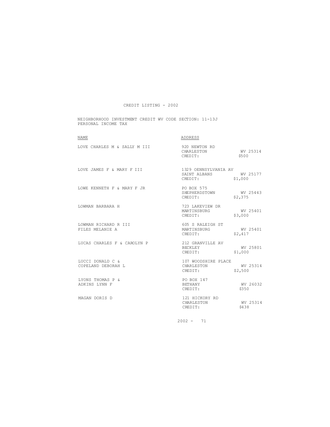NEIGHBORHOOD INVESTMENT CREDIT WV CODE SECTION: 11-13J PERSONAL INCOME TAX

| <b>NAME</b>                             | ADDRESS                                                  |                     |
|-----------------------------------------|----------------------------------------------------------|---------------------|
| LOVE CHARLES M & SALLY M III            | 920 NEWTON RD<br>CHARLESTON<br>CREDIT:                   | WV 25314<br>\$500   |
| LOVE JAMES F & MARY F III               | 1329 OENNSYLVANIA AV<br>SAINT ALBANS WV 25177<br>CREDIT: | \$1,000             |
| LOWE KENNETH F & MARY F JR              | PO BOX 575<br>SHEPHERDSTOWN WV 25443<br>CREDIT:          | \$2,375             |
| LOWMAN BARBARA H                        | 723 LAKEVIEW DR<br>MARTINSBURG<br>CREDIT:                | WV 25401<br>\$3,000 |
| LOWMAN RICHARD R III<br>FILES MELANIE A | 605 S RALEIGH ST<br>MARTINSBURG<br>CREDIT:               | WV 25401<br>\$2,417 |
| LUCAS CHARLES F & CAROLYN P             | 212 GRANVILLE AV<br>BECKLEY<br>CREDIT:                   | WV 25801<br>\$1,000 |
| LUCCI DONALD C &<br>COPELAND DEBORAH L  | 107 WOODSHIRE PLACE<br>CHARLESTON<br>CREDIT:             | WV 25314<br>\$2,500 |
| LYONS THOMAS P &<br>ADKINS LYNN F       | PO BOX 147<br>BETHANY<br>CREDIT:                         | WV 26032<br>\$350   |
| MAGAN DORIS D                           | 121 HICKORY RD<br>CHARLESTON<br>CREDIT:                  | WV 25314<br>\$438   |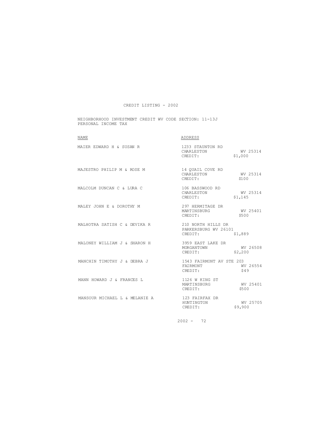NEIGHBORHOOD INVESTMENT CREDIT WV CODE SECTION: 11-13J PERSONAL INCOME TAX

| NAME                          | ADDRESS                                                    |                     |
|-------------------------------|------------------------------------------------------------|---------------------|
| MAIER EDWARD H & SUSAN R      | 1233 STAUNTON RD<br>CHARLESTON WV 25314<br>CREDIT: \$1,000 |                     |
| MAJESTRO PHILIP M & ROSE M    | 14 OUAIL COVE RD<br>CHARLESTON<br>CREDIT:                  | WV 25314<br>\$100   |
| MALCOLM DUNCAN C & LURA C     | 106 BASSWOOD RD<br>CHARLESTON<br>CREDIT:                   | WV 25314<br>\$1,145 |
| MALEY JOHN E & DOROTHY M      | 297 HERMITAGE DR<br>MARTINSBURG<br>CREDIT:                 | WV 25401<br>\$500   |
| MALHOTRA SATISH C & DEVIKA R  | 210 NORTH HILLS DR<br>PARKERSBURG WV 26101<br>CREDIT:      | \$1,889             |
| MALONEY WILLIAM J & SHARON H  | 3959 EAST LAKE DR<br>MORGANTOWN<br>CREDIT:                 | WV 26508<br>\$2,200 |
| MANCHIN TIMOTHY J & DEBRA J   | 1543 FAIRMONT AV STE 203<br>FAIRMONT<br>CREDIT:            | $WV$ 26554<br>\$49  |
| MANN HOWARD J & FRANCES L     | 1126 W KING ST<br>MARTINSBURG WV 25401<br>CREDIT:          | \$500               |
| MANSOUR MICHAEL L & MELANIE A | 123 FAIRFAX DR<br>HUNTINGTON<br>CREDIT:                    | WV 25705<br>\$9,900 |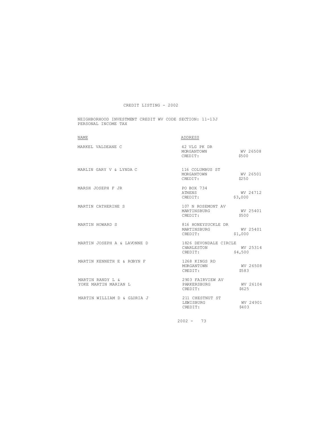NEIGHBORHOOD INVESTMENT CREDIT WV CODE SECTION: 11-13J PERSONAL INCOME TAX

| NAME                                     | ADDRESS                                        |                     |
|------------------------------------------|------------------------------------------------|---------------------|
| MARKEL VALDEANE C                        | 42 VLG PK DR<br>MORGANTOWN<br>CREDIT:          | WV 26508<br>\$500   |
| MARLIN GARY V & LYNDA C                  | 116 COLUMBUS ST<br>MORGANTOWN<br>CREDIT:       | WV 26501<br>\$2.50  |
| MARSH JOSEPH F JR                        | PO BOX 734<br>ATHENS<br>CREDIT:                | WV 24712<br>\$3,000 |
| MARTIN CATHERINE S                       | 107 N ROSEMONT AV<br>MARTINSBURG<br>CREDIT:    | WV 25401<br>\$500   |
| MARTIN HOWARD S                          | 816 HONEYSUCKLE DR<br>MARTINSBURG<br>CREDIT:   | WV 25401<br>\$1,000 |
| MARTIN JOSEPH A & LAVONNE D              | 1826 DEVONDALE CIRCLE<br>CHARLESTON<br>CREDIT: | WV 25314<br>\$4,500 |
| MARTIN KENNETH E & ROBYN F               | 1268 KINGS RD<br>MORGANTOWN<br>CREDIT:         | WV 26508<br>\$583   |
| MARTIN RANDY L &<br>YOKE MARTIN MARIAN L | 2903 FAIRVIEW AV<br>PARKERSBURG<br>CREDIT:     | WV 26104<br>\$625   |
| MARTIN WILLIAM D & GLORIA J              | 211 CHESTNUT ST<br>LEWISBURG<br>CREDIT:        | WV 24901<br>\$403   |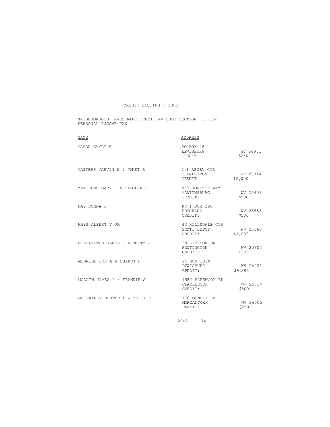NEIGHBORHOOD INVESTMENT CREDIT WV CODE SECTION: 11-13J PERSONAL INCOME TAX

| NAME                         | ADDRESS                                    |                     |
|------------------------------|--------------------------------------------|---------------------|
| MASON GAYLE E                | PO BOX 48<br>LEWISBURG<br>CREDIT:          | WV 24901<br>\$250   |
| MASTERS MARVIN W & JANET R   | 101 ABNEY CIR<br>CHARLESTON<br>CREDIT:     | WV 25314<br>\$5,000 |
| MATTHEWS GARY H & CAROLYN R  | 970 HORIZON WAY<br>MARTINSBURG<br>CREDIT:  | WV 25401<br>\$500   |
| MAY DONNA J                  | RR 1 BOX 298<br>PRICHARD<br>CREDIT:        | WV 25555<br>\$500   |
| MAYS ALBERT V JR             | 43 HILLSDALE CIR<br>SCOTT DEPOT<br>CREDIT: | WV 25560<br>\$1,000 |
| MCALLISTER JAMES C & BETTY J | 28 SIMPSON DR<br>HUNTINGTON<br>CREDIT:     | WV 25705<br>\$300   |
| MCBRIDE JON A & SHARON L     | PO BOX 1050<br>LEWISBURG<br>CREDIT:        | WV 24901<br>\$9,895 |
| MCCAIN JAMES H & FRANKIE S   | 1987 PARKWOOD RD<br>CHARLESTON<br>CREDIT:  | WV 25314<br>\$500   |
| MCCARTNEY HUNTER P & BETTY P | 420 MUNSEY ST<br>MORGANTOWN<br>CREDIT:     | WV 26505<br>\$250   |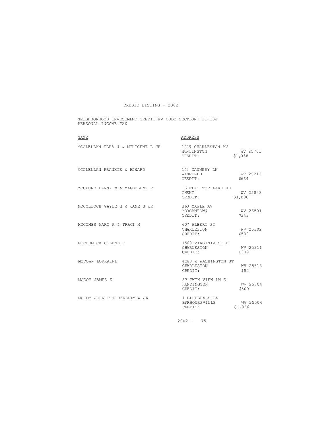NEIGHBORHOOD INVESTMENT CREDIT WV CODE SECTION: 11-13J PERSONAL INCOME TAX

| NAME                             | ADDRESS                                                |                     |
|----------------------------------|--------------------------------------------------------|---------------------|
| MCCLELLAN ELBA J & MILICENT L JR | 1229 CHARLESTON AV<br>HUNTINGTON<br>\$1,038<br>CREDIT: | WV 25701            |
| MCCLELLAN FRANKIE & HOWARD       | 142 CANNERY LN<br>WINFIELD<br>CREDIT:                  | WV 25213<br>S664    |
| MCCLURE DANNY W & MAGDELENE P    | 16 FLAT TOP LAKE RD<br>GHENT<br>CREDIT:                | WV 25843<br>\$1,000 |
| MCCOLLOCH GAYLE H & JANE S JR    | 360 MAPLE AV<br>MORGANTOWN<br>CREDIT:                  | WV 26501<br>\$343   |
| MCCOMBS MARC A & TRACI M         | 607 ALBERT ST<br>CHARLESTON<br>CREDIT:                 | WV 25302<br>\$500   |
| MCCORMICK COLENE C               | 1560 VIRGINIA ST E<br>CHARLESTON<br>CREDIT:            | WV 25311<br>\$309   |
| MCCOWN LORRAINE                  | 4280 W WASHINGTON ST<br>CHARLESTON WV 25313<br>CREDIT: | \$82                |
| MCCOY JAMES K                    | 67 TWIN VIEW LN E<br>HUNTINGTON<br>CREDIT:             | WV 25704<br>\$500   |
| MCCOY JOHN P & BEVERIY W JR      | 1 BLUEGRASS LN<br>BARBOURSVILLE<br>CREDIT:             | WV 25504<br>\$1,936 |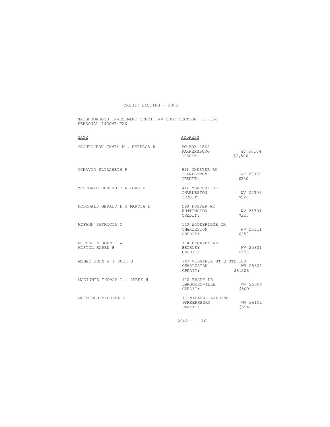NEIGHBORHOOD INVESTMENT CREDIT WV CODE SECTION: 11-13J PERSONAL INCOME TAX

| NAME                                | ADDRESS                                            |                     |
|-------------------------------------|----------------------------------------------------|---------------------|
| MCCUTCHEON JAMES M & REBECCA R      | PO BOX 4268<br>PARKERSBURG<br>CREDIT:              | WV 26104<br>\$2,500 |
| MCDAVID ELIZABETH R                 | 911 CHESTER RD<br>CHARLESTON<br>CREDIT:            | WV 25302<br>\$250   |
| MCDONALD EDMUND D & JOAN P          | 444 MERCURY RD<br>CHARLESTON<br>CREDIT:            | WV 25309<br>\$526   |
| MCDONALD GERALD L & MARCIA D        | 529 FOSTER RD<br>HUNTINGTON<br>CREDIT:             | WV 25701<br>\$325   |
| MCFANN PATRICIA G                   | 110 WOODBRIDGE DR<br>CHARLESTON<br>CREDIT:         | WV 25311<br>\$2.50  |
| MCFERRIN JOHN T &<br>KOSTOL KAREN B | 114 BECKLEY AV<br><b>BECKLEY</b><br>CREDIT:        | WV 25801<br>\$950   |
| MCGEE JOHN F & RUTH B               | 707 VIRGINIA ST E STE 300<br>CHARLESTON<br>CREDIT: | WV 25301<br>\$8,206 |
| MCGINNIS THOMAS L & CAREY H         | 110 BRADY DR<br>BARBOURSVILLE<br>CREDIT:           | WV 25504<br>\$500   |
| MCINTOSH MICHAEL S                  | 11 MILLERS LANDING<br>PARKERSBURG<br>CREDIT:       | WV 26101<br>\$594   |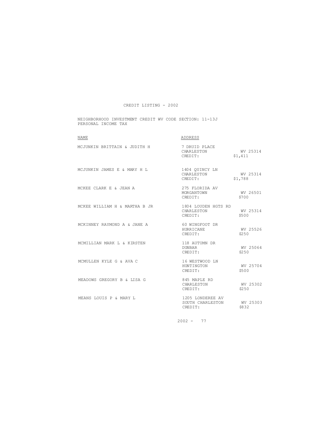NEIGHBORHOOD INVESTMENT CREDIT WV CODE SECTION: 11-13J PERSONAL INCOME TAX

| NAME                                       | ADDRESS                                         |                     |
|--------------------------------------------|-------------------------------------------------|---------------------|
| MCJUNKIN BRITTAIN & JUDITH H               | 7 DRUID PLACE<br>CHARLESTON WV 25314<br>CREDIT: | \$1,411             |
| MCJUNKIN JAMES E & MARY H L 1404 OUINCY LN | CHARLESTON<br>CREDIT:                           | WV 25314<br>\$1,788 |
| MCKEE CLARK E & JEAN A                     | 275 FLORIDA AV<br>MORGANTOWN<br>CREDIT:         | WV 26501<br>\$700   |
| MCKEE WILLIAM H & MARTHA B JR              | 1804 LOUDEN HGTS RD<br>CHARLESTON<br>CREDIT:    | WV 25314<br>\$500   |
| MCKINNEY RAYMOND A & JANE A                | 60 WINGFOOT DR<br>HURRICANE<br>CREDIT:          | WV 25526<br>\$250   |
| MCMILLIAN MARK L & KIRSTEN                 | 118 AUTUMN DR<br>DINBAR<br>CREDIT:              | WV 25064<br>\$250   |
| MCMULLEN KYLE G & AVA C                    | 16 WESTWOOD LN<br>HUNTINGTON<br>CREDIT:         | WV 25704<br>\$500   |
| MEADOWS GREGORY B & LISA G                 | 845 MAPLE RD<br>CHARLESTON<br>CREDIT:           | WV 25302<br>\$250   |
| MEANS LOUIS P & MARY L                     | 1205 LONDEREE AV<br>SOUTH CHARLESTON<br>CREDIT: | WV 25303<br>\$832   |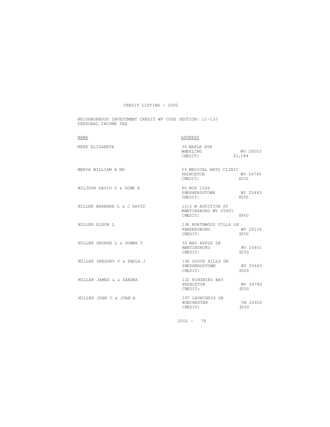NEIGHBORHOOD INVESTMENT CREDIT WV CODE SECTION: 11-13J PERSONAL INCOME TAX

| NAME                       | ADDRESS                                                   |                     |
|----------------------------|-----------------------------------------------------------|---------------------|
| MEEK ELIZABETH             | 36 MAPLE AVE<br>WHEELING<br>CREDIT:                       | WV 26003<br>\$1,184 |
| MERVA WILLIAM A MD         | 23 MEDICAL ARTS CLINIC<br>PRINCETON<br>CREDIT:            | WV 24740<br>\$250   |
| MILJOUR DAVID V & DORE A   | PO BOX 1566<br>SHEPHERDSTOWN<br>CREDIT:                   | WV 25443<br>\$500   |
| MILLER BARBARA L & C DAVID | 1113 W ADDITION ST<br>MARTINSBURG WV 25401<br>CREDIT:     | \$960               |
| MILLER ELDON L             | 138 NORTHWOOD VILLA LN<br>PARKERSBURG WV 26104<br>CREDIT: | \$250               |
| MILLER GEORGE L & DONNA T  | 35 MAY APPLE LN<br>MARTINSBURG<br>CREDIT:                 | WV 25401<br>\$250   |
| MILLER GREGORY V & PAULA J | 104 SOUTH HILLS DR<br>SHEPHERDSTOWN<br>CREDIT:            | WV 25443<br>\$500   |
| MILLER JAMES L & SANDRA    | 122 KINGBIRD WAY<br>PRINCETON<br>CREDIT:                  | WV 24740<br>\$250   |
| MILLER JOHN C & JOAN A     | 107 LAUNCHRIS DR<br>WINCHESTER<br>CREDIT:                 | VA 22602<br>\$250   |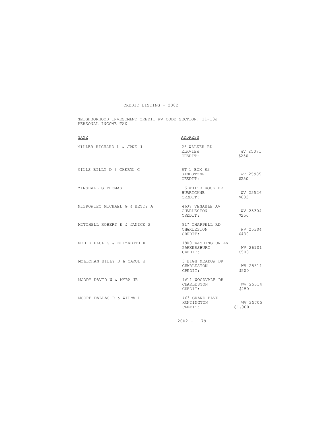NEIGHBORHOOD INVESTMENT CREDIT WV CODE SECTION: 11-13J PERSONAL INCOME TAX

| NAME                          | ADDRESS                                      |                     |
|-------------------------------|----------------------------------------------|---------------------|
| MILLER RICHARD L & JANE J     | 26 WALKER RD<br>ELKVIEW<br>CREDIT:           | WV 25071<br>\$250   |
| MILLS BILLY D & CHERYL C      | RT 1 BOX 82<br>SANDSTONE<br>CREDIT:          | WV 25985<br>\$2.50  |
| MINSHALL G THOMAS             | 16 WHITE ROCK DR<br>HURRICANE<br>CREDIT:     | WV 25526<br>\$633   |
| MISKOWIEC MICHAEL G & BETTY A | 4607 VENABLE AV<br>CHARLESTON<br>CREDIT:     | WV 25304<br>\$2.50  |
| MITCHELL ROBERT E & JANICE S  | 917 CHAPPELL RD<br>CHARLESTON<br>CREDIT:     | WV 25304<br>\$430   |
| MODIE PAUL G & ELIZABETH K    | 1900 WASHINGTON AV<br>PARKERSBURG<br>CREDIT: | WV 26101<br>\$500   |
| MOLLOHAN BILLY D & CAROL J    | 5 HIGH MEADOW DR<br>CHARLESTON<br>CREDIT:    | WV 25311<br>\$500   |
| MOODY DAVID W & MYRA JR       | 1611 WOODVALE DR<br>CHARLESTON<br>CREDIT:    | WV 25314<br>\$250   |
| MOORE DALLAS R & WILMA L      | 403 GRAND BLVD<br>HUNTINGTON<br>CREDIT:      | WV 25705<br>\$1,000 |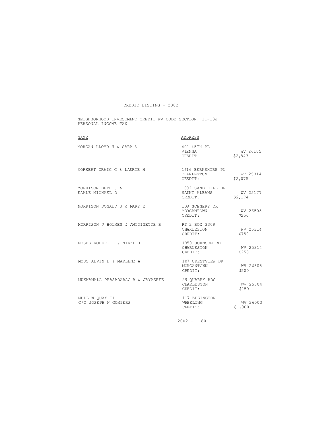NEIGHBORHOOD INVESTMENT CREDIT WV CODE SECTION: 11-13J PERSONAL INCOME TAX

| NAME                                           | ADDRESS                                              |                     |
|------------------------------------------------|------------------------------------------------------|---------------------|
| MORGAN LLOYD H & SARA A                        | 400 45TH PL<br>VIENNA<br>CREDIT: \$2,843             | WV 26105            |
| MORKERT CRAIG C & LAURIE H 1616 BERKSHIRE PL   | CHARLESTON<br>CREDIT:                                | WV 25314<br>\$2,075 |
| MORRISON BETH J &<br>EAKLE MICHAEL D           | 1002 SAND HILL DR<br>SAINT ALBANS<br>CREDIT: \$2,174 |                     |
| MORRISON DONALD J & MARY E                     | 108 SCENERY DR<br>MORGANTOWN WV 26505<br>CREDIT:     | \$250               |
| MORRISON J HOLMES & ANTOINETTE B RT 2 BOX 330R | CHARLESTON WV 25314<br>CREDIT:                       | \$750               |
| MOSES ROBERT L & NIKKI H                       | 1350 JOHNSON RD<br>CHARLESTON<br>CREDIT:             | WV 25314<br>\$250   |
| MOSS ALVIN H & MARLENE A                       | 107 CRESTVIEW DR<br>MORGANTOWN<br>CREDIT:            | WV 26505<br>\$500   |
| MUKKAMALA PRASADARAO B & JAYASREE              | 29 QUARRY RDG<br>CHARLESTON<br>CREDIT:               | WV 25304<br>\$250   |
| MULL W OUAY II<br>C/O JOSEPH N GOMPERS         | 117 EDGINGTON<br>WHEELING<br>CREDIT:                 | WV 26003<br>\$1,000 |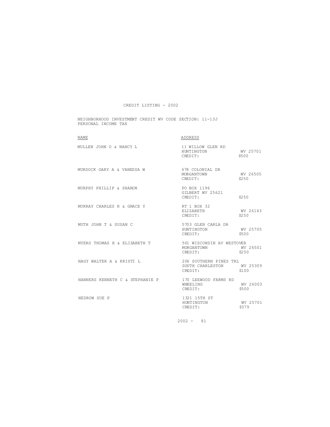NEIGHBORHOOD INVESTMENT CREDIT WV CODE SECTION: 11-13J PERSONAL INCOME TAX

| NAME                            | ADDRESS                                                        |                    |
|---------------------------------|----------------------------------------------------------------|--------------------|
| MULLEN JOHN O & NANCY L         | 11 WILLOW GLEN RD<br>HUNTINGTON<br>CREDIT:                     | WV 25701<br>\$500  |
| MURDOCK GARY A & VANESSA W      | 678 COLONIAL DR<br>MORGANTOWN<br>CREDIT:                       | WV 26505<br>\$2.50 |
| MURPHY PHILLIP & SHARON         | PO BOX 1196<br>GILBERT WV 25621<br>CREDIT:                     | \$250              |
| MURRAY CHARLES R & GRACE Y      | RT 1 BOX 32<br>ELIZABETH<br>CREDIT:                            | WV 26143<br>\$2.50 |
| MUTH JOHN T & SUSAN C           | 5703 GLEN CARLA DR<br>HUNTINGTON<br>CREDIT:                    | WV 25705<br>\$500  |
| MYERS THOMAS H & ELIZABETH T    | 561 WISCONSIN AV WESTOVER<br>MORGANTOWN<br>CREDIT:             | WV 26501<br>\$250  |
| NAGY WALTER A & KRISTI L        | 206 SOUTHERN PINES TRL<br>SOUTH CHARLESTON WV 25309<br>CREDIT: | \$100              |
| NANNERS KENNETH C & STEPHANIE P | 170 LEEWOOD FARMS RD<br>WHEELING<br>CREDIT:                    | WV 26003<br>\$500  |
| NEDROW SUE P                    | 1321 15TH ST<br>HUNTINGTON<br>CREDIT:                          | WV 25701<br>\$379  |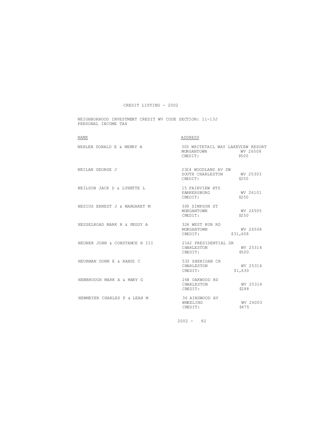NEIGHBORHOOD INVESTMENT CREDIT WV CODE SECTION: 11-13J PERSONAL INCOME TAX

| NAME                          | ADDRESS                                                    |                      |
|-------------------------------|------------------------------------------------------------|----------------------|
| NEHLEN DONALD E & MERRY A     | 303 WHITETAIL WAY LAKEVIEW RESORT<br>MORGANTOWN<br>CREDIT: | WV 26508<br>\$500    |
| NETLAN GEORGE J               | 2324 WOODLAND AV SW<br>SOUTH CHARLESTON<br>CREDIT:         | WV 25303<br>\$2.50   |
| NEILSON JACK D & LYNETTE L    | 15 FAIRVIEW HTS<br>PARKERSBURG<br>CREDIT:                  | WV 26101<br>\$250    |
| NESIUS ERNEST J & MARGARET M  | 309 SIMPSON ST<br>MORGANTOWN<br>CREDIT:                    | WV 26505<br>\$250    |
| NESSELROAD MARK R & PEGGY A   | 324 WEST RUN RD<br>MORGANTOWN<br>CREDIT:                   | WV 26508<br>\$31,608 |
| NEUNER JOHN & CONSTANCE H III | 2142 PRESIDENTIAL DR<br>CHARLESTON<br>CREDIT:              | WV 25314<br>\$500    |
| NEURMAN DONN E & RANDI C      | 533 SHERIDAN CR<br>CHARLESTON<br>CREDIT:                   | WV 25314<br>\$1,630  |
| NEWBROUGH MARK A & MARY G     | 268 OAKWOOD RD<br>CHARLESTON<br>CREDIT:                    | WV 25314<br>\$288    |
| NEWMEYER CHARLES P & LEAH M   | 36 AINSWOOD AV<br>WHEELTNG<br>CREDIT:                      | WV 26003<br>\$475    |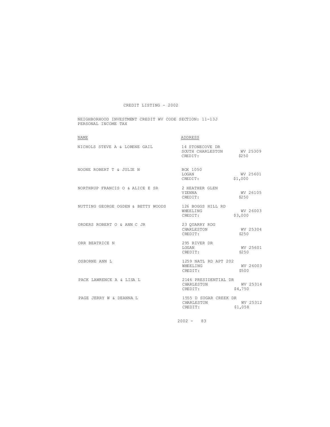NEIGHBORHOOD INVESTMENT CREDIT WV CODE SECTION: 11-13J PERSONAL INCOME TAX

| NAME                                           | ADDRESS                                                 |                     |
|------------------------------------------------|---------------------------------------------------------|---------------------|
| NICHOLS STEVE A & LORENE GAIL                  | 14 STONECOVE DR<br>SOUTH CHARLESTON WV 25309<br>CREDIT: | \$250               |
| NOONE ROBERT T & JULIE N                       | BOX 1050<br>LOGAN<br>CREDIT:                            | WV 25601<br>\$1,000 |
| NORTHRUP FRANCIS O & ALICE E SR 2 HEATHER GLEN | VIENNA<br>CREDIT:                                       | WV 26105<br>\$2.50  |
| NUTTING GEORGE OGDEN & BETTY WOODS             | 126 BOGGS HILL RD<br>WHEELING<br>CREDIT:                | WV 26003<br>\$3,000 |
| ORDERS ROBERT O & ANN C JR                     | 23 OUARRY RDG<br>CHARLESTON<br>CREDIT:                  | MV 25304<br>\$250   |
| ORR BEATRICE N                                 | 295 RIVER DR<br>LOGAN<br>CREDIT:                        | WV 25601<br>\$250   |
| OSBORNE ANN L                                  | 1259 NATL RD APT 202<br>WHEELING<br>CREDIT:             | WV 26003<br>\$500   |
| PACK LAWRENCE A & LISA L                       | 2146 PRESIDENTIAL DR<br>CHARLESTON<br>CREDIT:           | WV 25314<br>\$4,750 |
| PAGE JERRY W & DEANNA L                        | 1555 D SUGAR CREEK DR<br>CHARLESTON<br>CREDIT:          | WV 25312<br>\$1,058 |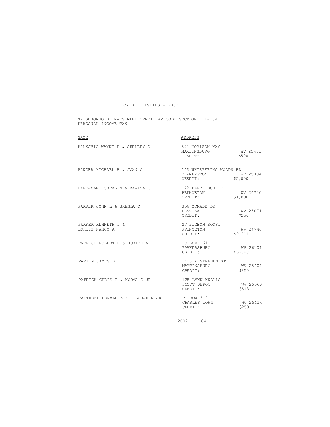NEIGHBORHOOD INVESTMENT CREDIT WV CODE SECTION: 11-13J PERSONAL INCOME TAX

| NAME                                   | ADDRESS                                                   |                     |
|----------------------------------------|-----------------------------------------------------------|---------------------|
| PALKOVIC WAYNE P & SHELLEY C           | 590 HORIZON WAY<br>MARTINSBURG WV 25401<br>CREDIT:        | \$500               |
| PANGER MICHAEL R & JOAN C              | 146 WHISPERING WOODS RD<br>CHARLESTON WV 25304<br>CREDIT: | \$5,000             |
| PARDASANI GOPAL M & KAVITA G           | 172 PARTRIDGE DR<br>PRINCETON<br>CREDIT:                  | WV 24740<br>\$1,000 |
| PARKER JOHN L & BRENDA C               | 354 MCNABB DR<br>ELKVIEW<br>CREDIT:                       | WV 25071<br>\$2.50  |
| PARKER KENNETH J &<br>LOHUIS NANCY A   | 27 PIGEON ROOST<br>PRINCETON<br>CREDIT:                   | WV 24740<br>\$9,911 |
| PARRISH ROBERT E & JUDITH A PO BOX 161 | PARKERSBURG WV 26101<br>CREDIT:                           | \$5,000             |
| PARTIN JAMES D                         | 1503 W STEPHEN ST<br>MARTINSBURG WV 25401<br>CREDIT:      | \$2.50              |
| PATRICK CHRIS E & NORMA G JR           | 128 LYNN KNOLLS<br>SCOTT DEPOT<br>CREDIT:                 | WV 25560<br>\$518   |
| PATTHOFF DONALD E & DEBORAH K JR       | PO BOX 610<br>CHARLES TOWN<br>CREDIT:                     | WV 25414<br>\$2.50  |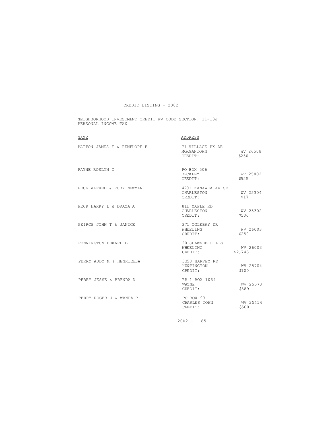NEIGHBORHOOD INVESTMENT CREDIT WV CODE SECTION: 11-13J PERSONAL INCOME TAX

| <b>NAME</b>                 | ADDRESS                                     |                     |
|-----------------------------|---------------------------------------------|---------------------|
| PATTON JAMES F & PENELOPE B | 71 VILLAGE PK DR<br>MORGANTOWN<br>CREDIT:   | WV 26508<br>\$2.50  |
| PAYNE ROSLYN C              | PO BOX 506<br>BECKLEY<br>CREDIT:            | WV 25802<br>\$52.5  |
| PECK ALFRED & RUBY NEWMAN   | 4701 KANAWHA AV SE<br>CHARLESTON<br>CREDIT: | WV 25304<br>\$17    |
| PECK HARRY L & DRAZA A      | 811 MAPLE RD<br>CHARLESTON<br>CREDIT:       | WV 25302<br>\$500   |
| PEIRCE JOHN T & JANICE      | 371 OGLEBAY DR<br>WHEELING<br>CREDIT:       | WV 26003<br>\$250   |
| PENNINGTON EDWARD B         | 20 SHAWNEE HILLS<br>WHEELING<br>CREDIT:     | WV 26003<br>\$2,745 |
| PERRY AUDY M & HENRIELLA    | 3350 HARVEY RD<br>HUNTINGTON<br>CREDIT:     | WV 25704<br>\$100   |
| PERRY JESSE & BRENDA D      | RR 1 BOX 1069<br>WAYNE<br>CREDIT:           | WV 25570<br>\$389   |
| PERRY ROGER J & WANDA P     | PO BOX 93<br>CHARLES TOWN<br>CREDIT:        | WV 25414<br>\$500   |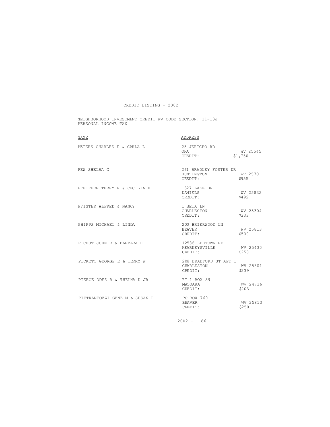NEIGHBORHOOD INVESTMENT CREDIT WV CODE SECTION: 11-13J PERSONAL INCOME TAX

| NAME                          | ADDRESS                                                 |                    |
|-------------------------------|---------------------------------------------------------|--------------------|
| PETERS CHARLES E & CARLA L    | 25 JERICHO RD<br>ONA<br>\$1,750<br>CREDIT:              | WV 25545           |
| PEW SHELBA G                  | 261 BRADLEY FOSTER DR<br>HUNTINGTON<br>CREDIT:          | WV 25701<br>\$955  |
| PFEIFFER TERRY R & CECILIA H  | 1327 LAKE DR<br>DANIELS<br>CREDIT:                      | WV 25832<br>\$492  |
| PFISTER ALFRED & NANCY        | 1 BETA LN<br>CHARLESTON<br>CREDIT:                      | WV 25304<br>\$333  |
| PHIPPS MICHAEL & LINDA        | 200 BRIERWOOD LN<br><b>BEAVER</b><br>CREDIT:            | WV 25813<br>\$500  |
| PICHOT JOHN R & BARBARA H     | 12586 LEETOWN RD<br>KEARNEYSVILLE WV 25430<br>CREDIT:   | \$2.50             |
| PICKETT GEORGE E & TERRY W    | 208 BRADFORD ST APT 1<br>CHARLESTON WV 25301<br>CREDIT: | \$239              |
| PIERCE ODES R & THELMA D JR   | RT 1 BOX 59<br>MATOAKA<br>CREDIT:                       | WV 24736<br>\$203  |
| PIETRANTOZZI GENE M & SUSAN P | PO BOX 769<br><b>BFAVER</b><br>CREDIT:                  | WV 25813<br>\$2.50 |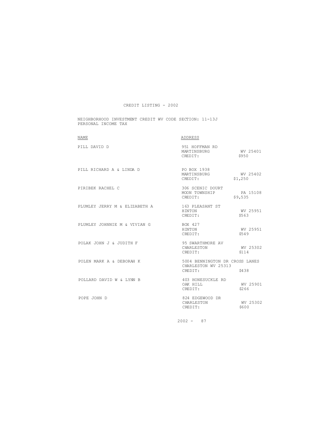NEIGHBORHOOD INVESTMENT CREDIT WV CODE SECTION: 11-13J PERSONAL INCOME TAX

| NAME                          | ADDRESS                                               |                     |
|-------------------------------|-------------------------------------------------------|---------------------|
| PILL DAVID D                  | 951 HOFFMAN RD<br>MARTINSBURG<br>CREDIT:              | WV 25401<br>\$950   |
| PILL RICHARD A & LINDA D      | PO BOX 1938<br>MARTINSBURG<br>CREDIT:                 | WV 25402<br>\$1,250 |
| PIRIBEK RACHEL C              | 306 SCENIC DOURT<br>MOON TOWNSHIP<br>CREDIT:          | PA 15108<br>\$9,535 |
| PLUMLEY JERRY M & ELIZABETH A | 163 PLEASANT ST<br>HINTON<br>CREDIT:                  | WV 25951<br>\$563   |
| PLUMLEY JOHNNIE M & VIVIAN G  | BOX 427<br><b>HINTON</b><br>CREDIT:                   | WV 25951<br>\$549   |
| POLAK JOHN J & JUDITH F       | 95 SWARTHMORE AV<br>CHARLESTON<br>CREDIT:             | WV 25302<br>\$114   |
| POLEN MARK A & DEBORAH K      | 5004 BENNINGTON DR CROSS LANES<br>CHARLESTON WV 25313 |                     |
|                               | CREDIT:                                               | \$438               |
| POLLARD DAVID W & LYNN B      | 403 HONESUCKLE RD<br>OAK HILL<br>CREDIT:              | WV 25901<br>\$266   |
| POPE JOHN D                   | 824 EDGEWOOD DR<br><b>CHARLESTON</b><br>CREDIT:       | WV 25302<br>\$600   |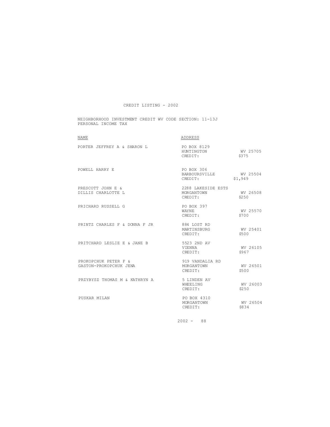NEIGHBORHOOD INVESTMENT CREDIT WV CODE SECTION: 11-13J PERSONAL INCOME TAX

| NAME                                           | ADDRESS                                     |                     |
|------------------------------------------------|---------------------------------------------|---------------------|
| PORTER JEFFREY A & SHARON L                    | PO BOX 8129<br>HUNTINGTON<br>CREDIT:        | WV 25705<br>\$375   |
| POWELL HARRY E                                 | PO BOX 306<br>BARBOURSVILLE<br>CREDIT:      | WV 25504<br>\$1,949 |
| PRESCOTT JOHN E &<br>DILLIS CHARLOTTE L        | 2288 LAKESIDE ESTS<br>MORGANTOWN<br>CREDIT: | WV 26508<br>\$250   |
| PRICHARD RUSSELL G                             | PO BOX 397<br>WAYNE<br>CREDIT:              | WV 25570<br>\$700   |
| PRINTZ CHARLES F & DONNA F JR                  | 884 LOST RD<br>MARTINSBURG<br>CREDIT:       | WV 25401<br>\$500   |
| PRITCHARD LESLIE E & JANE B                    | 5523 2ND AV<br>VTENNA<br>CREDIT:            | WV 26105<br>\$967   |
| PROKOPCHUK PETER F &<br>GASTON-PROKOPCHUK JENA | 919 VANDALIA RD<br>MORGANTOWN<br>CREDIT:    | WV 26501<br>\$500   |
| PRZYBYSZ THOMAS M & KATHRYN A                  | 5 LINDEN AV<br>WHEELING<br>CREDIT:          | WV 26003<br>\$250   |
| PUSKAR MILAN                                   | PO BOX 4310<br>MORGANTOWN<br>CREDIT:        | WV 26504<br>\$834   |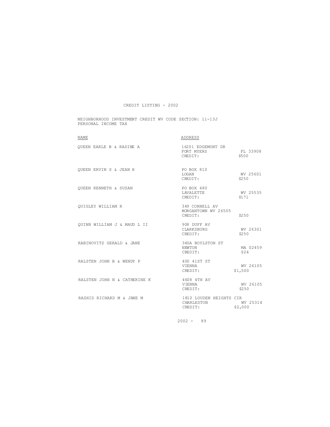NEIGHBORHOOD INVESTMENT CREDIT WV CODE SECTION: 11-13J PERSONAL INCOME TAX

| NAME                         | ADDRESS                                          |                     |
|------------------------------|--------------------------------------------------|---------------------|
| OUEEN EARLE B & RADINE A     | 16201 EDGEMONT DR<br>FORT MYERS<br>CREDIT:       | FL 33908<br>\$500   |
| OUEEN ERVIN S & JEAN H       | PO BOX 810<br>LOGAN<br>CREDIT:                   | WV 25601<br>\$250   |
| OUEEN KENNETH & SUSAN        | PO BOX 480<br>LAVALETTE<br>CREDIT:               | WV 25535<br>\$171   |
| OUIGLEY WILLIAM R            | 349 CORNELL AV<br>MORGANTOWN WV 26505<br>CREDIT: | \$250               |
| OUINN WILLIAM J & MAUD L II  | 908 DUFF AV<br>CLARKSBURG<br>CREDIT:             | WV 26301<br>\$250   |
| RABINOVITZ GERALD & JANE     | 340A BOYLSTON ST<br>NEWTON<br>CREDIT:            | MA 02459<br>\$24    |
| RALSTEN JOHN B & WENDY P     | 400 41ST ST<br>VIENNA<br>CREDIT:                 | WV 26105<br>\$1,500 |
| RALSTEN JOHN N & CATHERINE K | 4608 4TH AV<br>VIENNA<br>CREDIT:                 | WV 26105<br>\$250   |
| RASHID RICHARD M & JANE M    | 1810 LOUDEN HEIGHTS CIR<br>CHARLESTON<br>CREDIT: | WV 25314<br>\$2,000 |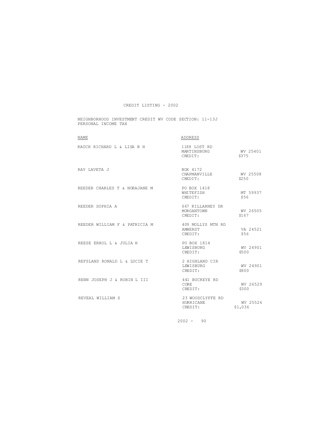NEIGHBORHOOD INVESTMENT CREDIT WV CODE SECTION: 11-13J PERSONAL INCOME TAX

| NAME                          | ADDRESS                                       |                     |
|-------------------------------|-----------------------------------------------|---------------------|
| RAUCH RICHARD L & LISA B H    | 1188 LOST RD<br>MARTINSBURG<br>CREDIT:        | WV 25401<br>\$375   |
| RAY LAVETA J                  | BOX 4172<br>CHAPMANVILLE<br>CREDIT:           | WV 25508<br>\$250   |
| REEDER CHARLES T & NORAJANE M | PO BOX 1418<br>WHITEFISH<br>CREDIT:           | MT 59937<br>\$56    |
| REEDER SOPHIA A               | 667 KILLARNEY DR<br>MORGANTOWN<br>CREDIT:     | WV 26505<br>\$167   |
| REEDER WILLIAM F & PATRICIA M | 409 MOLLYS MTN RD<br>AMHERST<br>CREDIT:       | VA 24521<br>\$56    |
| REESE ERROL L & JULIA H       | PO BOX 1814<br>LEWISBURG<br>CREDIT:           | WV 24901<br>\$500   |
| REFSLAND RONALD L & LUCIE T   | 2 HIGHLAND CIR<br><b>LEWISBURG</b><br>CREDIT: | WV 24901<br>\$800   |
| RENN JOSEPH J & ROBIN L III   | 441 BUCKEYE RD<br>CORE<br>CREDIT:             | WV 26529<br>\$300   |
| REVEAL WILLIAM S              | 23 WOODCLYFFE RD<br>HURRICANE<br>CREDIT:      | WV 25526<br>\$1,036 |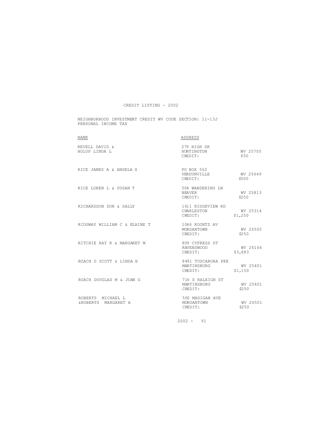NEIGHBORHOOD INVESTMENT CREDIT WV CODE SECTION: 11-13J PERSONAL INCOME TAX

| NAME                                     | ADDRESS                                      |                     |
|------------------------------------------|----------------------------------------------|---------------------|
| REVELL DAVID &<br>HOLUP LINDA L          | 279 HIGH DR<br>HUNTINGTON<br>CREDIT:         | WV 25705<br>\$50    |
| RICE JAMES A & ANGELA G                  | PO BOX 562<br>VERDUNVILLE<br>CREDIT:         | WV 25649<br>\$500   |
| RICE LOREN L & SUSAN T                   | 504 WANDERING LN<br><b>BFAVER</b><br>CREDIT: | WV 25813<br>\$250   |
| RICHARDSON DON & SALLY                   | 1611 RIDGEVIEW RD<br>CHARLESTON<br>CREDIT:   | WV 25314<br>\$1,250 |
| RIDGWAY WILLIAM C & ELAINE T             | 1046 KOONTZ AV<br>MORGANTOWN<br>CREDIT:      | WV 26505<br>\$2.50  |
| RITCHIE RAY R & MARGARET M               | 809 CYPRESS ST<br>RAVENSWOOD<br>CREDIT:      | WV 26164<br>\$3,883 |
| ROACH D SCOTT & LINDA H                  | 8491 TUSCARORA PKE<br>MARTINSBURG<br>CREDIT: | WV 25401<br>\$1,150 |
| ROACH DOUGLAS M & JOAN G                 | 716 S RALEIGH ST<br>MARTINSBURG<br>CREDIT:   | WV 25401<br>\$2.50  |
| ROBERTS MICHAEL L<br>&ROBERTS MARGARET A | 500 MADIGAN AVE<br>MORGANTOWN<br>CREDIT:     | WV 26501<br>\$250   |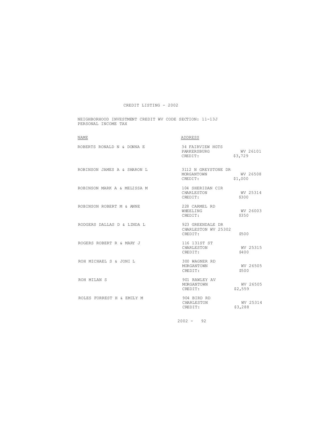NEIGHBORHOOD INVESTMENT CREDIT WV CODE SECTION: 11-13J PERSONAL INCOME TAX

| NAME                        | ADDRESS                                                     |                     |
|-----------------------------|-------------------------------------------------------------|---------------------|
| ROBERTS RONALD N & DONNA E  | 34 FAIRVIEW HGTS<br>PARKERSBURG WV 26101<br>CREDIT: \$3,729 |                     |
| ROBINSON JAMES A & SHARON L | 3112 N GREYSTONE DR<br>MORGANTOWN<br>CREDIT:                | WV 26508<br>\$1,000 |
| ROBINSON MARK A & MELISSA M | 104 SHERIDAN CIR<br>CHARLESTON<br>CREDIT:                   | WV 25314<br>\$300   |
| ROBINSON ROBERT M & ANNE    | 228 CARMEL RD<br>WHEELING<br>CREDIT:                        | WV 26003<br>\$350   |
| RODGERS DALLAS D & LINDA L  | 923 GREENDALE DR<br>CHARLESTON WV 25302<br>CREDIT:          | \$500               |
| ROGERS ROBERT R & MARY J    | 116 131ST ST<br>CHARLESTON<br>CREDIT:                       | WV 25315<br>\$400   |
| ROH MICHAEL S & JONI L      | 300 WAGNER RD<br>MORGANTOWN<br>CREDIT:                      | WV 26505<br>\$500   |
| ROH MILAN S                 | 901 RAWLEY AV<br>MORGANTOWN<br>CREDIT:                      | WV 26505<br>\$2,559 |
| ROLES FORREST H & EMILY M   | 904 BIRD RD<br>CHARLESTON<br>CREDIT:                        | WV 25314<br>\$3,288 |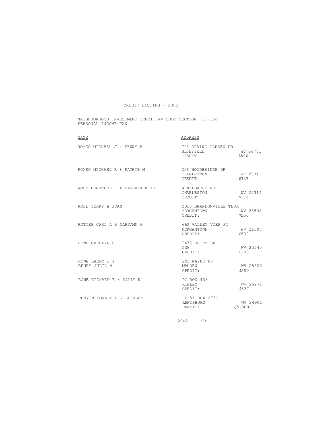NEIGHBORHOOD INVESTMENT CREDIT WV CODE SECTION: 11-13J PERSONAL INCOME TAX

| NAME                            | ADDRESS                                         |                     |
|---------------------------------|-------------------------------------------------|---------------------|
| ROMEO MICHAEL J & PENNY B       | 706 SPRING GARDEN DR<br>BLUEFIELD<br>CREDIT:    | WV 24701<br>\$500   |
| ROMEO MICHAEL R & KATHIE M      | 226 WOODBRIDGE DR<br>CHARLESTON<br>CREDIT:      | WV 25311<br>\$333   |
| ROSE HERSCHEL H & BARBARA W III | 4 WILDACRE RD<br>CHARLESTON<br>CREDIT:          | WV 25314<br>\$171   |
| ROSE TERRY & JOAN               | 2016 BRANDONVILLE TERR<br>MORGANTOWN<br>CREDIT: | WV 26508<br>\$250   |
| ROTTER CARL A & MARYANN H       | 663 VALLEY VIEW ST<br>MORGANTOWN<br>CREDIT:     | WV 26505<br>\$500   |
| ROWE CAROLYN S                  | 2478 US RT 60<br><b>ONA</b><br>CREDIT:          | WV 25545<br>\$200   |
| ROWE LARRY L &<br>BEURY JULIA M | 202 WAYNE DR<br>MALDEN<br>CREDIT:               | WV 25306<br>\$250   |
| ROWE RICHARD E & SALLY K        | PO BOX 403<br>R TP LEY<br>CREDIT:               | WV 25271<br>\$537   |
| RUNYON DONALD R & SHIRLEY       | HC 81 BOX 273C<br>LEWISBURG<br>CREDIT:          | WV 24901<br>\$5,000 |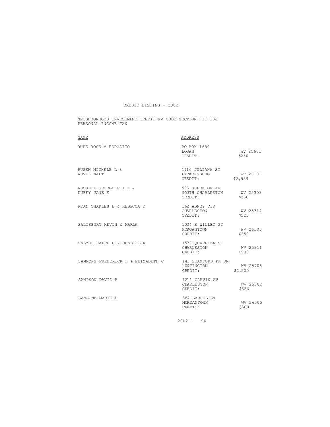NEIGHBORHOOD INVESTMENT CREDIT WV CODE SECTION: 11-13J PERSONAL INCOME TAX

| NAME                                   | ADDRESS                                                 |                     |
|----------------------------------------|---------------------------------------------------------|---------------------|
| RUPE ROSE M ESPOSITO                   | PO BOX 1680<br>LOGAN<br>CREDIT:                         | WV 25601<br>\$2.50  |
| RUSEN MICHELE L &<br>AUVIL WALT        | 1116 JULIANA ST<br>PARKERSBURG<br>CREDIT:               | WV 26101<br>\$2,959 |
| RUSSELL GEORGE P III &<br>DUFFY JANE E | 505 SUPERIOR AV<br>SOUTH CHARLESTON WV 25303<br>CREDIT: | \$2.50              |
| RYAN CHARLES E & REBECCA D             | 162 ABNEY CIR<br>CHARLESTON<br>CREDIT:                  | WV 25314<br>\$525   |
| SALISBURY KEVIN & MARLA                | 1034 B WILLEY ST<br>MORGANTOWN<br>CREDIT:               | WV 26505<br>\$250   |
| SALYER RALPH C & JUNE F JR             | 1577 OUARRIER ST<br>CHARLESTON<br>CREDIT:               | WV 25311<br>\$500   |
| SAMMONS FREDERICK H & ELIZABETH C      | 141 STAMFORD PK DR<br>HUNTINGTON<br>CREDIT:             | WV 25705<br>\$2,500 |
| SAMPSON DAVID B                        | 1211 GARVIN AV<br>CHARLESTON<br>CREDIT:                 | WV 25302<br>\$626   |
| SANSONE MARIE S                        | 364 LAUREL ST<br>MORGANTOWN<br>CREDIT:                  | WV 26505<br>\$500   |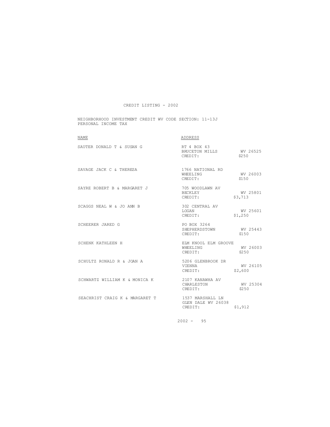NEIGHBORHOOD INVESTMENT CREDIT WV CODE SECTION: 11-13J PERSONAL INCOME TAX

| NAME                           | ADDRESS                                           |                     |
|--------------------------------|---------------------------------------------------|---------------------|
| SAUTER DONALD T & SUSAN G      | RT 4 BOX 43<br>BRUCETON MILLS WV 26525<br>CREDIT: | \$250               |
| SAVAGE JACK C & THERESA        | 1766 NATIONAL RD<br>WHEELING<br>CREDIT:           | WV 26003<br>\$150   |
| SAYRE ROBERT B & MARGARET J    | 705 WOODLAWN AV<br>BECKLEY<br>CREDIT:             | WV 25801<br>\$3,713 |
| SCAGGS NEAL W & JO ANN B       | 302 CENTRAL AV<br>LOGAN<br>CREDIT:                | WV 25601<br>\$1,250 |
| SCHEERER JARED G               | PO BOX 3264<br>SHEPHERDSTOWN<br>CREDIT:           | WV 25443<br>\$150   |
| SCHENK KATHLEEN H              | EIM KNOOL ELM GROOVE<br>WHEELTNG<br>CREDIT:       | WV 26003<br>\$250   |
| SCHULTZ RONALD R & JOAN A      | 5206 GLENBROOK DR<br>V TENNA<br>CREDIT:           | WV 26105<br>\$2,600 |
| SCHWARTZ WILLIAM K & MONICA K  | 2107 KANAWHA AV<br>CHARLESTON<br>CREDIT:          | WV 25304<br>\$250   |
| SEACHRIST CRAIG K & MARGARET T | 1537 MARSHALL LN<br>GIEN DALE WV 26038<br>CREDIT: | \$1,912             |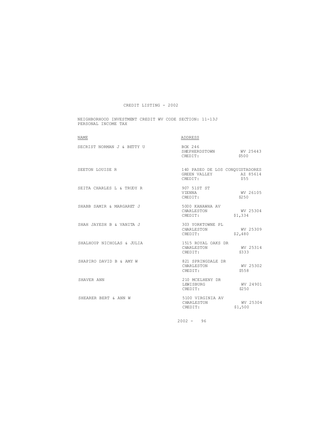NEIGHBORHOOD INVESTMENT CREDIT WV CODE SECTION: 11-13J PERSONAL INCOME TAX

| NAME                       | ADDRESS                                                             |                     |
|----------------------------|---------------------------------------------------------------------|---------------------|
| SECRIST NORMAN J & BETTY U | BOX 246<br>SHEPHERDSTOWN WV 25443<br>CREDIT:                        | \$500               |
| SEETON LOUISE R            | 140 PASEO DE LOS CONQUISTADORES<br>GREEN VALLEY AZ 85614<br>CREDIT: | \$55                |
| SEITA CHARLES L & TRUDY R  | 907 51ST ST<br><b>VTENNA</b><br>CREDIT:                             | WV 26105<br>\$250   |
| SHABB SAMIR & MARGARET J   | 5000 KANAWHA AV<br>CHARLESTON<br>CREDIT:                            | WV 25304<br>\$1,334 |
| SHAH JAYESH B & VANITA J   | 303 YORKTOWNE PL<br>CHARLESTON<br>CREDIT:                           | WV 25309<br>\$2,480 |
| SHALHOUP NICHOLAS & JULIA  | 1515 ROYAL OAKS DR<br>CHARLESTON<br>CREDIT:                         | WV 25314<br>\$333   |
| SHAPIRO DAVID B & AMY W    | 821 SPRINGDALE DR<br>CHARLESTON<br>CREDIT:                          | WV 25302<br>\$558   |
| SHAVER ANN                 | 210 MCELHENY DR<br>LEWISBURG<br>CREDIT:                             | WV 24901<br>\$250   |
| SHEARER BERT & ANN W       | 5100 VIRGINIA AV<br>CHARLESTON<br>CREDIT:                           | WV 25304<br>\$1,500 |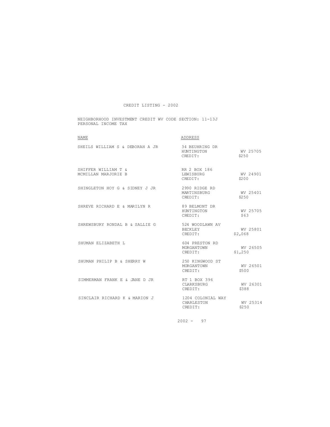NEIGHBORHOOD INVESTMENT CREDIT WV CODE SECTION: 11-13J PERSONAL INCOME TAX

| <b>NAME</b>                                | ADDRESS                                    |                     |
|--------------------------------------------|--------------------------------------------|---------------------|
| SHEILS WILLIAM S & DEBORAH A JR            | 34 BEUHRING DR<br>HUNTINGTON<br>CREDIT:    | WV 25705<br>\$250   |
| SHIFFER WILLIAM T &<br>MCMILLAN MARJORIE B | RR 2 BOX 186<br>LEWISBURG<br>CREDIT:       | WV 24901<br>\$200   |
| SHINGLETON HOY G & SIDNEY J JR             | 2990 RIDGE RD<br>MARTINSBURG<br>CREDIT:    | WV 25401<br>\$250   |
| SHREVE RICHARD E & MARILYN R               | 89 BELMONT DR<br>HUNTINGTON<br>CREDIT:     | WV 25705<br>\$63    |
| SHREWSBURY RONDAL B & SALLIE G             | 524 WOODLAWN AV<br>BECKLEY<br>CREDIT:      | WV 25801<br>\$2,068 |
| SHUMAN ELIZABETH L                         | 604 PRESTON RD<br>MORGANTOWN<br>CREDIT:    | WV 26505<br>\$1,250 |
| SHUMAN PHILIP B & SHERRY W                 | 250 KINGWOOD ST<br>MORGANTOWN<br>CREDIT:   | WV 26501<br>\$500   |
| SIMMERMAN FRANK E & JANE D JR              | RT 1 BOX 396<br>CLARKSBURG<br>CREDIT:      | WV 26301<br>\$388   |
| SINCLAIR RICHARD K & MARION J              | 1204 COLONIAL WAY<br>CHARLESTON<br>CREDIT: | WV 25314<br>\$250   |
|                                            |                                            |                     |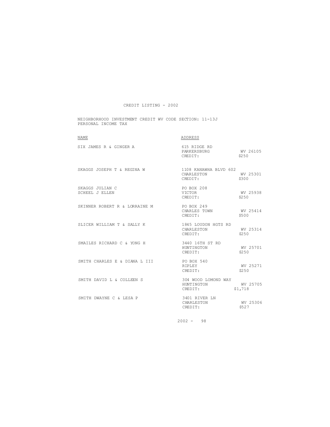NEIGHBORHOOD INVESTMENT CREDIT WV CODE SECTION: 11-13J PERSONAL INCOME TAX

# NAME ADDRESS SIX JAMES R & GINGER A 615 RIDGE RD PARKERSBURG WV 26105 CREDIT:  $$250$ SKAGGS JOSEPH T & REGINA W 1108 KANAWHA BLVD 602<br>CHARLESTON WV 25301 CHARLESTON WV 25301 CREDIT: \$300 SKAGGS JULIAN C<br/> $\begin{array}{lll} \texttt{SKAGGS} & \texttt{JULIAN} & \texttt{C} & \texttt{PO\,BOX\ 208} \\ \texttt{SCHEEL\ J\ ELLEN} & \texttt{VICTOR} & \texttt{VICTOR} & \texttt{VICTOR} \\ \end{array}$ SCHEEL J ELLEN VICTOR WV 25938 CREDIT: SKINNER ROBERT R & LORRAINE M PO BOX 249 CHARLES TOWN WV 25414<br>
CREDIT: \$500 CREDIT: \$500 SLICER WILLIAM T & SALLY K 1845 LOUDON HGTS RD CHARLESTON WV 25314<br>CREDIT: \$250 CREDIT: \$250 SMAILES RICHARD C & YONG H 3440 16TH ST RD HUNTINGTON WV 25701<br>CREDIT: \$250 CREDIT: \$250 SMITH CHARLES E & DIANA L III PO BOX 540<br>RIPLEY WV 25271<br>\$250 CREDIT: SMITH DAVID L & COLLEEN S 304 WOOD LOMOND WAY HUNTINGTON WV 25705<br>CREDIT: \$1,718 CREDIT: \$1,718 SMITH DWAYNE C & LESA P 3401 RIVER LN CHARLESTON WV 25306<br>CREDIT: \$527 CREDIT: \$527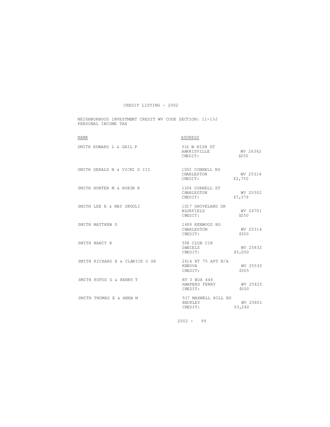NEIGHBORHOOD INVESTMENT CREDIT WV CODE SECTION: 11-13J PERSONAL INCOME TAX

| NAME                                         | ADDRESS                                             |                     |
|----------------------------------------------|-----------------------------------------------------|---------------------|
| SMITH EDWARD L & GAIL P                      | 316 W HIGH ST<br>HARRISVILLE<br>CREDIT:             | WV 26362<br>\$250   |
| SMITH GERALD N & VICKI G III 1592 CONNELL RD | CHARLESTON<br>CREDIT:                               | WV 25314<br>\$2,750 |
| SMITH HUNTER M & ROBIN K                     | 1104 CORNELL ST<br>CHARLESTON<br>CREDIT:            | WV 25302<br>\$7,379 |
| SMITH LEE E & MAY SKOGLI                     | 1017 GROVELAND DR<br>BLUEFIELD<br>COPPIT<br>CREDIT: | WV 24701<br>\$250   |
| SMITH MATTHEW D                              | 1699 KENWOOD RD<br>CHARLESTON<br>CREDIT:            | WV 25314<br>\$300   |
| SMITH NANCY R                                | 558 CLUB CIR<br>DANIELS<br>CREDIT:                  | WV 25832<br>\$5,000 |
| SMITH RICHARD E & CLARICE O SR               | 2614 RT 75 APT N/A<br>KENOVA<br>CREDIT:             | WV 25530<br>\$305   |
| SMITH RUFUS G & RENNY T                      | RT 3 BOX 448<br>HARPERS FERRY<br>CREDIT:            | WV 25425<br>\$500   |
| SMITH THOMAS E & ANNA M                      | 517 MAXWELL HILL RD<br>BECKLEY<br>CREDIT:           | WV 25801<br>\$3,240 |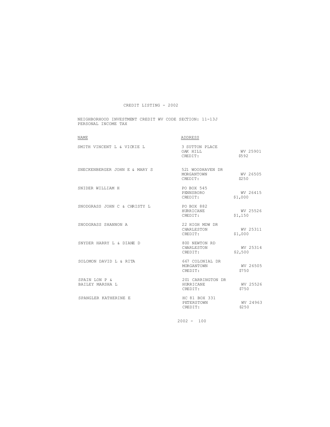NEIGHBORHOOD INVESTMENT CREDIT WV CODE SECTION: 11-13J PERSONAL INCOME TAX

| NAME                             | ADDRESS                                   |                     |
|----------------------------------|-------------------------------------------|---------------------|
| SMITH VINCENT L & VICKIE L       | 3 SUTTON PLACE<br>OAK HILL<br>CREDIT:     | WV 25901<br>\$592   |
| SNECKENBERGER JOHN E & MARY S    | 521 WOODHAVEN DR<br>MORGANTOWN<br>CREDIT: | WV 26505<br>\$250   |
| SNIDER WILLIAM H                 | PO BOX 545<br>PENNSBORO<br>CREDIT:        | WV 26415<br>\$1,000 |
| SNODGRASS JOHN C & CHRISTY L     | PO BOX 882<br>HURRICANE<br>CREDIT:        | WV 25526<br>\$1,150 |
| SNODGRASS SHANNON A              | 22 HIGH MDW DR<br>CHARLESTON<br>CREDIT:   | WV 25311<br>\$1,000 |
| SNYDER HARRY L & DIANE D         | 800 NEWTON RD<br>CHARLESTON<br>CREDIT:    | WV 25314<br>\$2,500 |
| SOLOMON DAVID L & RITA           | 667 COLONIAL DR<br>MORGANTOWN<br>CREDIT:  | WV 26505<br>\$750   |
| SPAIN LON P &<br>BAILEY MARSHA L | 201 CARRINGTON DR<br>HURRICANE<br>CREDIT: | WV 25526<br>\$750   |
| SPANGLER KATHERINE E             | HC 81 BOX 331<br>PETERSTOWN<br>CREDIT:    | WV 24963<br>\$250   |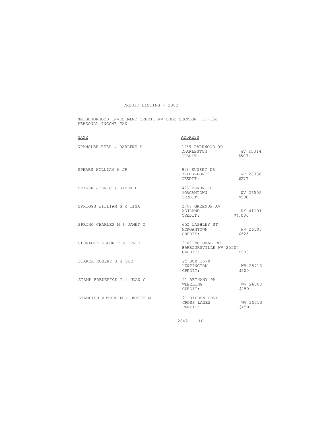NEIGHBORHOOD INVESTMENT CREDIT WV CODE SECTION: 11-13J PERSONAL INCOME TAX

| NAME                         | ADDRESS                                              |                     |
|------------------------------|------------------------------------------------------|---------------------|
| SPANGLER REED & DARLENE S    | 1959 PARKWOOD RD<br>CHARLESTON<br>CREDIT:            | WV 25314<br>\$507   |
| SPEARS WILLIAM A JR          | 908 SUNSET DR<br>BRIDGEPORT<br>CREDIT:               | WV 26330<br>\$2.77  |
| SPIKER JOHN C & SABRA L      | 428 DEVON RD<br>MORGANTOWN<br>CREDIT:                | WV 26505<br>\$500   |
| SPRIGGS WILLIAM G & LISA     | 2747 GREENUP AV<br>ASHLAND<br>CREDIT:                | KY 41101<br>\$4,000 |
| SPRING CHARLES M & JANET G   | 652 LASHLEY ST<br>MORGANTOWN<br>CREDIT:              | WV 26505<br>\$625   |
| SPURLOCK ELDON F & ORA E     | 2107 MCCOMAS RD<br>BARBOURSVILLE WV 25504<br>CREDIT: | \$500               |
| STAKER ROBERT J & SUE        | PO BOX 1570<br>HUNTINGTON<br>CREDIT:                 | WV 25716<br>\$500   |
| STAMP FREDERICK P & JOAN C   | 21 BETHANY PK<br>WHEELING<br>CREDIT:                 | WV 26003<br>\$2.50  |
| STANDISH ARTHUR M & JANICE M | 21 HIDDEN COVE<br>CROSS LANES<br>CREDIT:             | WV 25313<br>\$450   |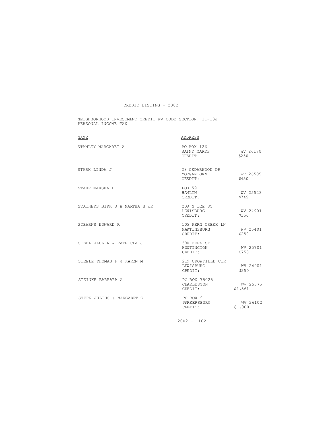NEIGHBORHOOD INVESTMENT CREDIT WV CODE SECTION: 11-13J PERSONAL INCOME TAX

| NAME                          | ADDRESS                                     |                     |
|-------------------------------|---------------------------------------------|---------------------|
| STANLEY MARGARET A            | PO BOX 126<br>SAINT MARYS<br>CREDIT:        | WV 26170<br>\$250   |
| STARK LINDA J                 | 28 CEDARWOOD DR<br>MORGANTOWN<br>CREDIT:    | WV 26505<br>\$450   |
| STARR MARSHA D                | POB 59<br>HAMLIN<br>CREDIT:                 | WV 25523<br>\$749   |
| STATHERS BIRK S & MARTHA B JR | 208 N LEE ST<br>LEWISBURG<br>CREDIT:        | WV 24901<br>\$150   |
| STEARNS EDWARD R              | 105 FERN CREEK LN<br>MARTINSBURG<br>CREDIT: | WV 25401<br>\$250   |
| STEEL JACK R & PATRICIA J     | 630 FERN ST<br>HUNTINGTON<br>CREDIT:        | WV 25701<br>\$750   |
| STEELE THOMAS F & KAREN M     | 219 CROWFIELD CIR<br>LEWISBURG<br>CREDIT:   | WV 24901<br>\$250   |
| STEINKE BARBARA A             | PO BOX 75025<br>CHARLESTON<br>CREDIT:       | WV 25375<br>\$1,561 |
| STERN JULIUS & MARGARET G     | PO BOX 9<br>PARKERSBURG<br>CREDIT:          | WV 26102<br>\$1,000 |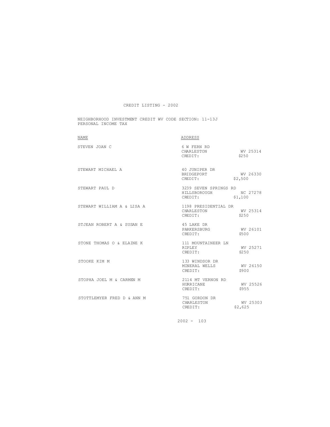NEIGHBORHOOD INVESTMENT CREDIT WV CODE SECTION: 11-13J PERSONAL INCOME TAX

| NAME                       | ADDRESS                                             |                     |
|----------------------------|-----------------------------------------------------|---------------------|
| STEVEN JOAN C              | 6 W FERN RD<br>CHARLESTON<br>CREDIT:                | WV 25314<br>\$2.50  |
| STEWART MICHAEL A          | 40 JUNIPER DR<br>BRIDGEPORT<br>CREDIT:              | WV 26330<br>\$2,500 |
| STEWART PAUL D             | 3239 SEVEN SPRINGS RD<br>HILLSBOROUGH<br>CREDIT:    | NC 27278<br>\$1,100 |
| STEWART WILLIAM A & LISA A | 1198 PRESIDENTIAL DR<br>CHARLESTON<br>CREDIT:       | WV 25314<br>\$250   |
| STJEAN ROBERT A & SUSAN E  | 45 LAKE DR<br>PARKERSBURG<br>CREDIT:                | WV 26101<br>\$500   |
| STONE THOMAS O & ELAINE K  | 111 MOUNTAINEER LN<br>R TP LEY<br>CREDIT:           | WV 25271<br>\$250   |
| STOOKE KIM M               | 133 WINDSOR DR<br>MINERAL WELLS WV 26150<br>CREDIT: | \$900               |
| STOPHA JOEL M & CARMEN M   | 2114 MT VERNON RD<br>HURRICANE<br>CREDIT:           | WV 25526<br>\$955   |
| STOTTLEMYER FRED D & ANN M | 751 GORDON DR<br>CHARLESTON<br>CREDIT:              | WV 25303<br>\$2,625 |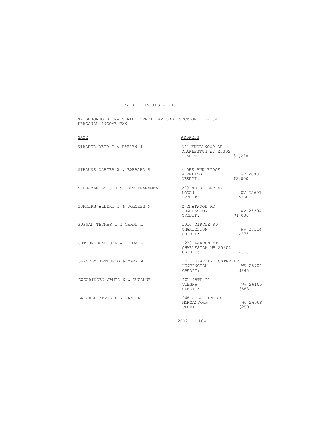NEIGHBORHOOD INVESTMENT CREDIT WV CODE SECTION: 11-13J PERSONAL INCOME TAX

| NAME                                         | ADDRESS                                            |                     |
|----------------------------------------------|----------------------------------------------------|---------------------|
| STRADER REID G & RAELYN J                    | 340 KNOLLWOOD DR<br>CHARLESTON WV 25302<br>CREDIT: | \$1,288             |
| STRAUSS CARTER W & BARBARA S 4 DEE RUN RIDGE | WHEELING<br>CREDIT:                                | WV 26003<br>\$2,000 |
| SUBRAMANIAM S N & SEETHARAMAMMA              | 220 NEIGHBERT AV<br>LOGAN<br>CREDIT:               | WV 25601<br>\$260   |
| SUMMERS ALBERT T & DOLORES N                 | 2 CHATWOOD RD<br>CHARLESTON<br>CREDIT:             | WV 25304<br>\$1,000 |
| SUSMAN THOMAS I, & CAROL I,                  | 1010 CIRCLE RD<br>CHARLESTON WV 25314<br>CREDIT:   | \$275               |
| SUTTON DENNIS W & LINDA A                    | 1230 WARREN ST<br>CHARLESTON WV 25302<br>CREDIT:   | \$500               |
| SWAVELY ARTHUR G & MARY M                    | 1018 BRADLEY FOSTER DR<br>HUNTINGTON<br>CREDIT:    | WV 25701<br>\$245   |
| SWEARINGEN JAMES W & SUZANNE                 | 401 45TH PL<br>VIENNA<br>CREDIT:                   | WV 26105<br>\$568   |
| SWISHER KEVIN D & ANNE K                     | 246 JOES RUN RD<br>MORGANTOWN<br>CREDIT:           | WV 26508<br>\$250   |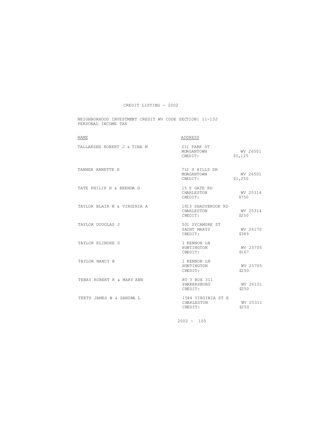NEIGHBORHOOD INVESTMENT CREDIT WV CODE SECTION: 11-13J PERSONAL INCOME TAX

| NAME                        | ADDRESS                                     |                     |
|-----------------------------|---------------------------------------------|---------------------|
| TALLAKSEN ROBERT J & TINA M | 211 PARK ST<br>MORGANTOWN<br>CREDIT:        | WV 26501<br>\$1,125 |
| TANNER ANNETTE H            | 712 S HILLS DR<br>MORGANTOWN<br>CREDIT:     | WV 26501<br>\$1,250 |
| TATE PHILIP H & BRENDA G    | 15 S GATE RD<br>CHARLESTON<br>CREDIT:       | WV 25314<br>\$750   |
| TAYLOR BLAIR M & VIRGINIA A | 1813 SHADYBROOK RD<br>CHARLESTON<br>CREDIT: | WV 25314<br>\$250   |
| TAYLOR DOUGLAS J            | 501 SYCAMORE ST<br>SAINT MARYS<br>CREDIT:   | WV 26170<br>\$389   |
| TAYLOR ELINORE D            | 1 KENNON LN<br>HUNTINGTON<br>CREDIT:        | WV 25705<br>\$167   |
| TAYLOR NANCY B              | 1 KENNON LN<br>HUNTINGTON<br>CREDIT:        | WV 25705<br>\$250   |
| TEBAY ROBERT K & MARY ANN   | RT 3 BOX 311<br>PARKERSBURG<br>CREDIT:      | WV 26101<br>\$250   |
| TEETS JAMES W & SANDRA L    | 1544 VIRGINIA ST E<br>CHARLESTON<br>CREDIT: | WV 25311<br>\$250   |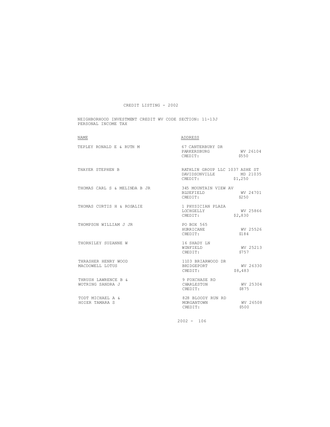NEIGHBORHOOD INVESTMENT CREDIT WV CODE SECTION: 11-13J PERSONAL INCOME TAX

| NAME                                    | ADDRESS                                                             |                     |
|-----------------------------------------|---------------------------------------------------------------------|---------------------|
| TEPLEY RONALD E & RUTH M                | 67 CANTERBURY DR<br>PARKERSBURG WV 26104<br>CREDIT:                 | \$550               |
| THAYER STEPHEN B                        | RATHLIN GROUP LLC 1037 ASHE ST<br>DAVIDSONVILLE MD 21035<br>CREDIT: | \$1,250             |
| THOMAS CARL S & MELINDA B JR            | 345 MOUNTAIN VIEW AV<br>BLUEFIELD<br>CREDIT:                        | WV 24701<br>\$250   |
| THOMAS CURTIS H & ROSALIE               | 1 PHYSICIAN PLAZA<br>LOCHGELLY<br>CREDIT:                           | WV 25866<br>\$2,830 |
| THOMPSON WILLIAM J JR                   | PO BOX 565<br><b>HURRICANE</b><br>CREDIT:                           | WV 25526<br>\$184   |
| THORNILEY SUZANNE W                     | 16 SHADY LN<br>WINFIELD<br>CREDIT:                                  | WV 25213<br>\$757   |
| THRASHER HENRY WOOD<br>MACDOWELL LOTUS  | 1103 BRIARWOOD DR<br>BRIDGEPORT<br>CREDIT:                          | WV 26330<br>\$8,483 |
| THRUSH LAWRENCE B &<br>WOTRING SANDRA J | 9 FOXCHASE RD<br>CHARLESTON<br>CREDIT:                              | WV 25304<br>\$875   |
| TODT MICHAEL A &<br>HOIER TAMARA S      | 828 BLOODY RUN RD<br>MORGANTOWN<br>CREDIT:                          | WV 26508<br>\$500   |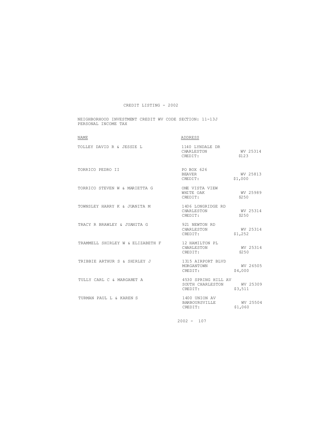NEIGHBORHOOD INVESTMENT CREDIT WV CODE SECTION: 11-13J PERSONAL INCOME TAX

| ADDRESS                                    |                                                                                                                  |
|--------------------------------------------|------------------------------------------------------------------------------------------------------------------|
| 1140 LYNDALE DR<br>CHARLESTON<br>CREDIT:   | WV 25314<br>\$123                                                                                                |
| BEAVER<br>CREDIT:                          | WV 25813<br>\$1,000                                                                                              |
| WHITE OAK<br>CREDIT:                       | WV 25989<br>\$250                                                                                                |
| 1406 LONGRIDGE RD<br>CHARLESTON<br>CREDIT: | WV 25314<br>\$250                                                                                                |
| 921 NEWTON RD<br>CHARLESTON<br>CREDIT:     | WV 25314<br>\$1.252<br>\$1,252                                                                                   |
| 12 HAMILTON PL<br>CHARLESTON<br>CREDIT:    | WV 25314<br>\$250                                                                                                |
| 1315 AIRPORT BLVD<br>MORGANTOWN<br>CREDIT: | WV 26505<br>\$4,000                                                                                              |
| CREDIT:                                    | \$3,511                                                                                                          |
| 1400 UNION AV<br>BARBOURSVILLE<br>CREDIT:  | WV 25504<br>\$1,060                                                                                              |
| TRAMMELL SHIRLEY W & ELIZABETH F           | PO BOX 626<br>ONE VISTA VIEW<br>TRIBBIE ARTHUR S & SHIRLEY J<br>4530 SPRING HILL AV<br>SOUTH CHARLESTON WV 25309 |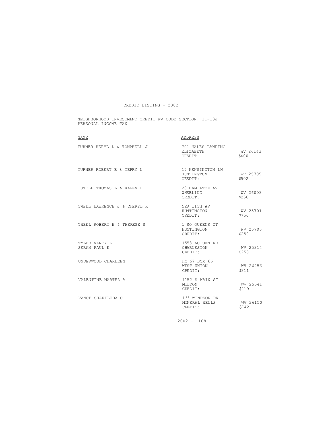NEIGHBORHOOD INVESTMENT CREDIT WV CODE SECTION: 11-13J PERSONAL INCOME TAX

| NAME                          | ADDRESS                                    |                    |
|-------------------------------|--------------------------------------------|--------------------|
| TURNER HERYL L & TONABELL J   | 702 HALES LANDING<br>ELIZABETH<br>CREDIT:  | WV 26143<br>\$400  |
| TURNER ROBERT E & TERRY L     | 17 KENSINGTON LN<br>HUNTINGTON<br>CREDIT:  | WV 25705<br>\$502  |
| TUTTLE THOMAS L & KAREN L     | 20 HAMILTON AV<br>WHEELING<br>CREDIT:      | WV 26003<br>\$250  |
| TWEEL LAWRENCE J & CHERYL R   | 528 11TH AV<br>HINTINGTON<br>CREDIT:       | WV 25701<br>\$750  |
| TWEEL ROBERT E & THERESE S    | 1 SO OUEENS CT<br>HUNTINGTON<br>CREDIT:    | WV 25705<br>\$2.50 |
| TYLER NANCY L<br>SKRAM PAUL E | 1553 AUTUMN RD<br>CHARLESTON<br>CREDIT:    | WV 25314<br>\$250  |
| UNDERWOOD CHARLEEN            | HC 67 BOX 66<br>WEST UNION<br>CREDIT:      | WV 26456<br>\$311  |
| VALENTINE MARTHA A            | 1152 S MAIN ST<br>MTLTON<br>CREDIT:        | WV 25541<br>\$219  |
| VANCE SHARILEDA C             | 133 WINDSOR DR<br>MINERAL WELLS<br>CREDIT: | WV 26150<br>\$742  |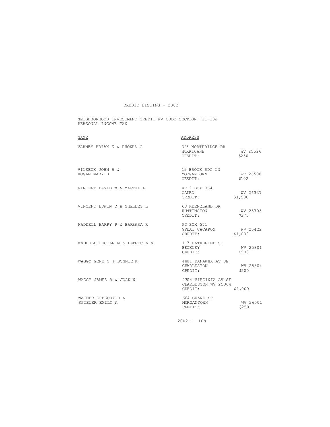NEIGHBORHOOD INVESTMENT CREDIT WV CODE SECTION: 11-13J PERSONAL INCOME TAX

| NAME                                  | ADDRESS                                                |                     |
|---------------------------------------|--------------------------------------------------------|---------------------|
| VARNEY BRIAN K & RHONDA G             | 325 NORTHRIDGE DR<br>HURRICANE<br>CREDIT:              | WV 25526<br>\$250   |
| VILSECK JOHN B &<br>HOGAN MARY B      | 12 BROOK RDG LN<br>MORGANTOWN<br>CREDIT:               | WV 26508<br>\$102   |
| VINCENT DAVID W & MARTHA L            | RR 2 BOX 364<br>CATRO<br>CREDIT:                       | WV 26337<br>\$1,500 |
| VINCENT EDWIN C & SHELLEY L           | 68 KEENELAND DR<br>HUNTINGTON<br>CREDIT:               | WV 25705<br>\$375   |
| WADDELL HARRY P & BARBARA R           | <b>PO BOX 571</b><br>GREAT CACAPON WV 25422<br>CREDIT: | \$1,000             |
| WADDELL LUCIAN M & PATRICIA A         | 117 CATHERINE ST<br><b>BECKLEY</b><br>CREDIT:          | WV 25801<br>\$500   |
| WAGGY GENE T & BONNIE K               | 4801 KANAWHA AV SE<br>CHARLESTON<br>CREDIT:            | WV 25304<br>\$500   |
| WAGGY JAMES R & JOAN W                | 4304 VIRGINIA AV SE<br>CHARLESTON WV 25304<br>CREDIT:  | \$1,000             |
| WAGNER GREGORY R &<br>SPIELER EMILY A | 604 GRAND ST<br>MORGANTOWN<br>CREDIT:                  | WV 26501<br>\$250   |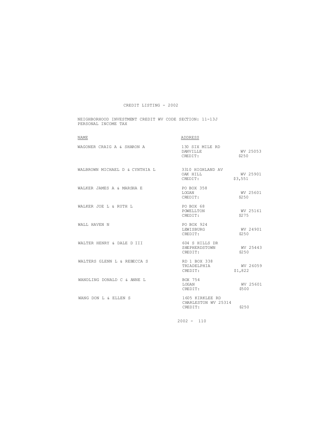NEIGHBORHOOD INVESTMENT CREDIT WV CODE SECTION: 11-13J PERSONAL INCOME TAX

| NAME                           | ADDRESS                                           |                     |
|--------------------------------|---------------------------------------------------|---------------------|
| WAGONER CRAIG A & SHARON A     | 130 SIX MILE RD<br><b>DANVILLE</b><br>CREDIT:     | WV 25053<br>\$250   |
| WALBROWN MICHAEL D & CYNTHIA L | 3310 HIGHLAND AV<br>OAK HILL<br>CREDIT:           | WV 25901<br>\$3,551 |
| WALKER JAMES A & MARSHA E      | PO BOX 358<br>LOGAN<br>CREDIT:                    | WV 25601<br>\$250   |
| WALKER JOE L & RUTH L          | PO BOX 68<br>POWELLTON<br>CREDIT:                 | WV 25161<br>\$275   |
| WALL HAVEN N                   | PO BOX 924<br>LEWISBURG<br>CREDIT:                | WV 24901<br>\$250   |
| WALTER HENRY & DALE D III      | 604 S HILLS DR<br>SHEPHERDSTOWN<br>CREDIT:        | WV 25443<br>\$2.50  |
| WALTERS GLENN L & REBECCA S    | RD 1 BOX 338<br>TRIADELPHIA<br>CREDIT:            | WV 26059<br>\$1,822 |
| WANDLING DONALD C & ANNE L     | BOX 754<br>LOGAN<br>CREDIT:                       | WV 25601<br>\$500   |
| WANG DON L & ELLEN S           | 1605 KIRKLEE RD<br>CHARLESTON WV 25314<br>CREDIT: | \$250               |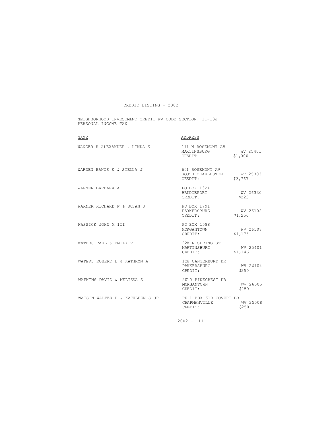NEIGHBORHOOD INVESTMENT CREDIT WV CODE SECTION: 11-13J PERSONAL INCOME TAX

| NAME                            | ADDRESS                                                         |                     |
|---------------------------------|-----------------------------------------------------------------|---------------------|
| WANGER H ALEXANDER & LINDA K    | 111 N ROSEMONT AV<br>MARTINSBURG WV 25401<br>\$1,000<br>CREDIT: |                     |
| WARDEN EANOS E & STELLA J       | 601 ROSEMONT AV<br>SOUTH CHARLESTON WV 25303<br>CREDIT:         | \$3,767             |
| WARNER BARBARA A                | PO BOX 1324<br>BRIDGEPORT<br>CREDIT:                            | WV 26330<br>\$223   |
| WARNER RICHARD W & SUSAN J      | PO BOX 1791<br>PARKERSBURG<br>CREDIT:                           | WV 26102<br>\$1,250 |
| WASSICK JOHN M TTT              | PO BOX 1588<br>MORGANTOWN<br>CREDIT:                            | WV 26507<br>\$1.176 |
| WATERS PAUL & EMILY V           | 228 N SPRING ST<br>MARTINSBURG<br>CREDIT:                       | WV 25401<br>\$1,146 |
| WATERS ROBERT L & KATHRYN A     | 128 CANTERBURY DR<br>PARKERSBURG<br>CREDIT:                     | WV 26104<br>\$250   |
| WATKINS DAVID & MELISSA S       | 2010 PINECREST DR<br>MORGANTOWN<br>CREDIT:                      | WV 26505<br>\$250   |
| WATSON WALTER H & KATHLEEN S JR | RR 1 BOX 61B COVERT BR<br>CHAPMANVILLE<br>CREDIT:               | WV 25508<br>\$250   |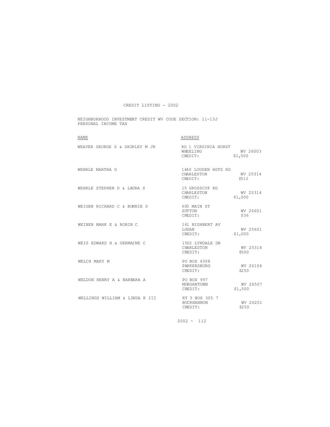NEIGHBORHOOD INVESTMENT CREDIT WV CODE SECTION: 11-13J PERSONAL INCOME TAX

| <b>NAME</b>                    | ADDRESS                                               |                     |
|--------------------------------|-------------------------------------------------------|---------------------|
| WEAVER GEORGE S & SHIRLEY M JR | RD 1 VIRGINIA HURST<br>WHEELING<br>\$1,500<br>CREDIT: | WV 26003            |
| WEHRLE MARTHA G                | 1440 LOUDEN HGTS RD<br>CHARLESTON<br>CREDIT:          | WV 25314<br>\$512   |
| WEHRLE STEPHEN D & LAURA S     | 15 GROSSCUP RD<br>CHARLESTON<br>CREDIT:               | WV 25314<br>\$1,000 |
| WEIGEN RICHARD C & BONNIE D    | 600 MAIN ST<br>SUTTON<br>CREDIT:                      | WV 26601<br>\$36    |
| WEINER MARK E & ROBIN C        | 161 NIGHBERT AV<br>LOGAN<br>CREDIT:                   | WV 25601<br>\$1,000 |
| WEIS EDWARD H & GERMAINE C     | 1502 LYNDALE DR<br>CHARLESTON<br>CREDIT:              | WV 25314<br>\$500   |
| WELCH MARY M                   | PO BOX 4308<br>PARKERSBURG<br>CREDIT:                 | WV 26104<br>\$250   |
| WELDON HENRY A & BARBARA A     | PO BOX 997<br>MORGANTOWN<br>CREDIT:                   | WV 26507<br>\$1,500 |
| WELLINGS WILLIAM & LINDA K III | RT 3 BOX 305 7<br><b>BUCKHANNON</b><br>CREDIT:        | WV 26201<br>\$250   |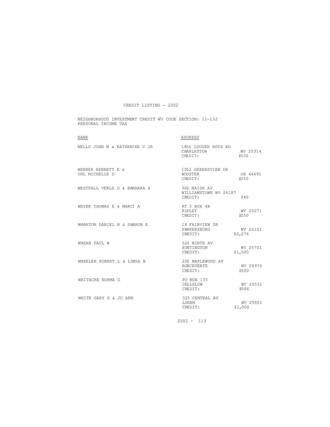NEIGHBORHOOD INVESTMENT CREDIT WV CODE SECTION: 11-13J PERSONAL INCOME TAX

| <b>NAME</b>                          | ADDRESS                                          |                     |
|--------------------------------------|--------------------------------------------------|---------------------|
| WELLS JOHN M & KATHERINE V JR        | 1856 LOUDEN HGTS RD<br>CHARLESTON<br>CREDIT:     | WV 25314<br>\$539   |
| WERNER BENNETT E &<br>UHL MICHELLE D | 1052 GREENSVIEW DR<br>WOOSTER<br>CREDIT:         | OH 44691<br>\$250   |
| WESTFALL VERLE D & BARBARA A         | 902 NAISH AV<br>WILLIAMSTOWN WV 26187<br>CREDIT: | \$40                |
| WEYER THOMAS E & MARCI A             | RT 3 BOX 4B<br>RIPLEY<br>CREDIT:                 | WV 25271<br>\$250   |
| WHARTON DANIEL B & SHARON E          | 18 FAIRVIEW DR<br>PARKERSBURG<br>CREDIT:         | WV 26101<br>\$2,276 |
| WHEAR PAUL W                         | 524 NINTH AV<br>HUNTINGTON<br>CREDIT:            | WV 25701<br>\$1,500 |
| WHEELER ROBERT L & LINDA B           | 200 MAPLEWOOD AV<br>RONCEVERTE<br>CREDIT:        | WV 24970<br>\$500   |
| WHITACRE NORMA G                     | PO BOX 133<br>DELLSLOW<br>CREDIT:                | WV 26531<br>\$566   |
| WHITE GARY G & JO ANN                | 323 CENTRAL AV<br>LOGAN<br>CREDIT:               | WV 25601<br>\$1,000 |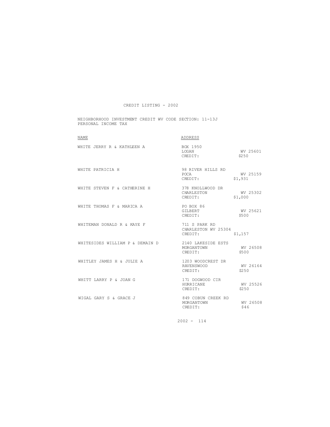NEIGHBORHOOD INVESTMENT CREDIT WV CODE SECTION: 11-13J PERSONAL INCOME TAX

| NAME                            | ADDRESS                                         |                     |
|---------------------------------|-------------------------------------------------|---------------------|
| WHITE JERRY R & KATHLEEN A      | BOX 1950<br>LOGAN<br>CREDIT:                    | WV 25601<br>\$2.50  |
| WHITE PATRICIA H                | 98 RIVER HILLS RD<br>POCA<br>CREDIT:            | WV 25159<br>\$1,931 |
| WHITE STEVEN F & CATHERINE H    | 378 KNOLLWOOD DR<br>CHARLESTON<br>CREDIT:       | WV 25302<br>\$1,000 |
| WHITE THOMAS F & MARICA A       | PO BOX 86<br>GILBERT<br>CREDIT:                 | WV 25621<br>\$500   |
| WHITEMAN DONALD R & KAYE F      | 711 S PARK RD<br>CHARLESTON WV 25304<br>CREDIT: | \$1,157             |
| WHITESIDES WILLIAM P & DEMAIN D | 2140 LAKESIDE ESTS<br>MORGANTOWN<br>CREDIT:     | WV 26508<br>\$500   |
| WHITLEY JAMES H & JULIE A       | 1203 WOODCREST DR<br>RAVENSWOOD<br>CREDIT:      | WV 26164<br>\$250   |
| WHITT LARRY P & JOAN G          | 171 DOGWOOD CIR<br>HURRICANE<br>CREDIT:         | WV 25526<br>\$2.50  |
| WIGAL GARY S & GRACE J          | 849 COBUN CREEK RD<br>MORGANTOWN<br>CREDIT:     | WV 26508<br>\$46    |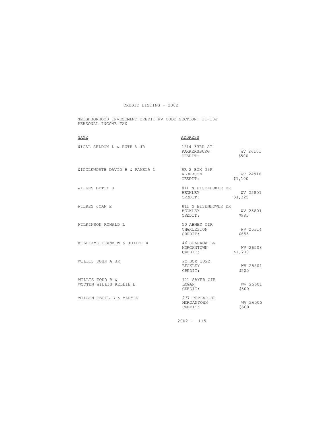NEIGHBORHOOD INVESTMENT CREDIT WV CODE SECTION: 11-13J PERSONAL INCOME TAX

| NAME                                        | ADDRESS                                        |                     |
|---------------------------------------------|------------------------------------------------|---------------------|
| WIGAL SELDON L & RUTH A JR                  | 1814 33RD ST<br>PARKERSBURG<br>CREDIT:         | WV 26101<br>\$500   |
| WIGGLEWORTH DAVID B & PAMELA L RR 2 BOX 39F | ALDERSON<br>CREDIT:                            | WV 24910<br>\$1,100 |
| WILKES BETTY J                              | 811 N EISENHOWER DR<br>BECKLEY<br>CREDIT:      | WV 25801<br>\$1,325 |
| WILKES JOAN E                               | 811 N EISENHOWER DR<br>BECKLEY<br>CREDIT:      | WV 25801<br>\$985   |
| WILKINSON RONALD L                          | 50 ABNEY CIR<br>CHARLESTON WV 25314<br>CREDIT: | \$655               |
| WILLIAMS FRANK W & JUDITH W                 | 46 SPARROW LN<br>MORGANTOWN<br>CREDIT:         | WV 26508<br>\$1,730 |
| WILLIS JOHN A JR                            | PO BOX 3022<br>BECKLEY<br>CREDIT:              | WV 25801<br>\$500   |
| WILLIS TODD B &<br>WOOTEN WILLIS KELLIE L   | 111 SAYER CIR<br>LOGAN<br>CREDIT:              | WV 25601<br>\$500   |
| WILSON CECIL B & MARY A                     | 237 POPLAR DR<br>MORGANTOWN<br>CREDIT:         | WV 26505<br>\$500   |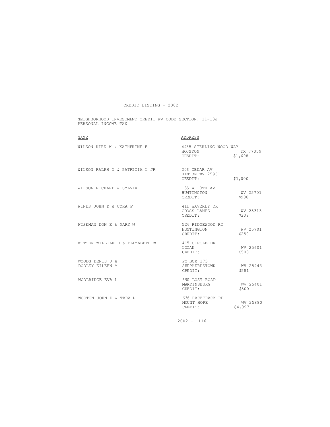NEIGHBORHOOD INVESTMENT CREDIT WV CODE SECTION: 11-13J PERSONAL INCOME TAX

| NAME                               | ADDRESS                                              |                     |
|------------------------------------|------------------------------------------------------|---------------------|
| WILSON KIRK M & KATHERINE E        | 4435 STERLING WOOD WAY<br>HOUSTON<br>CREDIT: \$1,698 | TX 77059            |
| WILSON RALPH O & PATRICIA L JR     | 206 CEDAR AV<br>HINTON WV 25951<br>CREDIT:           | \$1,000             |
| WILSON RICHARD & SYLVIA            | 135 W 10TH AV<br>HUNTINGTON<br>CREDIT:               | WV 25701<br>\$988   |
| WINES JOHN D & CORA F              | 411 WAVERLY DR<br>CROSS LANES<br>CREDIT:             | WV 25313<br>\$309   |
| WISEMAN DON E & MARY W             | 524 RIDGEWOOD RD<br>HUNTINGTON WV 25701<br>CREDIT:   | \$2.50              |
| WITTEN WILLIAM D & ELIZABETH W     | 415 CIRCLE DR<br>LOGAN<br>CREDIT:                    | WV 25601<br>\$500   |
| WOODS DENIS J &<br>DOOLEY EILEEN M | PO BOX 175<br>SHEPHERDSTOWN<br>CREDIT:               | WV 25443<br>\$581   |
| WOOLRIDGE EVA L                    | 690 LOST ROAD<br>MARTINSBURG<br>CREDIT:              | WV 25401<br>\$500   |
| WOOTON JOHN D & TARA L             | 636 RACETRACK RD<br>MOUNT HOPE<br>CREDIT:            | WV 25880<br>\$4,097 |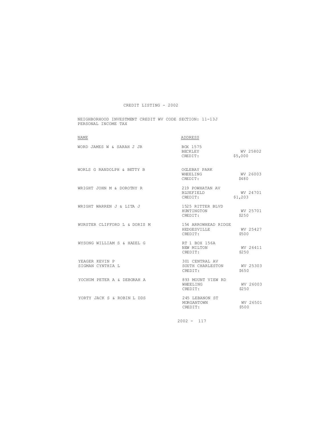NEIGHBORHOOD INVESTMENT CREDIT WV CODE SECTION: 11-13J PERSONAL INCOME TAX

| NAME                               | ADDRESS                                                |                     |
|------------------------------------|--------------------------------------------------------|---------------------|
| WORD JAMES W & SARAH J JR          | BOX 1575<br>BECKLEY<br>CREDIT:                         | WV 25802<br>\$5,000 |
| WORLS G RANDOLPH & BETTY B         | OGLEBAY PARK<br>WHEELING<br>CREDIT:                    | WV 26003<br>\$480   |
| WRIGHT JOHN M & DOROTHY R          | 219 POWHATAN AV<br>BLUEFIELD<br>CREDIT:                | WV 24701<br>\$1,203 |
| WRIGHT WARREN J & LITA J           | 1525 RITTER BLVD<br>HUNTINGTON<br>CREDIT:              | WV 25701<br>\$2.50  |
| WURSTER CLIFFORD L & DORIS M       | 154 ARROWHEAD RIDGE<br>HEDGESVILLE<br>CREDIT:          | WV 25427<br>\$500   |
| WYSONG WILLIAM S & HAZEL G         | RT 1 BOX 156A<br>NEW MILTON<br>CREDIT:                 | WV 26411<br>\$2.50  |
| YEAGER KEVIN P<br>SIGMAN CYNTHIA L | 301 CENTRAL AV<br>SOUTH CHARLESTON WV 25303<br>CREDIT: | \$650               |
| YOCHUM PETER A & DEBORAH A         | 893 MOUNT VIEW RD<br>WHEELING<br>CREDIT:               | WV 26003<br>\$2.50  |
| YORTY JACK S & ROBIN L DDS         | 245 LEBANON ST<br>MORGANTOWN<br>CREDIT:                | WV 26501<br>\$500   |